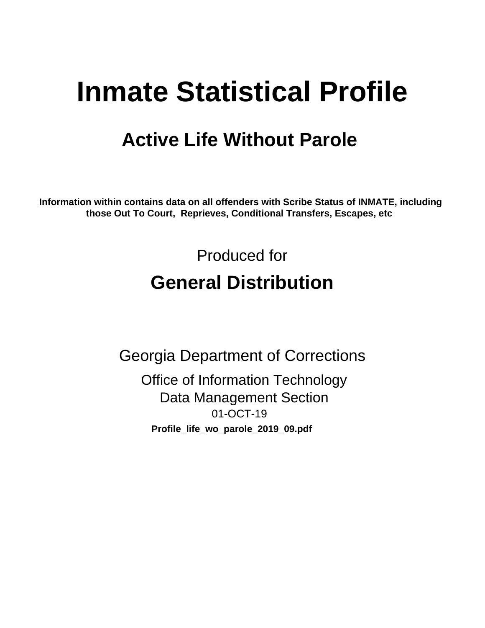# **Inmate Statistical Profile**

# **Active Life Without Parole**

Information within contains data on all offenders with Scribe Status of INMATE, including those Out To Court, Reprieves, Conditional Transfers, Escapes, etc

> Produced for **General Distribution**

**Georgia Department of Corrections Office of Information Technology Data Management Section** 01-OCT-19 Profile\_life\_wo\_parole\_2019\_09.pdf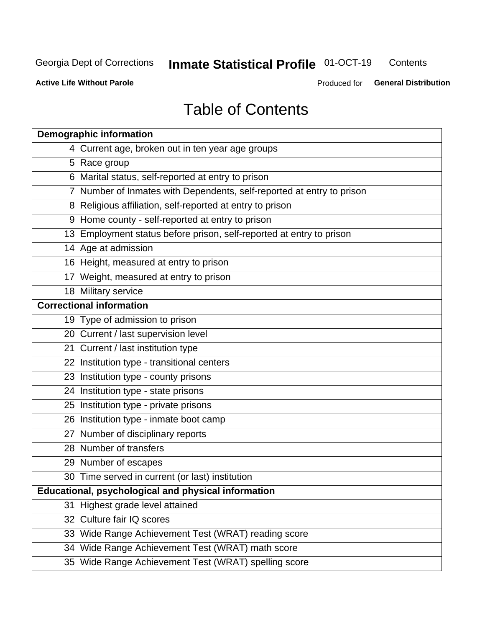#### **Inmate Statistical Profile 01-OCT-19** Contents

**Active Life Without Parole** 

Produced for General Distribution

# **Table of Contents**

|    | <b>Demographic information</b>                                        |
|----|-----------------------------------------------------------------------|
|    | 4 Current age, broken out in ten year age groups                      |
|    | 5 Race group                                                          |
|    | 6 Marital status, self-reported at entry to prison                    |
|    | 7 Number of Inmates with Dependents, self-reported at entry to prison |
|    | 8 Religious affiliation, self-reported at entry to prison             |
|    | 9 Home county - self-reported at entry to prison                      |
|    | 13 Employment status before prison, self-reported at entry to prison  |
|    | 14 Age at admission                                                   |
|    | 16 Height, measured at entry to prison                                |
|    | 17 Weight, measured at entry to prison                                |
|    | 18 Military service                                                   |
|    | <b>Correctional information</b>                                       |
|    | 19 Type of admission to prison                                        |
|    | 20 Current / last supervision level                                   |
|    | 21 Current / last institution type                                    |
|    | 22 Institution type - transitional centers                            |
|    | 23 Institution type - county prisons                                  |
|    | 24 Institution type - state prisons                                   |
|    | 25 Institution type - private prisons                                 |
|    | 26 Institution type - inmate boot camp                                |
|    | 27 Number of disciplinary reports                                     |
|    | 28 Number of transfers                                                |
|    | 29 Number of escapes                                                  |
|    | 30 Time served in current (or last) institution                       |
|    | Educational, psychological and physical information                   |
| 31 | Highest grade level attained                                          |
|    | 32 Culture fair IQ scores                                             |
|    | 33 Wide Range Achievement Test (WRAT) reading score                   |
|    | 34 Wide Range Achievement Test (WRAT) math score                      |
|    | 35 Wide Range Achievement Test (WRAT) spelling score                  |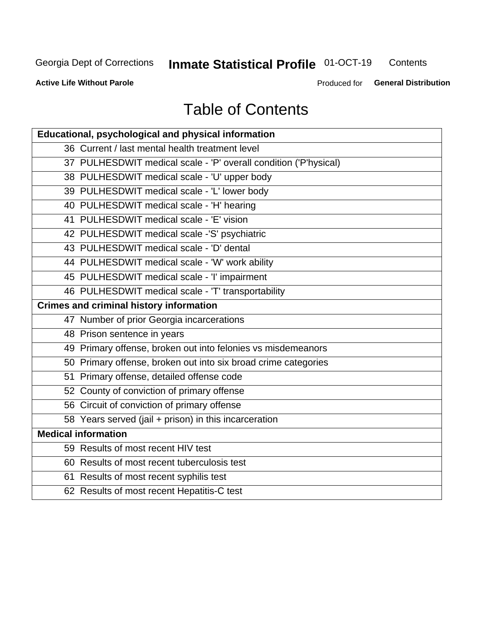#### **Inmate Statistical Profile 01-OCT-19** Contents

**Active Life Without Parole** 

Produced for General Distribution

# **Table of Contents**

| <b>Educational, psychological and physical information</b>       |
|------------------------------------------------------------------|
| 36 Current / last mental health treatment level                  |
| 37 PULHESDWIT medical scale - 'P' overall condition ('P'hysical) |
| 38 PULHESDWIT medical scale - 'U' upper body                     |
| 39 PULHESDWIT medical scale - 'L' lower body                     |
| 40 PULHESDWIT medical scale - 'H' hearing                        |
| 41 PULHESDWIT medical scale - 'E' vision                         |
| 42 PULHESDWIT medical scale -'S' psychiatric                     |
| 43 PULHESDWIT medical scale - 'D' dental                         |
| 44 PULHESDWIT medical scale - 'W' work ability                   |
| 45 PULHESDWIT medical scale - 'I' impairment                     |
| 46 PULHESDWIT medical scale - 'T' transportability               |
| <b>Crimes and criminal history information</b>                   |
| 47 Number of prior Georgia incarcerations                        |
| 48 Prison sentence in years                                      |
| 49 Primary offense, broken out into felonies vs misdemeanors     |
| 50 Primary offense, broken out into six broad crime categories   |
| 51 Primary offense, detailed offense code                        |
| 52 County of conviction of primary offense                       |
| 56 Circuit of conviction of primary offense                      |
| 58 Years served (jail + prison) in this incarceration            |
| <b>Medical information</b>                                       |
| 59 Results of most recent HIV test                               |
| 60 Results of most recent tuberculosis test                      |
| 61 Results of most recent syphilis test                          |
| 62 Results of most recent Hepatitis-C test                       |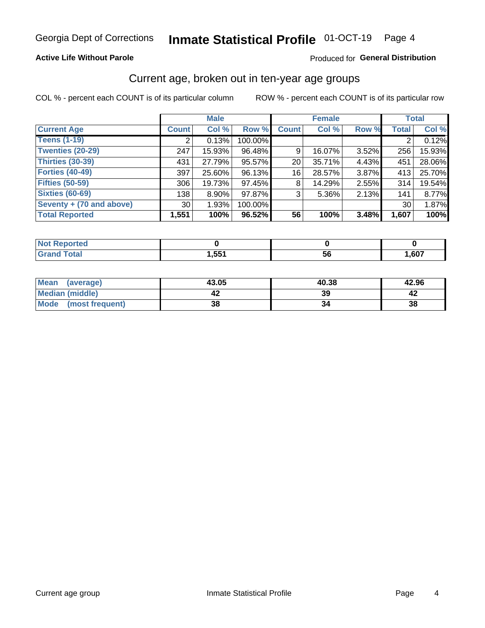### **Active Life Without Parole**

### Produced for General Distribution

## Current age, broken out in ten-year age groups

COL % - percent each COUNT is of its particular column

|                          |                 | <b>Male</b> |         |                 | <b>Female</b> | <b>Total</b> |                |        |
|--------------------------|-----------------|-------------|---------|-----------------|---------------|--------------|----------------|--------|
| <b>Current Age</b>       | <b>Count</b>    | Col %       | Row %   | <b>Count</b>    | Col %         | Row %        | <b>Total</b>   | Col %  |
| <b>Teens (1-19)</b>      | ົ               | 0.13%       | 100.00% |                 |               |              | $\overline{2}$ | 0.12%  |
| <b>Twenties (20-29)</b>  | 247             | 15.93%      | 96.48%  | 9               | 16.07%        | $3.52\%$     | 256            | 15.93% |
| Thirties (30-39)         | 431             | 27.79%      | 95.57%  | 20 <sup>1</sup> | 35.71%        | 4.43%        | 451            | 28.06% |
| <b>Forties (40-49)</b>   | 397             | 25.60%      | 96.13%  | 16              | 28.57%        | 3.87%        | 413            | 25.70% |
| <b>Fifties (50-59)</b>   | 306             | 19.73%      | 97.45%  | 8               | 14.29%        | 2.55%        | 314            | 19.54% |
| <b>Sixties (60-69)</b>   | 138             | $8.90\%$    | 97.87%  | 3               | 5.36%         | 2.13%        | 141            | 8.77%  |
| Seventy + (70 and above) | 30 <sup>1</sup> | 1.93%       | 100.00% |                 |               |              | 30             | 1.87%  |
| <b>Total Reported</b>    | 1,551           | 100%        | 96.52%  | 56              | 100%          | 3.48%        | 1,607          | 100%   |

| <b><i>A. A. A.</i></b> |      |         |      |
|------------------------|------|---------|------|
| $C = 4 - 7$            | ,551 | -0<br>v | .607 |

| Mean<br>(average)    | 43.05 | 40.38 | 42.96 |
|----------------------|-------|-------|-------|
| Median (middle)      |       | 39    |       |
| Mode (most frequent) | 38    |       | 38    |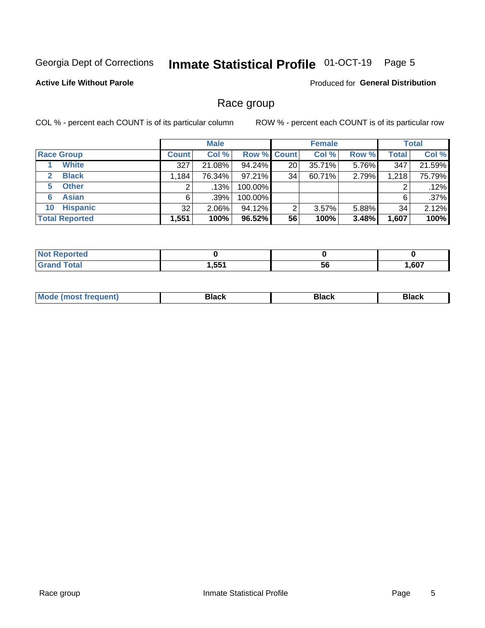#### Inmate Statistical Profile 01-OCT-19 Page 5

### **Active Life Without Parole**

Produced for General Distribution

## Race group

COL % - percent each COUNT is of its particular column

|                              | <b>Male</b>  |          |                    | <b>Female</b> |        |          | <b>Total</b> |        |
|------------------------------|--------------|----------|--------------------|---------------|--------|----------|--------------|--------|
| <b>Race Group</b>            | <b>Count</b> | Col %    | <b>Row % Count</b> |               | Col %  | Row %    | Total        | Col %  |
| <b>White</b>                 | 327          | 21.08%   | 94.24%             | 20            | 35.71% | 5.76%    | 347          | 21.59% |
| <b>Black</b><br>$\mathbf{2}$ | 1,184        | 76.34%   | $97.21\%$          | 34            | 60.71% | 2.79%    | 1,218        | 75.79% |
| <b>Other</b><br>5.           |              | $.13\%$  | 100.00%            |               |        |          | 2            | .12%   |
| <b>Asian</b><br>6            | 6            | $.39\%$  | 100.00%            |               |        |          | 6            | .37%   |
| <b>Hispanic</b><br>10        | 32           | $2.06\%$ | 94.12%             | 2             | 3.57%  | $5.88\%$ | 34           | 2.12%  |
| <b>Total Reported</b>        | 1,551        | 100%     | 96.52%             | 56            | 100%   | 3.48%    | 1,607        | 100%   |

| دی سر باب<br>тес |      |            |      |
|------------------|------|------------|------|
| Cotal<br>______  | .551 | - -<br>-56 | .607 |

| –•••• |  | M |  |  |  |
|-------|--|---|--|--|--|
|-------|--|---|--|--|--|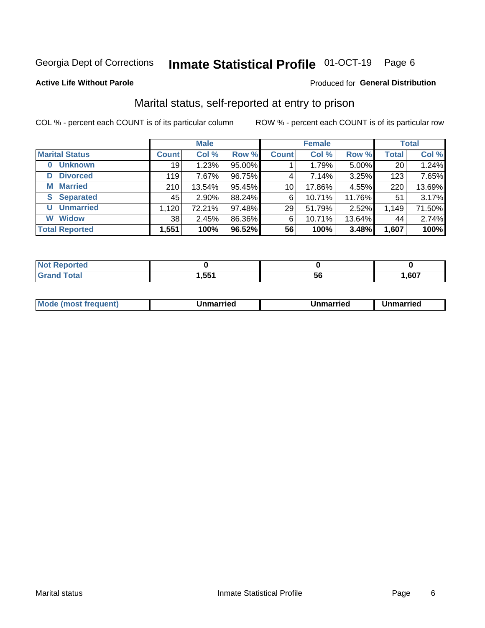#### **Inmate Statistical Profile 01-OCT-19** Page 6

### **Active Life Without Parole**

### Produced for General Distribution

## Marital status, self-reported at entry to prison

COL % - percent each COUNT is of its particular column

|                            | <b>Male</b>  |          |        | <b>Female</b>   |        |        | <b>Total</b> |        |
|----------------------------|--------------|----------|--------|-----------------|--------|--------|--------------|--------|
| <b>Marital Status</b>      | <b>Count</b> | Col %    | Row %  | <b>Count</b>    | Col %  | Row %  | <b>Total</b> | Col %  |
| <b>Unknown</b><br>$\bf{0}$ | 19           | 1.23%    | 95.00% |                 | 1.79%  | 5.00%  | 20           | 1.24%  |
| <b>Divorced</b><br>D       | 119          | 7.67%    | 96.75% | 4               | 7.14%  | 3.25%  | 123          | 7.65%  |
| <b>Married</b><br>М        | 210          | 13.54%   | 95.45% | 10 <sup>1</sup> | 17.86% | 4.55%  | 220          | 13.69% |
| <b>Separated</b><br>S.     | 45           | $2.90\%$ | 88.24% | 6               | 10.71% | 11.76% | 51           | 3.17%  |
| <b>Unmarried</b><br>U      | 1,120        | 72.21%   | 97.48% | 29              | 51.79% | 2.52%  | 1,149        | 71.50% |
| <b>Widow</b><br>W          | 38           | 2.45%    | 86.36% | 6               | 10.71% | 13.64% | 44           | 2.74%  |
| <b>Total Reported</b>      | 1,551        | 100%     | 96.52% | 56              | 100%   | 3.48%  | 1,607        | 100%   |

| <b>Not Reported</b><br>. <b>.</b> |       |    |       |
|-----------------------------------|-------|----|-------|
| Total                             | 551,ا | ჂႩ | 1,607 |

|--|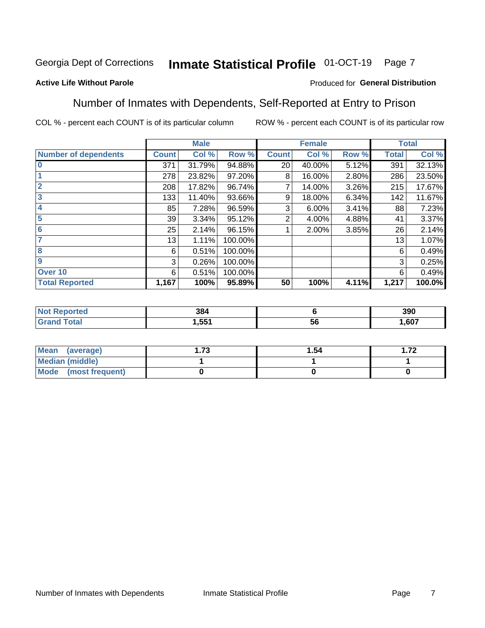#### Inmate Statistical Profile 01-OCT-19 Page 7

### **Active Life Without Parole**

### Produced for General Distribution

## Number of Inmates with Dependents, Self-Reported at Entry to Prison

COL % - percent each COUNT is of its particular column

|                             |              | <b>Male</b> |         |                | <b>Female</b> |       |              | <b>Total</b> |
|-----------------------------|--------------|-------------|---------|----------------|---------------|-------|--------------|--------------|
| <b>Number of dependents</b> | <b>Count</b> | Col %       | Row %   | <b>Count</b>   | Col %         | Row % | <b>Total</b> | Col %        |
| $\bf{0}$                    | 371          | 31.79%      | 94.88%  | 20             | 40.00%        | 5.12% | 391          | 32.13%       |
|                             | 278          | 23.82%      | 97.20%  | 8              | 16.00%        | 2.80% | 286          | 23.50%       |
| $\overline{2}$              | 208          | 17.82%      | 96.74%  |                | 14.00%        | 3.26% | 215          | 17.67%       |
| $\overline{3}$              | 133          | 11.40%      | 93.66%  | 9              | 18.00%        | 6.34% | 142          | 11.67%       |
| 4                           | 85           | 7.28%       | 96.59%  | 3              | 6.00%         | 3.41% | 88           | 7.23%        |
| $\overline{\mathbf{5}}$     | 39           | 3.34%       | 95.12%  | $\overline{2}$ | 4.00%         | 4.88% | 41           | 3.37%        |
| 6                           | 25           | 2.14%       | 96.15%  |                | 2.00%         | 3.85% | 26           | 2.14%        |
| 7                           | 13           | 1.11%       | 100.00% |                |               |       | 13           | 1.07%        |
| 8                           | 6            | 0.51%       | 100.00% |                |               |       | 6            | 0.49%        |
| $\boldsymbol{9}$            | 3            | 0.26%       | 100.00% |                |               |       | 3            | 0.25%        |
| Over 10                     | 6            | 0.51%       | 100.00% |                |               |       | 6            | 0.49%        |
| <b>Total Reported</b>       | 1,167        | 100%        | 95.89%  | 50             | 100%          | 4.11% | 1,217        | 100.0%       |

| 384  |           | 390  |
|------|-----------|------|
| .551 | $-$<br>v. | .607 |

| <b>Mean</b><br>(average) | フつ<br>I. I J | 1.54 | ר ה |
|--------------------------|--------------|------|-----|
| <b>Median (middle)</b>   |              |      |     |
| Mode (most frequent)     |              |      |     |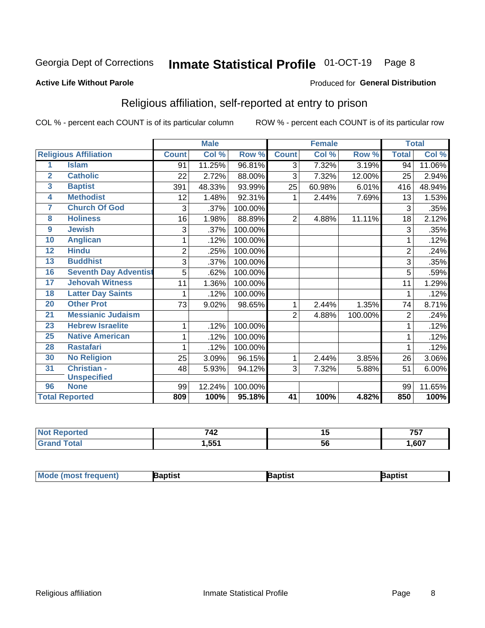#### Inmate Statistical Profile 01-OCT-19 Page 8

### **Active Life Without Parole**

### Produced for General Distribution

## Religious affiliation, self-reported at entry to prison

COL % - percent each COUNT is of its particular column

|                 |                              |                | <b>Male</b> |         | <b>Female</b>   |                            |         | <b>Total</b>   |        |
|-----------------|------------------------------|----------------|-------------|---------|-----------------|----------------------------|---------|----------------|--------|
|                 | <b>Religious Affiliation</b> | <b>Count</b>   | Col %       | Row %   | <b>Count</b>    | $\overline{\text{Col }\%}$ | Row %   | <b>Total</b>   | Col %  |
| 1               | <b>Islam</b>                 | 91             | 11.25%      | 96.81%  | 3               | 7.32%                      | 3.19%   | 94             | 11.06% |
| $\overline{2}$  | <b>Catholic</b>              | 22             | 2.72%       | 88.00%  | $\mathfrak{S}$  | 7.32%                      | 12.00%  | 25             | 2.94%  |
| 3               | <b>Baptist</b>               | 391            | 48.33%      | 93.99%  | 25              | 60.98%                     | 6.01%   | 416            | 48.94% |
| 4               | <b>Methodist</b>             | 12             | 1.48%       | 92.31%  | 1               | 2.44%                      | 7.69%   | 13             | 1.53%  |
| 7               | <b>Church Of God</b>         | 3              | .37%        | 100.00% |                 |                            |         | 3              | .35%   |
| 8               | <b>Holiness</b>              | 16             | 1.98%       | 88.89%  | $\overline{2}$  | 4.88%                      | 11.11%  | 18             | 2.12%  |
| 9               | <b>Jewish</b>                | 3              | .37%        | 100.00% |                 |                            |         | 3              | .35%   |
| 10              | <b>Anglican</b>              | 1              | .12%        | 100.00% |                 |                            |         |                | .12%   |
| $\overline{12}$ | <b>Hindu</b>                 | $\overline{2}$ | .25%        | 100.00% |                 |                            |         | $\overline{2}$ | .24%   |
| 13              | <b>Buddhist</b>              | 3              | .37%        | 100.00% |                 |                            |         | 3              | .35%   |
| 16              | <b>Seventh Day Adventist</b> | 5              | .62%        | 100.00% |                 |                            |         | 5              | .59%   |
| 17              | <b>Jehovah Witness</b>       | 11             | 1.36%       | 100.00% |                 |                            |         | 11             | 1.29%  |
| 18              | <b>Latter Day Saints</b>     | 1              | .12%        | 100.00% |                 |                            |         |                | .12%   |
| $\overline{20}$ | <b>Other Prot</b>            | 73             | 9.02%       | 98.65%  | 1               | 2.44%                      | 1.35%   | 74             | 8.71%  |
| 21              | <b>Messianic Judaism</b>     |                |             |         | $\overline{2}$  | 4.88%                      | 100.00% | $\overline{2}$ | .24%   |
| 23              | <b>Hebrew Israelite</b>      | 1              | .12%        | 100.00% |                 |                            |         |                | .12%   |
| 25              | <b>Native American</b>       | 1              | .12%        | 100.00% |                 |                            |         |                | .12%   |
| 28              | <b>Rastafari</b>             |                | .12%        | 100.00% |                 |                            |         |                | .12%   |
| 30              | <b>No Religion</b>           | 25             | 3.09%       | 96.15%  | 1               | 2.44%                      | 3.85%   | 26             | 3.06%  |
| 31              | <b>Christian -</b>           | 48             | 5.93%       | 94.12%  | 3               | 7.32%                      | 5.88%   | 51             | 6.00%  |
|                 | <b>Unspecified</b>           |                |             |         |                 |                            |         |                |        |
| 96              | <b>None</b>                  | 99             | 12.24%      | 100.00% |                 |                            |         | 99             | 11.65% |
|                 | <b>Total Reported</b>        | 809            | 100%        | 95.18%  | $\overline{41}$ | 100%                       | 4.82%   | 850            | 100%   |

| æv | フィク<br>$\sim$ $+$ $\sim$ | 1 J        | ---<br>, J |
|----|--------------------------|------------|------------|
|    | 551<br>$\sim$            | - -<br>-56 | ,607       |

| <b>Mode (most frequent)</b><br>3aptist<br>3aptisเ<br>aptist |
|-------------------------------------------------------------|
|-------------------------------------------------------------|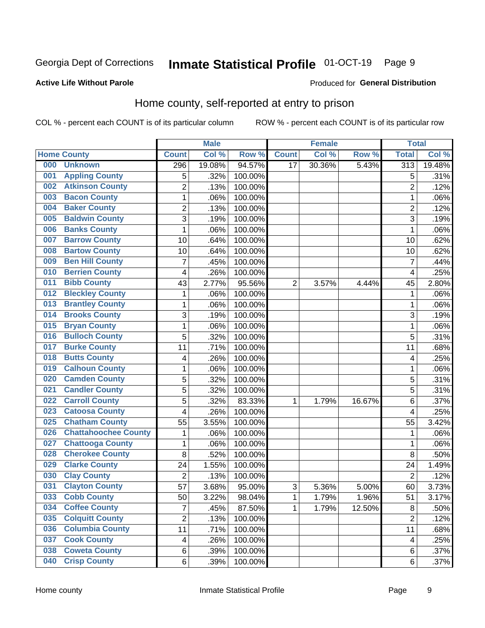#### Inmate Statistical Profile 01-OCT-19 Page 9

### **Active Life Without Parole**

### Produced for General Distribution

## Home county, self-reported at entry to prison

COL % - percent each COUNT is of its particular column

|     |                             |                         | <b>Male</b> |         |              | <b>Female</b> |          | <b>Total</b>     |        |
|-----|-----------------------------|-------------------------|-------------|---------|--------------|---------------|----------|------------------|--------|
|     | <b>Home County</b>          | <b>Count</b>            | Col %       | Row %   | <b>Count</b> | Col %         | Row %    | <b>Total</b>     | Col %  |
| 000 | <b>Unknown</b>              | 296                     | 19.08%      | 94.57%  | 17           | 30.36%        | 5.43%    | $\overline{313}$ | 19.48% |
| 001 | <b>Appling County</b>       | 5                       | .32%        | 100.00% |              |               |          | 5                | .31%   |
| 002 | <b>Atkinson County</b>      | $\overline{c}$          | .13%        | 100.00% |              |               |          | $\overline{2}$   | .12%   |
| 003 | <b>Bacon County</b>         | $\mathbf 1$             | .06%        | 100.00% |              |               |          | 1                | .06%   |
| 004 | <b>Baker County</b>         | $\overline{c}$          | .13%        | 100.00% |              |               |          | $\overline{2}$   | .12%   |
| 005 | <b>Baldwin County</b>       | 3                       | .19%        | 100.00% |              |               |          | 3                | .19%   |
| 006 | <b>Banks County</b>         | $\mathbf{1}$            | .06%        | 100.00% |              |               |          | 1                | .06%   |
| 007 | <b>Barrow County</b>        | 10                      | .64%        | 100.00% |              |               |          | 10               | .62%   |
| 008 | <b>Bartow County</b>        | 10                      | .64%        | 100.00% |              |               |          | 10               | .62%   |
| 009 | <b>Ben Hill County</b>      | $\overline{7}$          | .45%        | 100.00% |              |               |          | 7                | .44%   |
| 010 | <b>Berrien County</b>       | 4                       | .26%        | 100.00% |              |               |          | 4                | .25%   |
| 011 | <b>Bibb County</b>          | 43                      | 2.77%       | 95.56%  | 2            | 3.57%         | 4.44%    | 45               | 2.80%  |
| 012 | <b>Bleckley County</b>      | $\mathbf 1$             | .06%        | 100.00% |              |               |          | $\mathbf 1$      | .06%   |
| 013 | <b>Brantley County</b>      | $\mathbf 1$             | .06%        | 100.00% |              |               |          | 1                | .06%   |
| 014 | <b>Brooks County</b>        | 3                       | .19%        | 100.00% |              |               |          | 3                | .19%   |
| 015 | <b>Bryan County</b>         | $\mathbf{1}$            | .06%        | 100.00% |              |               |          | 1                | .06%   |
| 016 | <b>Bulloch County</b>       | 5                       | .32%        | 100.00% |              |               |          | 5                | .31%   |
| 017 | <b>Burke County</b>         | 11                      | .71%        | 100.00% |              |               |          | 11               | .68%   |
| 018 | <b>Butts County</b>         | 4                       | .26%        | 100.00% |              |               |          | 4                | .25%   |
| 019 | <b>Calhoun County</b>       | $\mathbf 1$             | .06%        | 100.00% |              |               |          | 1                | .06%   |
| 020 | <b>Camden County</b>        | 5                       | .32%        | 100.00% |              |               |          | 5                | .31%   |
| 021 | <b>Candler County</b>       | 5                       | .32%        | 100.00% |              |               |          | 5                | .31%   |
| 022 | <b>Carroll County</b>       | 5                       | .32%        | 83.33%  | 1            | 1.79%         | 16.67%   | 6                | .37%   |
| 023 | <b>Catoosa County</b>       | 4                       | .26%        | 100.00% |              |               |          | $\overline{4}$   | .25%   |
| 025 | <b>Chatham County</b>       | 55                      | 3.55%       | 100.00% |              |               |          | 55               | 3.42%  |
| 026 | <b>Chattahoochee County</b> | $\mathbf 1$             | .06%        | 100.00% |              |               |          | 1                | .06%   |
| 027 | <b>Chattooga County</b>     | $\mathbf 1$             | .06%        | 100.00% |              |               |          | 1                | .06%   |
| 028 | <b>Cherokee County</b>      | 8                       | .52%        | 100.00% |              |               |          | 8                | .50%   |
| 029 | <b>Clarke County</b>        | 24                      | 1.55%       | 100.00% |              |               |          | 24               | 1.49%  |
| 030 | <b>Clay County</b>          | $\overline{2}$          | .13%        | 100.00% |              |               |          | $\overline{2}$   | .12%   |
| 031 | <b>Clayton County</b>       | 57                      | 3.68%       | 95.00%  | 3            | 5.36%         | 5.00%    | 60               | 3.73%  |
| 033 | <b>Cobb County</b>          | 50                      | 3.22%       | 98.04%  | 1            | 1.79%         | $1.96\%$ | 51               | 3.17%  |
| 034 | <b>Coffee County</b>        | $\overline{7}$          | .45%        | 87.50%  | 1            | 1.79%         | 12.50%   | 8                | .50%   |
| 035 | <b>Colquitt County</b>      | $\overline{2}$          | .13%        | 100.00% |              |               |          | $\overline{2}$   | .12%   |
| 036 | <b>Columbia County</b>      | 11                      | .71%        | 100.00% |              |               |          | 11               | .68%   |
| 037 | <b>Cook County</b>          | $\overline{\mathbf{4}}$ | .26%        | 100.00% |              |               |          | 4                | .25%   |
| 038 | <b>Coweta County</b>        | 6                       | .39%        | 100.00% |              |               |          | 6                | .37%   |
| 040 | <b>Crisp County</b>         | 6                       | .39%        | 100.00% |              |               |          | 6                | .37%   |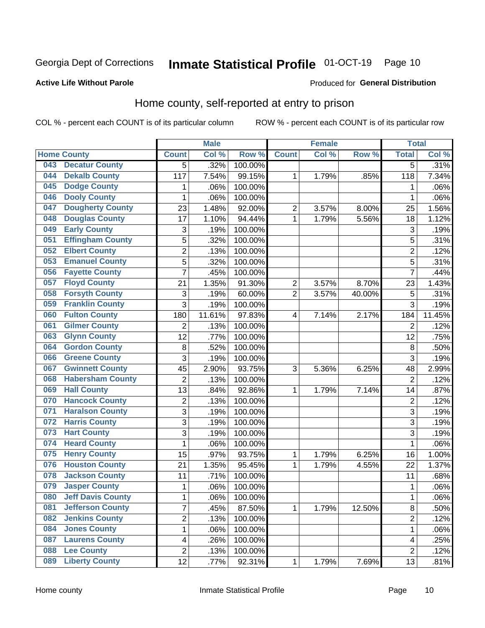## Inmate Statistical Profile 01-OCT-19 Page 10

### **Active Life Without Parole**

### Produced for General Distribution

## Home county, self-reported at entry to prison

COL % - percent each COUNT is of its particular column

|     |                          |                | <b>Male</b> |         |                         | <b>Female</b> |        | <b>Total</b>   |        |
|-----|--------------------------|----------------|-------------|---------|-------------------------|---------------|--------|----------------|--------|
|     | <b>Home County</b>       | <b>Count</b>   | Col %       | Row %   | <b>Count</b>            | Col %         | Row %  | <b>Total</b>   | Col %  |
| 043 | <b>Decatur County</b>    | 5              | .32%        | 100.00% |                         |               |        | 5              | .31%   |
| 044 | <b>Dekalb County</b>     | 117            | 7.54%       | 99.15%  | 1                       | 1.79%         | .85%   | 118            | 7.34%  |
| 045 | <b>Dodge County</b>      | 1              | .06%        | 100.00% |                         |               |        | 1              | .06%   |
| 046 | <b>Dooly County</b>      | 1              | .06%        | 100.00% |                         |               |        | 1              | .06%   |
| 047 | <b>Dougherty County</b>  | 23             | 1.48%       | 92.00%  | $\overline{c}$          | 3.57%         | 8.00%  | 25             | 1.56%  |
| 048 | <b>Douglas County</b>    | 17             | 1.10%       | 94.44%  | 1                       | 1.79%         | 5.56%  | 18             | 1.12%  |
| 049 | <b>Early County</b>      | 3              | .19%        | 100.00% |                         |               |        | 3              | .19%   |
| 051 | <b>Effingham County</b>  | 5              | .32%        | 100.00% |                         |               |        | 5              | .31%   |
| 052 | <b>Elbert County</b>     | $\overline{c}$ | .13%        | 100.00% |                         |               |        | $\overline{2}$ | .12%   |
| 053 | <b>Emanuel County</b>    | 5              | .32%        | 100.00% |                         |               |        | 5              | .31%   |
| 056 | <b>Fayette County</b>    | $\overline{7}$ | .45%        | 100.00% |                         |               |        | $\overline{7}$ | .44%   |
| 057 | <b>Floyd County</b>      | 21             | 1.35%       | 91.30%  | $\overline{\mathbf{c}}$ | 3.57%         | 8.70%  | 23             | 1.43%  |
| 058 | <b>Forsyth County</b>    | 3              | .19%        | 60.00%  | $\overline{2}$          | 3.57%         | 40.00% | 5              | .31%   |
| 059 | <b>Franklin County</b>   | 3              | .19%        | 100.00% |                         |               |        | 3              | .19%   |
| 060 | <b>Fulton County</b>     | 180            | 11.61%      | 97.83%  | 4                       | 7.14%         | 2.17%  | 184            | 11.45% |
| 061 | <b>Gilmer County</b>     | $\overline{2}$ | .13%        | 100.00% |                         |               |        | $\overline{2}$ | .12%   |
| 063 | <b>Glynn County</b>      | 12             | .77%        | 100.00% |                         |               |        | 12             | .75%   |
| 064 | <b>Gordon County</b>     | 8              | .52%        | 100.00% |                         |               |        | $\,8\,$        | .50%   |
| 066 | <b>Greene County</b>     | 3              | .19%        | 100.00% |                         |               |        | 3              | .19%   |
| 067 | <b>Gwinnett County</b>   | 45             | 2.90%       | 93.75%  | 3                       | 5.36%         | 6.25%  | 48             | 2.99%  |
| 068 | <b>Habersham County</b>  | $\overline{2}$ | .13%        | 100.00% |                         |               |        | $\overline{2}$ | .12%   |
| 069 | <b>Hall County</b>       | 13             | .84%        | 92.86%  | 1                       | 1.79%         | 7.14%  | 14             | .87%   |
| 070 | <b>Hancock County</b>    | $\overline{2}$ | .13%        | 100.00% |                         |               |        | $\overline{2}$ | .12%   |
| 071 | <b>Haralson County</b>   | 3              | .19%        | 100.00% |                         |               |        | 3              | .19%   |
| 072 | <b>Harris County</b>     | 3              | .19%        | 100.00% |                         |               |        | 3              | .19%   |
| 073 | <b>Hart County</b>       | 3              | .19%        | 100.00% |                         |               |        | 3              | .19%   |
| 074 | <b>Heard County</b>      | $\mathbf 1$    | .06%        | 100.00% |                         |               |        | 1              | .06%   |
| 075 | <b>Henry County</b>      | 15             | .97%        | 93.75%  | 1                       | 1.79%         | 6.25%  | 16             | 1.00%  |
| 076 | <b>Houston County</b>    | 21             | 1.35%       | 95.45%  | 1                       | 1.79%         | 4.55%  | 22             | 1.37%  |
| 078 | <b>Jackson County</b>    | 11             | .71%        | 100.00% |                         |               |        | 11             | .68%   |
| 079 | <b>Jasper County</b>     | 1              | .06%        | 100.00% |                         |               |        | 1              | .06%   |
| 080 | <b>Jeff Davis County</b> | 1              | .06%        | 100.00% |                         |               |        | 1              | .06%   |
| 081 | <b>Jefferson County</b>  | $\overline{7}$ | .45%        | 87.50%  | $\mathbf{1}$            | 1.79%         | 12.50% | 8              | .50%   |
| 082 | <b>Jenkins County</b>    | $\overline{2}$ | .13%        | 100.00% |                         |               |        | 2              | .12%   |
| 084 | <b>Jones County</b>      | $\mathbf 1$    | .06%        | 100.00% |                         |               |        | $\mathbf 1$    | .06%   |
| 087 | <b>Laurens County</b>    | 4              | .26%        | 100.00% |                         |               |        | 4              | .25%   |
| 088 | <b>Lee County</b>        | $\overline{c}$ | .13%        | 100.00% |                         |               |        | $\overline{2}$ | .12%   |
| 089 | <b>Liberty County</b>    | 12             | .77%        | 92.31%  | $\mathbf 1$             | 1.79%         | 7.69%  | 13             | .81%   |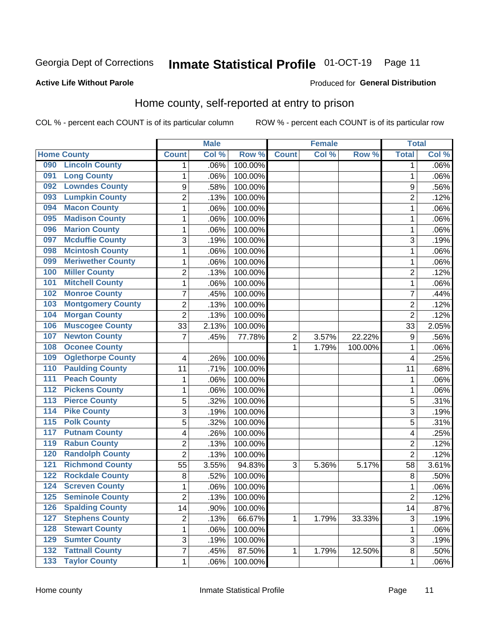## Inmate Statistical Profile 01-OCT-19 Page 11

### **Active Life Without Parole**

### Produced for General Distribution

## Home county, self-reported at entry to prison

COL % - percent each COUNT is of its particular column

|                  |                          |                | <b>Male</b> |         |              | <b>Female</b> |         | <b>Total</b>   |         |
|------------------|--------------------------|----------------|-------------|---------|--------------|---------------|---------|----------------|---------|
|                  | <b>Home County</b>       | <b>Count</b>   | Col %       | Row %   | <b>Count</b> | Col %         | Row %   | <b>Total</b>   | Col %   |
| 090              | <b>Lincoln County</b>    | 1              | .06%        | 100.00% |              |               |         | 1              | $.06\%$ |
| 091              | <b>Long County</b>       | 1              | .06%        | 100.00% |              |               |         | 1              | .06%    |
| 092              | <b>Lowndes County</b>    | 9              | .58%        | 100.00% |              |               |         | 9              | .56%    |
| 093              | <b>Lumpkin County</b>    | $\overline{2}$ | .13%        | 100.00% |              |               |         | $\overline{2}$ | .12%    |
| 094              | <b>Macon County</b>      | $\mathbf 1$    | .06%        | 100.00% |              |               |         | 1              | .06%    |
| 095              | <b>Madison County</b>    | $\mathbf 1$    | .06%        | 100.00% |              |               |         | 1              | .06%    |
| 096              | <b>Marion County</b>     | $\mathbf 1$    | .06%        | 100.00% |              |               |         | 1              | .06%    |
| 097              | <b>Mcduffie County</b>   | 3              | .19%        | 100.00% |              |               |         | 3              | .19%    |
| 098              | <b>Mcintosh County</b>   | $\mathbf 1$    | .06%        | 100.00% |              |               |         | 1              | .06%    |
| 099              | <b>Meriwether County</b> | $\mathbf 1$    | .06%        | 100.00% |              |               |         | 1              | .06%    |
| 100              | <b>Miller County</b>     | $\overline{c}$ | .13%        | 100.00% |              |               |         | 2              | .12%    |
| 101              | <b>Mitchell County</b>   | $\mathbf 1$    | .06%        | 100.00% |              |               |         | 1              | .06%    |
| 102              | <b>Monroe County</b>     | 7              | .45%        | 100.00% |              |               |         | 7              | .44%    |
| 103              | <b>Montgomery County</b> | $\overline{2}$ | .13%        | 100.00% |              |               |         | $\overline{2}$ | .12%    |
| 104              | <b>Morgan County</b>     | $\overline{2}$ | .13%        | 100.00% |              |               |         | $\overline{2}$ | .12%    |
| 106              | <b>Muscogee County</b>   | 33             | 2.13%       | 100.00% |              |               |         | 33             | 2.05%   |
| 107              | <b>Newton County</b>     | 7              | .45%        | 77.78%  | 2            | 3.57%         | 22.22%  | 9              | .56%    |
| 108              | <b>Oconee County</b>     |                |             |         | 1            | 1.79%         | 100.00% | 1              | .06%    |
| 109              | <b>Oglethorpe County</b> | 4              | .26%        | 100.00% |              |               |         | 4              | .25%    |
| 110              | <b>Paulding County</b>   | 11             | .71%        | 100.00% |              |               |         | 11             | .68%    |
| 111              | <b>Peach County</b>      | 1              | .06%        | 100.00% |              |               |         | 1              | .06%    |
| $\overline{112}$ | <b>Pickens County</b>    | $\mathbf 1$    | .06%        | 100.00% |              |               |         | 1              | .06%    |
| 113              | <b>Pierce County</b>     | 5              | .32%        | 100.00% |              |               |         | 5              | .31%    |
| 114              | <b>Pike County</b>       | 3              | .19%        | 100.00% |              |               |         | 3              | .19%    |
| $\overline{115}$ | <b>Polk County</b>       | 5              | .32%        | 100.00% |              |               |         | 5              | .31%    |
| 117              | <b>Putnam County</b>     | 4              | .26%        | 100.00% |              |               |         | 4              | .25%    |
| 119              | <b>Rabun County</b>      | $\overline{2}$ | .13%        | 100.00% |              |               |         | $\overline{2}$ | .12%    |
| 120              | <b>Randolph County</b>   | $\overline{2}$ | .13%        | 100.00% |              |               |         | $\overline{2}$ | .12%    |
| 121              | <b>Richmond County</b>   | 55             | 3.55%       | 94.83%  | 3            | 5.36%         | 5.17%   | 58             | 3.61%   |
| 122              | <b>Rockdale County</b>   | 8              | .52%        | 100.00% |              |               |         | 8              | .50%    |
| 124              | <b>Screven County</b>    | 1              | .06%        | 100.00% |              |               |         | 1              | .06%    |
| 125              | <b>Seminole County</b>   | 2              | .13%        | 100.00% |              |               |         | $\overline{c}$ | .12%    |
| 126              | <b>Spalding County</b>   | 14             | .90%        | 100.00% |              |               |         | 14             | .87%    |
| 127              | <b>Stephens County</b>   | $\overline{c}$ | .13%        | 66.67%  | 1            | 1.79%         | 33.33%  | $\mathfrak{S}$ | .19%    |
| 128              | <b>Stewart County</b>    | $\mathbf 1$    | .06%        | 100.00% |              |               |         | 1              | .06%    |
| 129              | <b>Sumter County</b>     | 3              | .19%        | 100.00% |              |               |         | $\sqrt{3}$     | .19%    |
| 132              | <b>Tattnall County</b>   | $\overline{7}$ | .45%        | 87.50%  | 1            | 1.79%         | 12.50%  | 8              | .50%    |
| 133              | <b>Taylor County</b>     | $\mathbf{1}$   | .06%        | 100.00% |              |               |         | 1              | .06%    |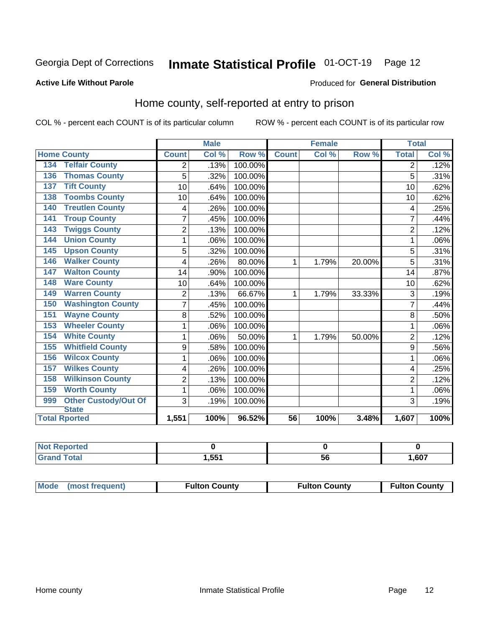## Inmate Statistical Profile 01-OCT-19 Page 12

### **Active Life Without Parole**

### Produced for General Distribution

## Home county, self-reported at entry to prison

COL % - percent each COUNT is of its particular column

|                                    |                | <b>Male</b>                |         |              | <b>Female</b> |        | <b>Total</b>   |                            |
|------------------------------------|----------------|----------------------------|---------|--------------|---------------|--------|----------------|----------------------------|
| <b>Home County</b>                 | <b>Count</b>   | $\overline{\text{Col }^9}$ | Row %   | <b>Count</b> | Col %         | Row %  | <b>Total</b>   | $\overline{\text{Col }\%}$ |
| <b>Telfair County</b><br>134       | 2              | .13%                       | 100.00% |              |               |        | 2              | .12%                       |
| <b>Thomas County</b><br>136        | 5              | .32%                       | 100.00% |              |               |        | 5              | .31%                       |
| <b>Tift County</b><br>137          | 10             | .64%                       | 100.00% |              |               |        | 10             | .62%                       |
| <b>Toombs County</b><br>138        | 10             | .64%                       | 100.00% |              |               |        | 10             | .62%                       |
| <b>Treutlen County</b><br>140      | 4              | .26%                       | 100.00% |              |               |        | 4              | .25%                       |
| <b>Troup County</b><br>141         | 7              | .45%                       | 100.00% |              |               |        |                | .44%                       |
| <b>Twiggs County</b><br>143        | $\overline{2}$ | .13%                       | 100.00% |              |               |        | $\overline{2}$ | .12%                       |
| <b>Union County</b><br>144         | 1              | .06%                       | 100.00% |              |               |        | 1              | .06%                       |
| <b>Upson County</b><br>145         | 5              | .32%                       | 100.00% |              |               |        | 5              | .31%                       |
| <b>Walker County</b><br>146        | 4              | .26%                       | 80.00%  | 1            | 1.79%         | 20.00% | 5              | .31%                       |
| <b>Walton County</b><br>147        | 14             | .90%                       | 100.00% |              |               |        | 14             | .87%                       |
| <b>Ware County</b><br>148          | 10             | .64%                       | 100.00% |              |               |        | 10             | .62%                       |
| <b>Warren County</b><br>149        | $\overline{2}$ | .13%                       | 66.67%  | 1            | 1.79%         | 33.33% | 3              | .19%                       |
| <b>Washington County</b><br>150    | $\overline{7}$ | .45%                       | 100.00% |              |               |        | 7              | .44%                       |
| <b>Wayne County</b><br>151         | 8              | .52%                       | 100.00% |              |               |        | 8              | .50%                       |
| <b>Wheeler County</b><br>153       | 1              | .06%                       | 100.00% |              |               |        | 1              | .06%                       |
| <b>White County</b><br>154         | 1              | .06%                       | 50.00%  | 1            | 1.79%         | 50.00% | $\overline{2}$ | .12%                       |
| <b>Whitfield County</b><br>155     | 9              | .58%                       | 100.00% |              |               |        | 9              | .56%                       |
| <b>Wilcox County</b><br>156        | 1              | .06%                       | 100.00% |              |               |        |                | .06%                       |
| <b>Wilkes County</b><br>157        | 4              | .26%                       | 100.00% |              |               |        | 4              | .25%                       |
| <b>Wilkinson County</b><br>158     | $\overline{2}$ | .13%                       | 100.00% |              |               |        | $\overline{2}$ | .12%                       |
| <b>Worth County</b><br>159         | 1              | .06%                       | 100.00% |              |               |        | 1              | .06%                       |
| <b>Other Custody/Out Of</b><br>999 | 3              | .19%                       | 100.00% |              |               |        | 3              | .19%                       |
| <b>State</b>                       |                |                            |         |              |               |        |                |                            |
| <b>Total Rported</b>               | 1,551          | 100%                       | 96.52%  | 56           | 100%          | 3.48%  | 1,607          | 100%                       |

| Reported<br><b>NOT</b> |      |    |      |
|------------------------|------|----|------|
| `otal                  | ,551 | ວບ | .607 |

| Mode (most frequent) | <b>Fulton County</b> | <b>Fulton County</b> | <b>Fulton County</b> |
|----------------------|----------------------|----------------------|----------------------|
|----------------------|----------------------|----------------------|----------------------|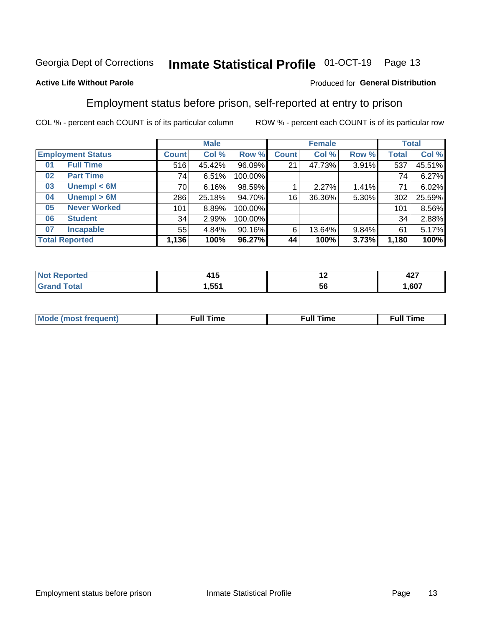#### Inmate Statistical Profile 01-OCT-19 Page 13

### **Active Life Without Parole**

### Produced for General Distribution

## Employment status before prison, self-reported at entry to prison

COL % - percent each COUNT is of its particular column

|                           | <b>Male</b>  |        |         |              | <b>Female</b> |       |       | <b>Total</b> |  |
|---------------------------|--------------|--------|---------|--------------|---------------|-------|-------|--------------|--|
| <b>Employment Status</b>  | <b>Count</b> | Col %  | Row %   | <b>Count</b> | Col %         | Row % | Total | Col %        |  |
| <b>Full Time</b><br>01    | 516          | 45.42% | 96.09%  | 21           | 47.73%        | 3.91% | 537   | 45.51%       |  |
| <b>Part Time</b><br>02    | 74           | 6.51%  | 100.00% |              |               |       | 74    | 6.27%        |  |
| Unempl $<$ 6M<br>03       | 70           | 6.16%  | 98.59%  |              | 2.27%         | 1.41% | 71    | 6.02%        |  |
| Unempl > 6M<br>04         | 286          | 25.18% | 94.70%  | 16           | 36.36%        | 5.30% | 302   | 25.59%       |  |
| <b>Never Worked</b><br>05 | 101          | 8.89%  | 100.00% |              |               |       | 101   | 8.56%        |  |
| <b>Student</b><br>06      | 34           | 2.99%  | 100.00% |              |               |       | 34    | 2.88%        |  |
| <b>Incapable</b><br>07    | 55           | 4.84%  | 90.16%  | 6            | 13.64%        | 9.84% | 61    | 5.17%        |  |
| <b>Total Reported</b>     | 1,136        | 100%   | 96.27%  | 44           | 100%          | 3.73% | 1,180 | 100%         |  |

| .<br>. .<br>$\sim$ | $\overline{\phantom{0}}$ | $\sim$<br>74 I |
|--------------------|--------------------------|----------------|
| 1.551              | ວເ                       | .607           |

| Mc | ∴ull | ----<br>ıme<br>w |
|----|------|------------------|
|    |      |                  |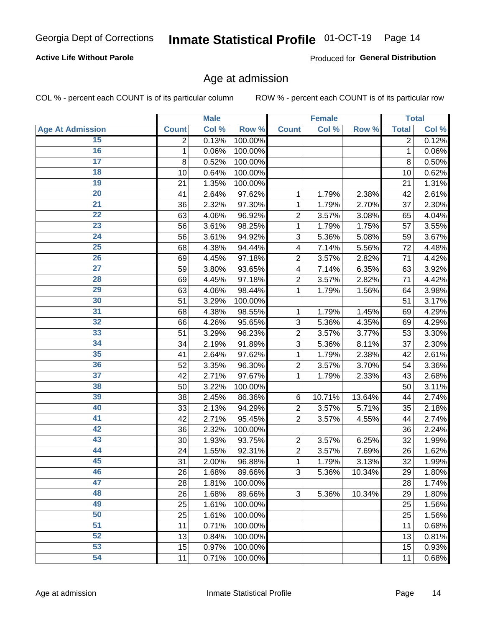## **Active Life Without Parole**

Produced for General Distribution

## Age at admission

COL % - percent each COUNT is of its particular column

|                         |              | <b>Male</b> |         |                | <b>Female</b> |        |              | <b>Total</b> |
|-------------------------|--------------|-------------|---------|----------------|---------------|--------|--------------|--------------|
| <b>Age At Admission</b> | <b>Count</b> | Col %       | Row %   | <b>Count</b>   | Col %         | Row %  | <b>Total</b> | Col %        |
| 15                      | 2            | 0.13%       | 100.00% |                |               |        | 2            | 0.12%        |
| 16                      | 1            | 0.06%       | 100.00% |                |               |        | 1            | 0.06%        |
| $\overline{17}$         | 8            | 0.52%       | 100.00% |                |               |        | 8            | 0.50%        |
| 18                      | 10           | 0.64%       | 100.00% |                |               |        | 10           | 0.62%        |
| 19                      | 21           | 1.35%       | 100.00% |                |               |        | 21           | 1.31%        |
| $\overline{20}$         | 41           | 2.64%       | 97.62%  | 1              | 1.79%         | 2.38%  | 42           | 2.61%        |
| $\overline{21}$         | 36           | 2.32%       | 97.30%  | 1              | 1.79%         | 2.70%  | 37           | 2.30%        |
| 22                      | 63           | 4.06%       | 96.92%  | $\overline{2}$ | 3.57%         | 3.08%  | 65           | 4.04%        |
| 23                      | 56           | 3.61%       | 98.25%  | 1              | 1.79%         | 1.75%  | 57           | 3.55%        |
| 24                      | 56           | 3.61%       | 94.92%  | 3              | 5.36%         | 5.08%  | 59           | 3.67%        |
| $\overline{25}$         | 68           | 4.38%       | 94.44%  | 4              | 7.14%         | 5.56%  | 72           | 4.48%        |
| 26                      | 69           | 4.45%       | 97.18%  | $\overline{2}$ | 3.57%         | 2.82%  | 71           | 4.42%        |
| $\overline{27}$         | 59           | 3.80%       | 93.65%  | 4              | 7.14%         | 6.35%  | 63           | 3.92%        |
| 28                      | 69           | 4.45%       | 97.18%  | $\overline{2}$ | 3.57%         | 2.82%  | 71           | 4.42%        |
| 29                      | 63           | 4.06%       | 98.44%  | 1              | 1.79%         | 1.56%  | 64           | 3.98%        |
| 30                      | 51           | 3.29%       | 100.00% |                |               |        | 51           | 3.17%        |
| 31                      | 68           | 4.38%       | 98.55%  | 1              | 1.79%         | 1.45%  | 69           | 4.29%        |
| 32                      | 66           | 4.26%       | 95.65%  | 3              | 5.36%         | 4.35%  | 69           | 4.29%        |
| 33                      | 51           | 3.29%       | 96.23%  | $\overline{2}$ | 3.57%         | 3.77%  | 53           | 3.30%        |
| 34                      | 34           | 2.19%       | 91.89%  | 3              | 5.36%         | 8.11%  | 37           | 2.30%        |
| 35                      | 41           | 2.64%       | 97.62%  | 1              | 1.79%         | 2.38%  | 42           | 2.61%        |
| 36                      | 52           | 3.35%       | 96.30%  | $\overline{2}$ | 3.57%         | 3.70%  | 54           | 3.36%        |
| 37                      | 42           | 2.71%       | 97.67%  | 1              | 1.79%         | 2.33%  | 43           | 2.68%        |
| 38                      | 50           | 3.22%       | 100.00% |                |               |        | 50           | 3.11%        |
| 39                      | 38           | 2.45%       | 86.36%  | 6              | 10.71%        | 13.64% | 44           | 2.74%        |
| 40                      | 33           | 2.13%       | 94.29%  | $\overline{2}$ | 3.57%         | 5.71%  | 35           | 2.18%        |
| 41                      | 42           | 2.71%       | 95.45%  | $\overline{2}$ | 3.57%         | 4.55%  | 44           | 2.74%        |
| 42                      | 36           | 2.32%       | 100.00% |                |               |        | 36           | 2.24%        |
| 43                      | 30           | 1.93%       | 93.75%  | $\overline{2}$ | 3.57%         | 6.25%  | 32           | 1.99%        |
| 44                      | 24           | 1.55%       | 92.31%  | $\overline{2}$ | 3.57%         | 7.69%  | 26           | 1.62%        |
| 45                      | 31           | 2.00%       | 96.88%  | 1              | 1.79%         | 3.13%  | 32           | 1.99%        |
| 46                      | 26           | 1.68%       | 89.66%  | 3              | 5.36%         | 10.34% | 29           | 1.80%        |
| 47                      | 28           | 1.81%       | 100.00% |                |               |        | 28           | 1.74%        |
| 48                      | 26           | 1.68%       | 89.66%  | 3              | 5.36%         | 10.34% | 29           | 1.80%        |
| 49                      | 25           | 1.61%       | 100.00% |                |               |        | 25           | 1.56%        |
| 50                      | 25           | 1.61%       | 100.00% |                |               |        | 25           | 1.56%        |
| $\overline{51}$         | 11           | 0.71%       | 100.00% |                |               |        | 11           | 0.68%        |
| 52                      | 13           | 0.84%       | 100.00% |                |               |        | 13           | 0.81%        |
| 53                      | 15           | 0.97%       | 100.00% |                |               |        | 15           | 0.93%        |
| 54                      | 11           | 0.71%       | 100.00% |                |               |        | 11           | 0.68%        |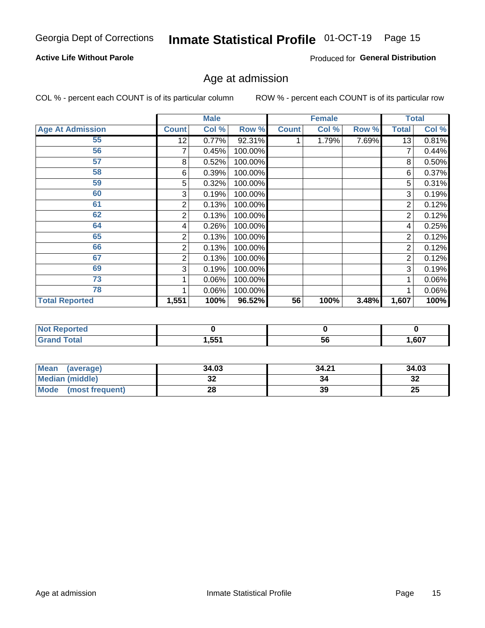## **Active Life Without Parole**

Produced for General Distribution

## Age at admission

COL % - percent each COUNT is of its particular column

|                         |              | <b>Male</b> |         |              | <b>Female</b> |       |                | <b>Total</b> |
|-------------------------|--------------|-------------|---------|--------------|---------------|-------|----------------|--------------|
| <b>Age At Admission</b> | <b>Count</b> | Col %       | Row %   | <b>Count</b> | Col %         | Row % | <b>Total</b>   | Col %        |
| 55                      | 12           | 0.77%       | 92.31%  |              | 1.79%         | 7.69% | 13             | 0.81%        |
| 56                      | 7            | 0.45%       | 100.00% |              |               |       |                | 0.44%        |
| 57                      | 8            | 0.52%       | 100.00% |              |               |       | 8              | 0.50%        |
| 58                      | 6            | 0.39%       | 100.00% |              |               |       | 6              | 0.37%        |
| 59                      | 5            | 0.32%       | 100.00% |              |               |       | 5              | 0.31%        |
| 60                      | 3            | 0.19%       | 100.00% |              |               |       | 3              | 0.19%        |
| 61                      | 2            | 0.13%       | 100.00% |              |               |       | 2              | 0.12%        |
| 62                      | 2            | 0.13%       | 100.00% |              |               |       | 2              | 0.12%        |
| 64                      | 4            | 0.26%       | 100.00% |              |               |       | 4              | 0.25%        |
| 65                      | 2            | 0.13%       | 100.00% |              |               |       | 2              | 0.12%        |
| 66                      | 2            | 0.13%       | 100.00% |              |               |       | 2              | 0.12%        |
| 67                      | 2            | 0.13%       | 100.00% |              |               |       | $\overline{2}$ | 0.12%        |
| 69                      | 3            | 0.19%       | 100.00% |              |               |       | 3              | 0.19%        |
| 73                      |              | 0.06%       | 100.00% |              |               |       |                | 0.06%        |
| 78                      |              | 0.06%       | 100.00% |              |               |       |                | 0.06%        |
| <b>Total Reported</b>   | 1,551        | 100%        | 96.52%  | 56           | 100%          | 3.48% | 1,607          | 100%         |

| : Reported<br><b>NOT</b> |      |    |       |
|--------------------------|------|----|-------|
| <b>Total</b>             | ,551 | эt | 1,607 |

| Mean (average)         | 34.03 | 34.21 | 34.03    |
|------------------------|-------|-------|----------|
| <b>Median (middle)</b> | ^^    |       | ົ<br>-52 |
| Mode (most frequent)   |       | 39    | 25       |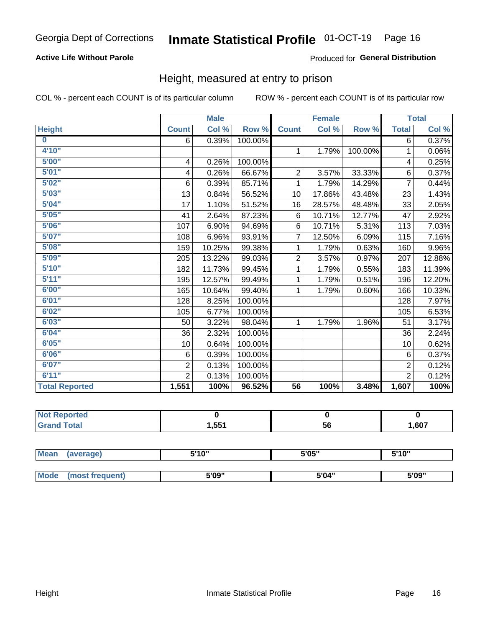## **Active Life Without Parole**

### Produced for General Distribution

## Height, measured at entry to prison

COL % - percent each COUNT is of its particular column

|                       |                | <b>Male</b> |         |                 | <b>Female</b> |         |                | <b>Total</b> |
|-----------------------|----------------|-------------|---------|-----------------|---------------|---------|----------------|--------------|
| <b>Height</b>         | <b>Count</b>   | Col %       | Row %   | <b>Count</b>    | Col %         | Row %   | <b>Total</b>   | Col %        |
| $\bf{0}$              | 6              | 0.39%       | 100.00% |                 |               |         | 6              | 0.37%        |
| 4'10''                |                |             |         | $\mathbf{1}$    | 1.79%         | 100.00% | 1              | $0.06\%$     |
| 5'00''                | 4              | 0.26%       | 100.00% |                 |               |         | 4              | 0.25%        |
| 5'01"                 | 4              | 0.26%       | 66.67%  | $\overline{c}$  | 3.57%         | 33.33%  | 6              | 0.37%        |
| 5'02"                 | 6              | 0.39%       | 85.71%  | 1               | 1.79%         | 14.29%  | $\overline{7}$ | 0.44%        |
| 5'03''                | 13             | 0.84%       | 56.52%  | 10              | 17.86%        | 43.48%  | 23             | 1.43%        |
| 5'04"                 | 17             | 1.10%       | 51.52%  | 16              | 28.57%        | 48.48%  | 33             | 2.05%        |
| 5'05"                 | 41             | 2.64%       | 87.23%  | 6               | 10.71%        | 12.77%  | 47             | 2.92%        |
| 5'06''                | 107            | 6.90%       | 94.69%  | 6               | 10.71%        | 5.31%   | 113            | 7.03%        |
| 5'07''                | 108            | 6.96%       | 93.91%  | 7               | 12.50%        | 6.09%   | 115            | 7.16%        |
| 5'08''                | 159            | 10.25%      | 99.38%  | 1               | 1.79%         | 0.63%   | 160            | 9.96%        |
| 5'09''                | 205            | 13.22%      | 99.03%  | $\overline{2}$  | 3.57%         | 0.97%   | 207            | 12.88%       |
| 5'10''                | 182            | 11.73%      | 99.45%  | 1               | 1.79%         | 0.55%   | 183            | 11.39%       |
| 5'11"                 | 195            | 12.57%      | 99.49%  | 1               | 1.79%         | 0.51%   | 196            | 12.20%       |
| 6'00''                | 165            | 10.64%      | 99.40%  | 1               | 1.79%         | 0.60%   | 166            | 10.33%       |
| 6'01''                | 128            | 8.25%       | 100.00% |                 |               |         | 128            | 7.97%        |
| 6'02"                 | 105            | 6.77%       | 100.00% |                 |               |         | 105            | 6.53%        |
| 6'03''                | 50             | 3.22%       | 98.04%  | $\mathbf{1}$    | 1.79%         | 1.96%   | 51             | 3.17%        |
| 6'04"                 | 36             | 2.32%       | 100.00% |                 |               |         | 36             | 2.24%        |
| 6'05"                 | 10             | 0.64%       | 100.00% |                 |               |         | 10             | 0.62%        |
| 6'06''                | 6              | 0.39%       | 100.00% |                 |               |         | 6              | 0.37%        |
| 6'07''                | $\overline{2}$ | 0.13%       | 100.00% |                 |               |         | $\overline{2}$ | 0.12%        |
| 6'11''                | $\overline{2}$ | 0.13%       | 100.00% |                 |               |         | $\overline{2}$ | 0.12%        |
| <b>Total Reported</b> | 1,551          | 100%        | 96.52%  | $\overline{56}$ | 100%          | 3.48%   | 1,607          | 100%         |

| rteo<br>m. |              |    |      |
|------------|--------------|----|------|
|            | <b>I.551</b> | 56 | ,607 |

| <b>Mean</b> | (average)       | 5'10" | 5'05" | 5'10" |  |
|-------------|-----------------|-------|-------|-------|--|
|             |                 |       |       |       |  |
| Mode        | (most frequent) | 5'09" | 5'04" | 5'09" |  |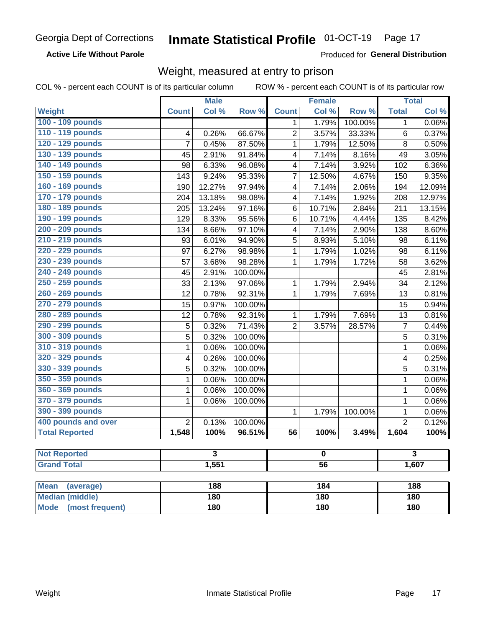### **Active Life Without Parole**

Produced for General Distribution

## Weight, measured at entry to prison

COL % - percent each COUNT is of its particular column

|                                |                          | <b>Male</b> |         |                | <b>Female</b> |         |                | <b>Total</b> |  |
|--------------------------------|--------------------------|-------------|---------|----------------|---------------|---------|----------------|--------------|--|
| <b>Weight</b>                  | <b>Count</b>             | Col %       | Row %   | <b>Count</b>   | Col %         | Row %   | <b>Total</b>   | Col %        |  |
| 100 - 109 pounds               |                          |             |         | 1              | 1.79%         | 100.00% | 1              | 0.06%        |  |
| 110 - 119 pounds               | 4                        | 0.26%       | 66.67%  | $\overline{2}$ | 3.57%         | 33.33%  | 6              | 0.37%        |  |
| 120 - 129 pounds               | $\overline{7}$           | 0.45%       | 87.50%  | 1              | 1.79%         | 12.50%  | 8              | 0.50%        |  |
| 130 - 139 pounds               | 45                       | 2.91%       | 91.84%  | 4              | 7.14%         | 8.16%   | 49             | 3.05%        |  |
| 140 - 149 pounds               | 98                       | 6.33%       | 96.08%  | 4              | 7.14%         | 3.92%   | 102            | 6.36%        |  |
| 150 - 159 pounds               | 143                      | 9.24%       | 95.33%  | 7              | 12.50%        | 4.67%   | 150            | 9.35%        |  |
| 160 - 169 pounds               | 190                      | 12.27%      | 97.94%  | 4              | 7.14%         | 2.06%   | 194            | 12.09%       |  |
| 170 - 179 pounds               | 204                      | 13.18%      | 98.08%  | 4              | 7.14%         | 1.92%   | 208            | 12.97%       |  |
| 180 - 189 pounds               | 205                      | 13.24%      | 97.16%  | 6              | 10.71%        | 2.84%   | 211            | 13.15%       |  |
| 190 - 199 pounds               | 129                      | 8.33%       | 95.56%  | 6              | 10.71%        | 4.44%   | 135            | 8.42%        |  |
| 200 - 209 pounds               | 134                      | 8.66%       | 97.10%  | 4              | 7.14%         | 2.90%   | 138            | 8.60%        |  |
| 210 - 219 pounds               | 93                       | 6.01%       | 94.90%  | 5              | 8.93%         | 5.10%   | 98             | 6.11%        |  |
| 220 - 229 pounds               | 97                       | 6.27%       | 98.98%  | 1              | 1.79%         | 1.02%   | 98             | 6.11%        |  |
| 230 - 239 pounds               | 57                       | 3.68%       | 98.28%  | 1              | 1.79%         | 1.72%   | 58             | 3.62%        |  |
| 240 - 249 pounds               | 45                       | 2.91%       | 100.00% |                |               |         | 45             | 2.81%        |  |
| 250 - 259 pounds               | 33                       | 2.13%       | 97.06%  | 1              | 1.79%         | 2.94%   | 34             | 2.12%        |  |
| 260 - 269 pounds               | 12                       | 0.78%       | 92.31%  | 1              | 1.79%         | 7.69%   | 13             | 0.81%        |  |
| 270 - 279 pounds               | 15                       | 0.97%       | 100.00% |                |               |         | 15             | 0.94%        |  |
| 280 - 289 pounds               | 12                       | 0.78%       | 92.31%  | 1              | 1.79%         | 7.69%   | 13             | 0.81%        |  |
| 290 - 299 pounds               | 5                        | 0.32%       | 71.43%  | $\overline{2}$ | 3.57%         | 28.57%  | $\overline{7}$ | 0.44%        |  |
| 300 - 309 pounds               | 5                        | 0.32%       | 100.00% |                |               |         | 5              | 0.31%        |  |
| 310 - 319 pounds               | 1                        | 0.06%       | 100.00% |                |               |         | $\mathbf 1$    | 0.06%        |  |
| 320 - 329 pounds               | 4                        | 0.26%       | 100.00% |                |               |         | 4              | 0.25%        |  |
| 330 - 339 pounds               | 5                        | 0.32%       | 100.00% |                |               |         | 5              | 0.31%        |  |
| 350 - 359 pounds               | 1                        | 0.06%       | 100.00% |                |               |         | 1              | 0.06%        |  |
| 360 - 369 pounds               | 1                        | 0.06%       | 100.00% |                |               |         | $\mathbf 1$    | 0.06%        |  |
| 370 - 379 pounds               | 1                        | 0.06%       | 100.00% |                |               |         | 1              | 0.06%        |  |
| 390 - 399 pounds               |                          |             |         | 1              | 1.79%         | 100.00% | 1              | 0.06%        |  |
| 400 pounds and over            | $\overline{2}$           | 0.13%       | 100.00% |                |               |         | $\overline{2}$ | 0.12%        |  |
| <b>Total Reported</b>          | 1,548                    | 100%        | 96.51%  | 56             | 100%          | 3.49%   | 1,604          | 100%         |  |
|                                |                          |             |         |                |               |         |                |              |  |
| <b>Not Reported</b>            |                          | 3           |         |                | o             |         |                | 3            |  |
| <b>Grand Total</b>             | 1,551<br>$\overline{56}$ |             |         |                | 1,607         |         |                |              |  |
|                                |                          |             |         |                |               |         |                |              |  |
| <b>Mean</b><br>(average)       |                          | 188         |         |                | 184           |         |                | 188          |  |
| <b>Median (middle)</b>         |                          | 180         |         |                | 180           |         |                | 180          |  |
| <b>Mode</b><br>(most frequent) |                          | 180         |         | 180            |               |         | <b>180</b>     |              |  |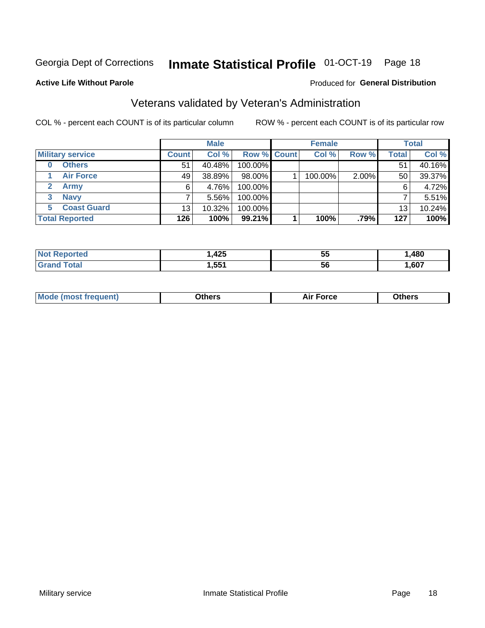## Inmate Statistical Profile 01-OCT-19 Page 18

### **Active Life Without Parole**

### Produced for General Distribution

## Veterans validated by Veteran's Administration

COL % - percent each COUNT is of its particular column

|                          |                 | <b>Male</b> |                    | <b>Female</b> |       |              | <b>Total</b> |
|--------------------------|-----------------|-------------|--------------------|---------------|-------|--------------|--------------|
| <b>Military service</b>  | <b>Count</b>    | Col %       | <b>Row % Count</b> | Col %         | Row % | <b>Total</b> | Col %        |
| <b>Others</b><br>0       | 51              | 40.48%      | 100.00%            |               |       | 51           | 40.16%       |
| <b>Air Force</b>         | 49              | 38.89%      | 98.00%             | 100.00%       | 2.00% | 50           | 39.37%       |
| <b>Army</b>              | 6               | 4.76%       | 100.00%            |               |       | 6            | 4.72%        |
| <b>Navy</b><br>3         |                 | $5.56\%$    | 100.00%            |               |       |              | 5.51%        |
| <b>Coast Guard</b><br>5. | 13 <sub>1</sub> | 10.32%      | 100.00%            |               |       | 13           | 10.24%       |
| <b>Total Reported</b>    | 126             | 100%        | 99.21%             | 100%          | .79%  | 127          | 100%         |

|             | 10E<br>44J | --<br>. .<br>ູບປ | ,480 |
|-------------|------------|------------------|------|
| $f = 4 - 7$ | ,551       | 56               | ,607 |

| <b>Moo.</b> |
|-------------|
|-------------|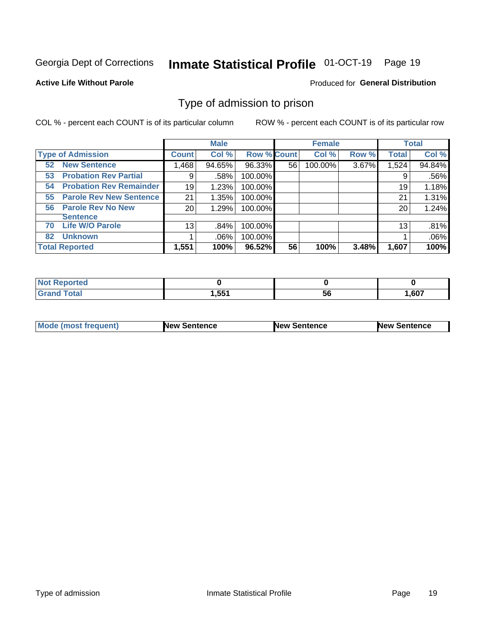#### Inmate Statistical Profile 01-OCT-19 Page 19

### **Active Life Without Parole**

### Produced for General Distribution

## Type of admission to prison

COL % - percent each COUNT is of its particular column

|                                      |              | <b>Male</b> |                    |    | <b>Female</b> |       |              | <b>Total</b> |
|--------------------------------------|--------------|-------------|--------------------|----|---------------|-------|--------------|--------------|
| <b>Type of Admission</b>             | <b>Count</b> | Col %       | <b>Row % Count</b> |    | Col %         | Row % | <b>Total</b> | Col %        |
| <b>New Sentence</b><br>52            | l,468        | 94.65%      | 96.33%             | 56 | 100.00%       | 3.67% | 1,524        | 94.84%       |
| <b>Probation Rev Partial</b><br>53   | 9            | .58%        | 100.00%            |    |               |       | 9            | .56%         |
| <b>Probation Rev Remainder</b><br>54 | 19           | 1.23%       | 100.00%            |    |               |       | 19           | 1.18%        |
| <b>Parole Rev New Sentence</b><br>55 | 21           | 1.35%       | 100.00%            |    |               |       | 21           | 1.31%        |
| <b>Parole Rev No New</b><br>56       | 20           | 1.29%       | 100.00%            |    |               |       | 20           | 1.24%        |
| <b>Sentence</b>                      |              |             |                    |    |               |       |              |              |
| <b>Life W/O Parole</b><br>70         | 13           | .84%        | 100.00%            |    |               |       | 13           | .81%         |
| <b>Unknown</b><br>82                 |              | .06%        | 100.00%            |    |               |       |              | .06%         |
| <b>Total Reported</b>                | 1,551        | 100%        | 96.52%             | 56 | 100%          | 3.48% | 1,607        | 100%         |

| <b>Not</b><br>Reported<br>$\sim$ |              |           |       |
|----------------------------------|--------------|-----------|-------|
| <b>Total</b>                     | 551<br>ו טטו | - -<br>56 | 1,607 |

| <b>Mode (most frequent)</b> | <b>New Sentence</b> | <b>New Sentence</b> | <b>New Sentence</b> |
|-----------------------------|---------------------|---------------------|---------------------|
|                             |                     |                     |                     |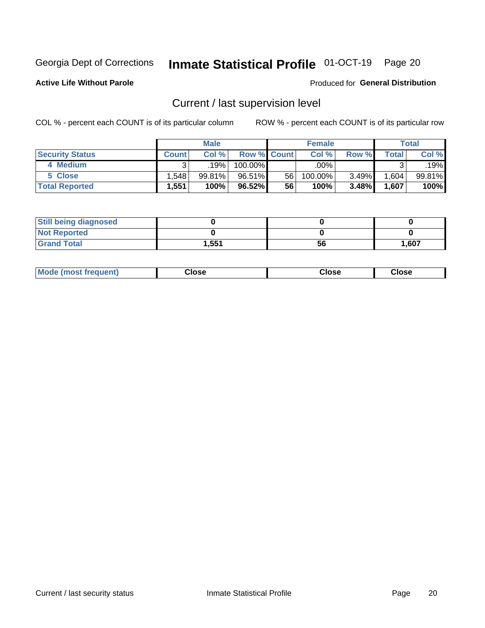## Inmate Statistical Profile 01-OCT-19 Page 20

**Active Life Without Parole** 

### Produced for General Distribution

## Current / last supervision level

COL % - percent each COUNT is of its particular column

|                        |              | <b>Male</b> |                    |    | <b>Female</b> |          |       | <b>Total</b> |
|------------------------|--------------|-------------|--------------------|----|---------------|----------|-------|--------------|
| <b>Security Status</b> | <b>Count</b> | Col%        | <b>Row % Count</b> |    | Col %         | Row %    | Total | Col %        |
| 4 Medium               |              | .19%        | 100.00%            |    | .00%          |          |       | .19%l        |
| 5 Close                | .548         | 99.81%      | 96.51%             | 56 | 100.00%       | $3.49\%$ | .604  | 99.81%       |
| <b>Total Reported</b>  | 1.551        | 100%        | 96.52%             | 56 | 100%          | 3.48%    | 1,607 | 100%         |

| <b>Still being diagnosed</b> |       |    |       |
|------------------------------|-------|----|-------|
| <b>Not Reported</b>          |       |    |       |
| <b>Grand Total</b>           | 1,551 | 56 | 1,607 |

| Mode (m<br>rreguent)<br>mso | lose: | Close | Close |
|-----------------------------|-------|-------|-------|
|                             |       |       |       |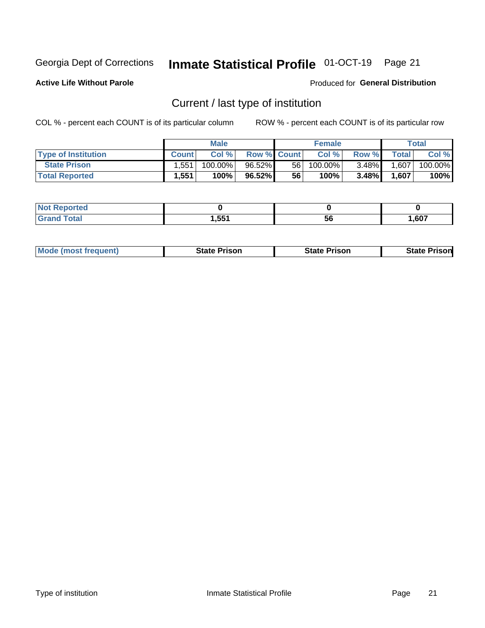## Inmate Statistical Profile 01-OCT-19 Page 21

**Active Life Without Parole** 

Produced for General Distribution

## Current / last type of institution

COL % - percent each COUNT is of its particular column

|                            |              | <b>Male</b> |                    |    | <b>Female</b> |          |                | <b>Total</b> |
|----------------------------|--------------|-------------|--------------------|----|---------------|----------|----------------|--------------|
| <b>Type of Institution</b> | <b>Count</b> | Col%        | <b>Row % Count</b> |    | Col %         | Row %    | <b>Total</b> I | Col %        |
| <b>State Prison</b>        | 1.551        | $100.00\%$  | $96.52\%$          | 56 | $100.00\%$    | $3.48\%$ | 1,607          | 100.00%      |
| <b>Total Reported</b>      | 1,551        | 100%        | $96.52\%$          | 56 | $100\%$ .     | $3.48\%$ | 1,607          | 100%         |

| τeα<br>$\sim$ |               |    |      |
|---------------|---------------|----|------|
|               | 551<br>. JJ . | эt | .607 |

|  | <b>Mode (most frequent)</b> | State Prison | <b>State Prison</b> | <b>State Prison</b> |
|--|-----------------------------|--------------|---------------------|---------------------|
|--|-----------------------------|--------------|---------------------|---------------------|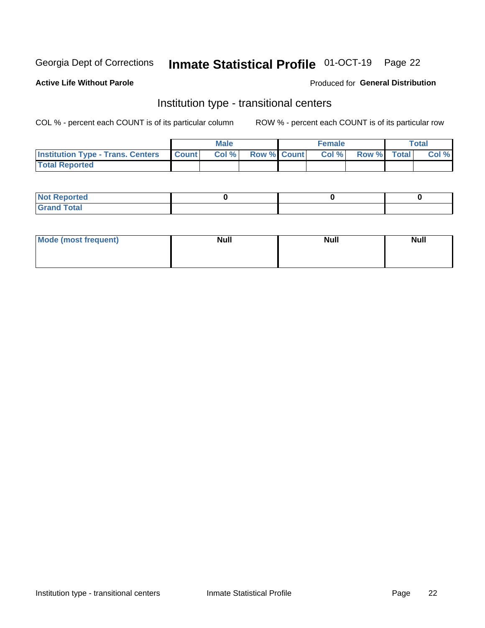## Inmate Statistical Profile 01-OCT-19 Page 22

## **Active Life Without Parole**

### Produced for General Distribution

## Institution type - transitional centers

COL % - percent each COUNT is of its particular column

|                                                | <b>Male</b> |                    | <b>Female</b> |             | <b>Total</b> |
|------------------------------------------------|-------------|--------------------|---------------|-------------|--------------|
| <b>Institution Type - Trans. Centers Count</b> | CoI%        | <b>Row % Count</b> | Col % l       | Row % Total | Col %        |
| <b>Total Reported</b>                          |             |                    |               |             |              |

| <b>Reported</b><br><b>NOT</b><br>$\sim$            |  |  |
|----------------------------------------------------|--|--|
| $f$ $f \circ f \circ f$<br>$C = 1$<br><b>TULAI</b> |  |  |

| Mode (most frequent) | <b>Null</b> | <b>Null</b> | <b>Null</b> |
|----------------------|-------------|-------------|-------------|
|                      |             |             |             |
|                      |             |             |             |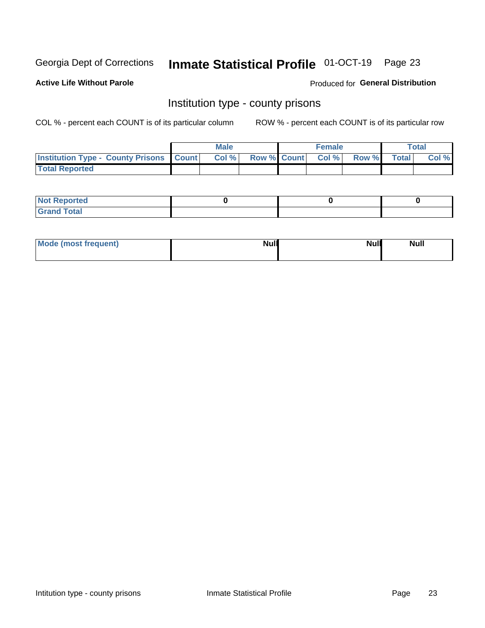## Inmate Statistical Profile 01-OCT-19 Page 23

**Active Life Without Parole** 

Produced for General Distribution

## Institution type - county prisons

COL % - percent each COUNT is of its particular column

|                                                    | <b>Male</b> |       |  | <b>Female</b> |                          |             | <b>Total</b> |       |
|----------------------------------------------------|-------------|-------|--|---------------|--------------------------|-------------|--------------|-------|
| <b>Institution Type - County Prisons   Count  </b> |             | Col % |  |               | <b>Row % Count Col %</b> | Row % Total |              | Col % |
| <b>Total Reported</b>                              |             |       |  |               |                          |             |              |       |

| <b>Not</b><br>: Reported<br> |  |  |
|------------------------------|--|--|
| <b>Total</b><br>---          |  |  |

| Mode (most frequent) | <b>Null</b> | <b>Null</b><br><b>Null</b> |
|----------------------|-------------|----------------------------|
|                      |             |                            |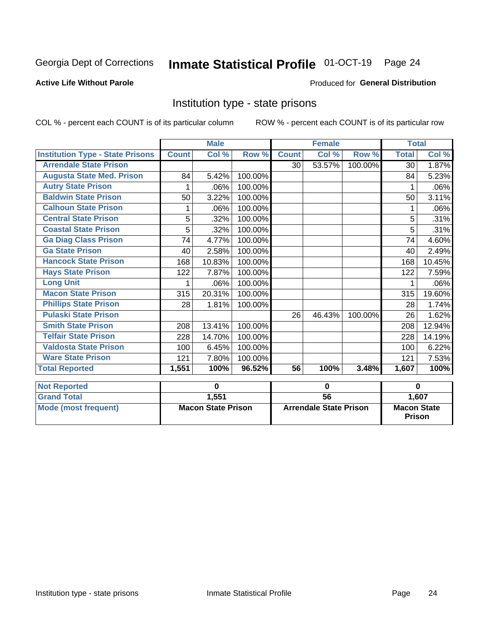## Inmate Statistical Profile 01-OCT-19 Page 24

### **Active Life Without Parole**

### Produced for General Distribution

## Institution type - state prisons

COL % - percent each COUNT is of its particular column

|                                         | <b>Male</b>               |        |                               | <b>Female</b>   |        |                                     | <b>Total</b> |        |
|-----------------------------------------|---------------------------|--------|-------------------------------|-----------------|--------|-------------------------------------|--------------|--------|
| <b>Institution Type - State Prisons</b> | <b>Count</b>              | Col %  | Row %                         | <b>Count</b>    | Col %  | Row %                               | <b>Total</b> | Col %  |
| <b>Arrendale State Prison</b>           |                           |        |                               | 30              | 53.57% | 100.00%                             | 30           | 1.87%  |
| <b>Augusta State Med. Prison</b>        | 84                        | 5.42%  | 100.00%                       |                 |        |                                     | 84           | 5.23%  |
| <b>Autry State Prison</b>               | 1                         | .06%   | 100.00%                       |                 |        |                                     | 1            | .06%   |
| <b>Baldwin State Prison</b>             | 50                        | 3.22%  | 100.00%                       |                 |        |                                     | 50           | 3.11%  |
| <b>Calhoun State Prison</b>             |                           | .06%   | 100.00%                       |                 |        |                                     |              | .06%   |
| <b>Central State Prison</b>             | 5                         | .32%   | 100.00%                       |                 |        |                                     | 5            | .31%   |
| <b>Coastal State Prison</b>             | 5                         | .32%   | 100.00%                       |                 |        |                                     | 5            | .31%   |
| <b>Ga Diag Class Prison</b>             | 74                        | 4.77%  | 100.00%                       |                 |        |                                     | 74           | 4.60%  |
| <b>Ga State Prison</b>                  | 40                        | 2.58%  | 100.00%                       |                 |        |                                     | 40           | 2.49%  |
| <b>Hancock State Prison</b>             | 168                       | 10.83% | 100.00%                       |                 |        |                                     | 168          | 10.45% |
| <b>Hays State Prison</b>                | 122                       | 7.87%  | 100.00%                       |                 |        |                                     | 122          | 7.59%  |
| <b>Long Unit</b>                        | 1                         | .06%   | 100.00%                       |                 |        |                                     |              | .06%   |
| <b>Macon State Prison</b>               | 315                       | 20.31% | 100.00%                       |                 |        |                                     | 315          | 19.60% |
| <b>Phillips State Prison</b>            | 28                        | 1.81%  | 100.00%                       |                 |        |                                     | 28           | 1.74%  |
| <b>Pulaski State Prison</b>             |                           |        |                               | 26              | 46.43% | 100.00%                             | 26           | 1.62%  |
| <b>Smith State Prison</b>               | 208                       | 13.41% | 100.00%                       |                 |        |                                     | 208          | 12.94% |
| <b>Telfair State Prison</b>             | 228                       | 14.70% | 100.00%                       |                 |        |                                     | 228          | 14.19% |
| <b>Valdosta State Prison</b>            | 100                       | 6.45%  | 100.00%                       |                 |        |                                     | 100          | 6.22%  |
| <b>Ware State Prison</b>                | 121                       | 7.80%  | 100.00%                       |                 |        |                                     | 121          | 7.53%  |
| <b>Total Reported</b>                   | 1,551                     | 100%   | 96.52%                        | 56              | 100%   | 3.48%                               | 1,607        | 100%   |
| <b>Not Reported</b>                     | $\bf{0}$                  |        | $\bf{0}$                      |                 |        | $\bf{0}$                            |              |        |
| <b>Grand Total</b>                      |                           | 1,551  |                               | $\overline{56}$ |        |                                     |              | 1,607  |
| <b>Mode (most frequent)</b>             | <b>Macon State Prison</b> |        | <b>Arrendale State Prison</b> |                 |        | <b>Macon State</b><br><b>Prison</b> |              |        |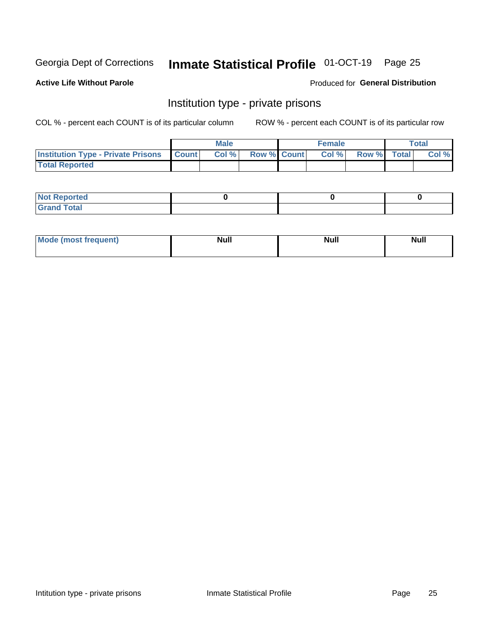## Inmate Statistical Profile 01-OCT-19 Page 25

### **Active Life Without Parole**

### Produced for General Distribution

## Institution type - private prisons

COL % - percent each COUNT is of its particular column

|                                                     | <b>Male</b> |       |                    | <b>Female</b> |       |             | Total |       |
|-----------------------------------------------------|-------------|-------|--------------------|---------------|-------|-------------|-------|-------|
| <b>Institution Type - Private Prisons   Count  </b> |             | Col % | <b>Row % Count</b> |               | Col % | Row % Total |       | Col % |
| <b>Total Reported</b>                               |             |       |                    |               |       |             |       |       |

| Not Reported          |  |  |
|-----------------------|--|--|
| <b>Cotal</b><br>_____ |  |  |

| <b>Mo</b><br>frequent) | <b>Null</b> | <b>Null</b> | . . I *<br><b>IVUII</b> |
|------------------------|-------------|-------------|-------------------------|
|                        |             |             |                         |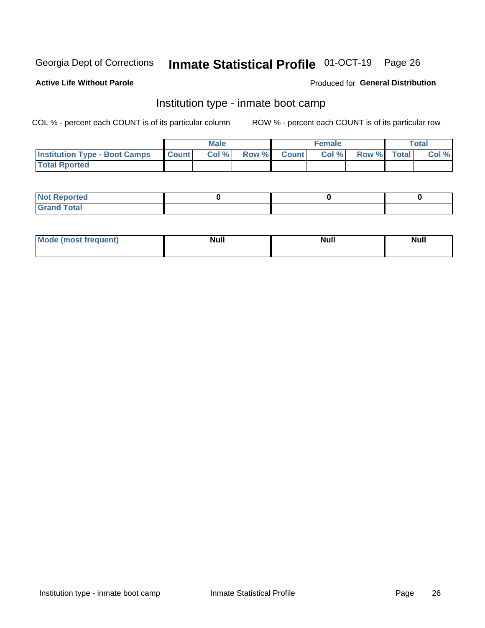## Inmate Statistical Profile 01-OCT-19 Page 26

### **Active Life Without Parole**

### Produced for General Distribution

## Institution type - inmate boot camp

COL % - percent each COUNT is of its particular column

|                                      | <b>Male</b>  |       |               |              | <b>Female</b> | <b>Total</b> |  |       |
|--------------------------------------|--------------|-------|---------------|--------------|---------------|--------------|--|-------|
| <b>Institution Type - Boot Camps</b> | <b>Count</b> | Col % | <b>Row %I</b> | <b>Count</b> | Col %         | Row % Total  |  | Col % |
| <b>Total Rported</b>                 |              |       |               |              |               |              |  |       |

| <b>Not Reported</b>            |  |  |
|--------------------------------|--|--|
| <b>Total</b><br>C <sub>r</sub> |  |  |

| Mod<br>uamo | Nul.<br>$- - - - - -$ | <b>Null</b> | <br>uu.<br>------ |
|-------------|-----------------------|-------------|-------------------|
|             |                       |             |                   |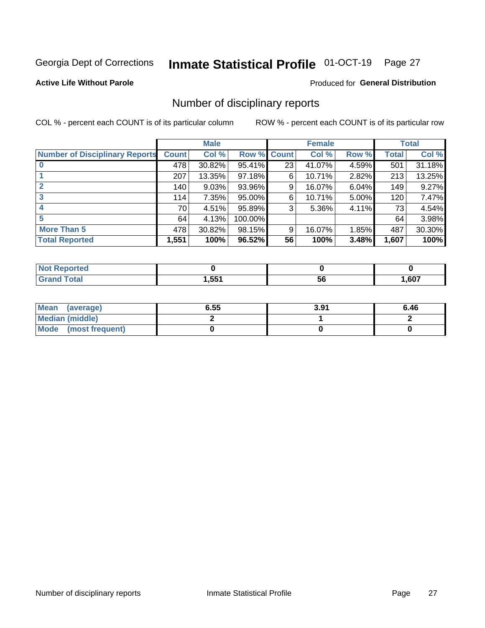## Inmate Statistical Profile 01-OCT-19 Page 27

### **Active Life Without Parole**

### Produced for General Distribution

## Number of disciplinary reports

COL % - percent each COUNT is of its particular column

|                                       | <b>Male</b>  |        |         | <b>Female</b> |        |          | <b>Total</b> |        |
|---------------------------------------|--------------|--------|---------|---------------|--------|----------|--------------|--------|
| <b>Number of Disciplinary Reports</b> | <b>Count</b> | Col %  | Row %   | <b>Count</b>  | Col %  | Row %    | <b>Total</b> | Col %  |
|                                       | 478          | 30.82% | 95.41%  | 23            | 41.07% | 4.59%    | 501          | 31.18% |
|                                       | 207          | 13.35% | 97.18%  | 6             | 10.71% | 2.82%    | 213          | 13.25% |
| $\mathbf{2}$                          | 140          | 9.03%  | 93.96%  | 9             | 16.07% | $6.04\%$ | 149          | 9.27%  |
| 3                                     | 114          | 7.35%  | 95.00%  | 6             | 10.71% | 5.00%    | 120          | 7.47%  |
|                                       | 70           | 4.51%  | 95.89%  | 3             | 5.36%  | 4.11%    | 73           | 4.54%  |
| 5                                     | 64           | 4.13%  | 100.00% |               |        |          | 64           | 3.98%  |
| <b>More Than 5</b>                    | 478          | 30.82% | 98.15%  | 9             | 16.07% | 1.85%    | 487          | 30.30% |
| <b>Total Reported</b>                 | 1,551        | 100%   | 96.52%  | 56            | 100%   | 3.48%    | 1,607        | 100%   |

| NO<br>чес    |      |    |      |
|--------------|------|----|------|
| <b>Total</b> | ,551 | วง | ,607 |

| Mean (average)       | 6.55 | 3.91 | 6.46 |
|----------------------|------|------|------|
| Median (middle)      |      |      |      |
| Mode (most frequent) |      |      |      |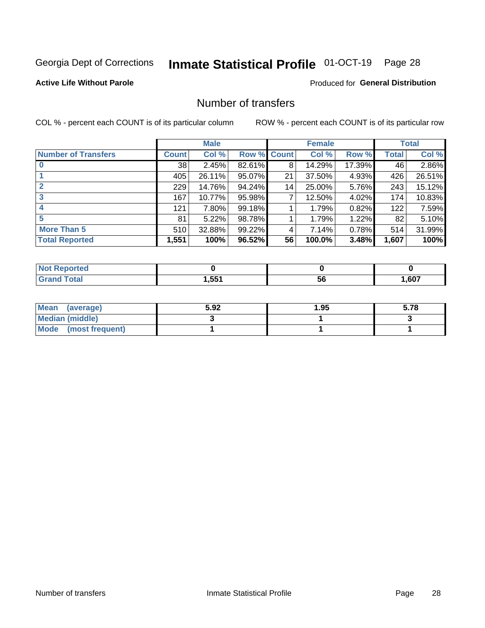# Inmate Statistical Profile 01-OCT-19 Page 28

### **Active Life Without Parole**

## **Produced for General Distribution**

## Number of transfers

COL % - percent each COUNT is of its particular column

|                            |         | <b>Male</b> |        |              | <b>Female</b> |        |              | <b>Total</b> |
|----------------------------|---------|-------------|--------|--------------|---------------|--------|--------------|--------------|
| <b>Number of Transfers</b> | Count l | Col %       | Row %  | <b>Count</b> | Col %         | Row %  | <b>Total</b> | Col %        |
|                            | 38      | 2.45%       | 82.61% | 8            | 14.29%        | 17.39% | 46           | 2.86%        |
|                            | 405     | 26.11%      | 95.07% | 21           | 37.50%        | 4.93%  | 426          | 26.51%       |
| $\mathbf{2}$               | 229     | 14.76%      | 94.24% | 14           | 25.00%        | 5.76%  | 243          | 15.12%       |
| 3                          | 167     | 10.77%      | 95.98% | 7            | 12.50%        | 4.02%  | 174          | 10.83%       |
|                            | 121     | 7.80%       | 99.18% |              | 1.79%         | 0.82%  | 122          | 7.59%        |
| 5                          | 81      | 5.22%       | 98.78% |              | 1.79%         | 1.22%  | 82           | 5.10%        |
| <b>More Than 5</b>         | 510     | 32.88%      | 99.22% | 4            | 7.14%         | 0.78%  | 514          | 31.99%       |
| <b>Total Reported</b>      | 1,551   | 100%        | 96.52% | 56           | 100.0%        | 3.48%  | 1,607        | 100%         |

| orted<br>NO  |      |    |      |
|--------------|------|----|------|
| <b>Total</b> | .551 | วง | ,607 |

| Mean (average)       | 5.92 | 1.95 | 5.78 |
|----------------------|------|------|------|
| Median (middle)      |      |      |      |
| Mode (most frequent) |      |      |      |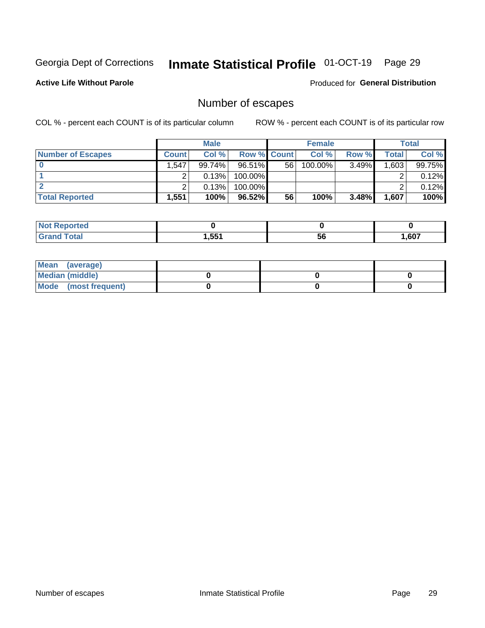# Inmate Statistical Profile 01-OCT-19 Page 29

**Active Life Without Parole** 

Produced for General Distribution

## Number of escapes

COL % - percent each COUNT is of its particular column

|                          | <b>Male</b> |        |                    | <b>Female</b> |         |       | <b>Total</b> |        |
|--------------------------|-------------|--------|--------------------|---------------|---------|-------|--------------|--------|
| <b>Number of Escapes</b> | Count l     | Col %  | <b>Row % Count</b> |               | Col %   | Row % | Total        | Col %  |
|                          | .547        | 99.74% | $96.51\%$          | 56            | 100.00% | 3.49% | 1,603        | 99.75% |
|                          |             | 0.13%  | 100.00%            |               |         |       |              | 0.12%  |
|                          |             | 0.13%  | 100.00%            |               |         |       |              | 0.12%  |
| <b>Total Reported</b>    | 551. ا      | 100%   | 96.52%             | 56            | 100%    | 3.48% | 1,607        | 100%   |

| <b>Not Reported</b> |       |    |       |
|---------------------|-------|----|-------|
| <b>Grand Total</b>  | 1,551 | 56 | .,607 |

| Mean (average)         |  |  |
|------------------------|--|--|
| <b>Median (middle)</b> |  |  |
| Mode (most frequent)   |  |  |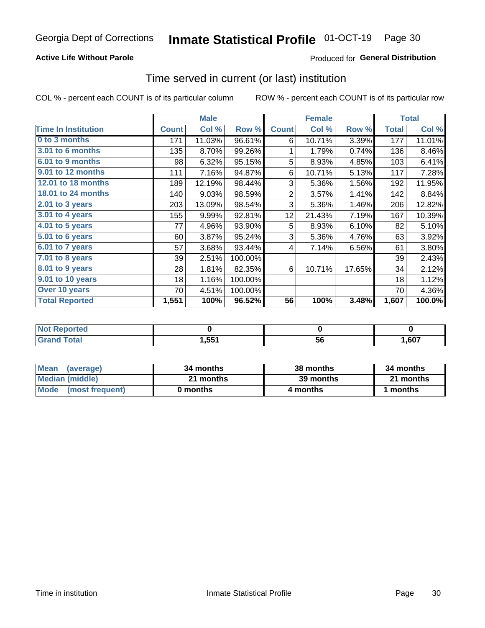## **Active Life Without Parole**

## **Produced for General Distribution**

## Time served in current (or last) institution

COL % - percent each COUNT is of its particular column

|                            |              | <b>Male</b> |         |                 | <b>Female</b> |        |              | <b>Total</b> |
|----------------------------|--------------|-------------|---------|-----------------|---------------|--------|--------------|--------------|
| <b>Time In Institution</b> | <b>Count</b> | Col %       | Row %   | <b>Count</b>    | Col %         | Row %  | <b>Total</b> | Col %        |
| 0 to 3 months              | 171          | 11.03%      | 96.61%  | 6               | 10.71%        | 3.39%  | 177          | 11.01%       |
| <b>3.01 to 6 months</b>    | 135          | 8.70%       | 99.26%  | 1               | 1.79%         | 0.74%  | 136          | 8.46%        |
| 6.01 to 9 months           | 98           | 6.32%       | 95.15%  | 5               | 8.93%         | 4.85%  | 103          | 6.41%        |
| 9.01 to 12 months          | 111          | 7.16%       | 94.87%  | 6               | 10.71%        | 5.13%  | 117          | 7.28%        |
| 12.01 to 18 months         | 189          | 12.19%      | 98.44%  | 3               | 5.36%         | 1.56%  | 192          | 11.95%       |
| <b>18.01 to 24 months</b>  | 140          | 9.03%       | 98.59%  | $\overline{2}$  | 3.57%         | 1.41%  | 142          | 8.84%        |
| $2.01$ to 3 years          | 203          | 13.09%      | 98.54%  | 3               | 5.36%         | 1.46%  | 206          | 12.82%       |
| $3.01$ to 4 years          | 155          | 9.99%       | 92.81%  | 12 <sub>2</sub> | 21.43%        | 7.19%  | 167          | 10.39%       |
| 4.01 to 5 years            | 77           | 4.96%       | 93.90%  | 5               | 8.93%         | 6.10%  | 82           | 5.10%        |
| 5.01 to 6 years            | 60           | 3.87%       | 95.24%  | 3               | 5.36%         | 4.76%  | 63           | 3.92%        |
| 6.01 to 7 years            | 57           | 3.68%       | 93.44%  | 4               | 7.14%         | 6.56%  | 61           | 3.80%        |
| 7.01 to 8 years            | 39           | 2.51%       | 100.00% |                 |               |        | 39           | 2.43%        |
| 8.01 to 9 years            | 28           | 1.81%       | 82.35%  | 6               | 10.71%        | 17.65% | 34           | 2.12%        |
| 9.01 to 10 years           | 18           | 1.16%       | 100.00% |                 |               |        | 18           | 1.12%        |
| Over 10 years              | 70           | 4.51%       | 100.00% |                 |               |        | 70           | 4.36%        |
| <b>Total Reported</b>      | 1,551        | 100%        | 96.52%  | 56              | 100%          | 3.48%  | 1,607        | 100.0%       |

| Reported<br>NOT        |      |    |      |
|------------------------|------|----|------|
| $f \wedge f \wedge f'$ | .551 | JL | ,607 |

| <b>Mean</b><br>(average) | 34 months | 38 months | 34 months |
|--------------------------|-----------|-----------|-----------|
| Median (middle)          | 21 months | 39 months | 21 months |
| Mode (most frequent)     | 0 months  | 4 months  | 1 months  |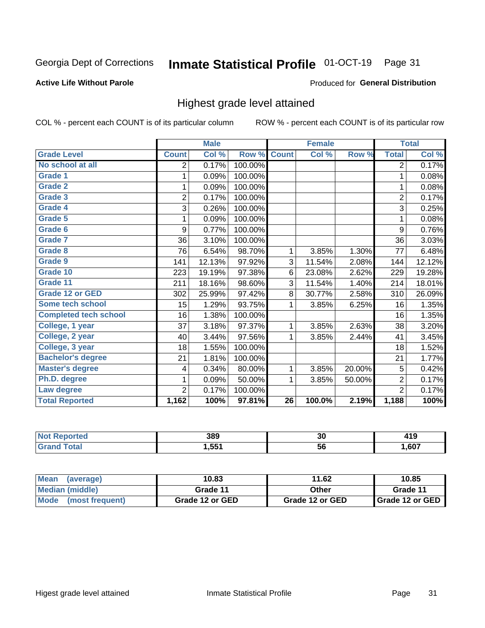#### Inmate Statistical Profile 01-OCT-19 Page 31

### **Active Life Without Parole**

### Produced for General Distribution

## Highest grade level attained

COL % - percent each COUNT is of its particular column

|                              |                | <b>Male</b> |         |                 | <b>Female</b> |        |                | <b>Total</b> |
|------------------------------|----------------|-------------|---------|-----------------|---------------|--------|----------------|--------------|
| <b>Grade Level</b>           | <b>Count</b>   | Col %       | Row %   | <b>Count</b>    | Col %         | Row %  | <b>Total</b>   | Col %        |
| No school at all             | 2              | 0.17%       | 100.00% |                 |               |        | $\overline{2}$ | 0.17%        |
| <b>Grade 1</b>               | 1              | 0.09%       | 100.00% |                 |               |        | 1              | 0.08%        |
| <b>Grade 2</b>               | 1              | 0.09%       | 100.00% |                 |               |        | 1              | 0.08%        |
| <b>Grade 3</b>               | $\overline{2}$ | 0.17%       | 100.00% |                 |               |        | $\overline{2}$ | 0.17%        |
| <b>Grade 4</b>               | 3              | 0.26%       | 100.00% |                 |               |        | 3              | 0.25%        |
| <b>Grade 5</b>               | 1              | 0.09%       | 100.00% |                 |               |        | 1              | 0.08%        |
| Grade 6                      | 9              | 0.77%       | 100.00% |                 |               |        | 9              | 0.76%        |
| Grade 7                      | 36             | 3.10%       | 100.00% |                 |               |        | 36             | 3.03%        |
| <b>Grade 8</b>               | 76             | 6.54%       | 98.70%  | 1               | 3.85%         | 1.30%  | 77             | 6.48%        |
| Grade 9                      | 141            | 12.13%      | 97.92%  | 3               | 11.54%        | 2.08%  | 144            | 12.12%       |
| Grade 10                     | 223            | 19.19%      | 97.38%  | 6               | 23.08%        | 2.62%  | 229            | 19.28%       |
| Grade 11                     | 211            | 18.16%      | 98.60%  | 3               | 11.54%        | 1.40%  | 214            | 18.01%       |
| <b>Grade 12 or GED</b>       | 302            | 25.99%      | 97.42%  | 8               | 30.77%        | 2.58%  | 310            | 26.09%       |
| Some tech school             | 15             | 1.29%       | 93.75%  | 1               | 3.85%         | 6.25%  | 16             | 1.35%        |
| <b>Completed tech school</b> | 16             | 1.38%       | 100.00% |                 |               |        | 16             | 1.35%        |
| College, 1 year              | 37             | 3.18%       | 97.37%  | 1               | 3.85%         | 2.63%  | 38             | 3.20%        |
| College, 2 year              | 40             | 3.44%       | 97.56%  | 1               | 3.85%         | 2.44%  | 41             | 3.45%        |
| College, 3 year              | 18             | 1.55%       | 100.00% |                 |               |        | 18             | 1.52%        |
| <b>Bachelor's degree</b>     | 21             | 1.81%       | 100.00% |                 |               |        | 21             | 1.77%        |
| <b>Master's degree</b>       | 4              | 0.34%       | 80.00%  | 1               | 3.85%         | 20.00% | 5              | 0.42%        |
| Ph.D. degree                 | 1              | 0.09%       | 50.00%  | 1               | 3.85%         | 50.00% | $\overline{2}$ | 0.17%        |
| Law degree                   | $\overline{2}$ | 0.17%       | 100.00% |                 |               |        | $\overline{2}$ | 0.17%        |
| <b>Total Reported</b>        | 1,162          | 100%        | 97.81%  | $\overline{26}$ | 100.0%        | 2.19%  | 1,188          | 100%         |

| rteo<br>NO | 389    | 30 | 1 I V |
|------------|--------|----|-------|
|            | 551. ا | วง | ,607  |

| <b>Mean</b><br>(average) | 10.83           | 11.62           | 10.85           |  |
|--------------------------|-----------------|-----------------|-----------------|--|
| <b>Median (middle)</b>   | Grade 11        | Other           | Grade 11        |  |
| Mode<br>(most frequent)  | Grade 12 or GED | Grade 12 or GED | Grade 12 or GED |  |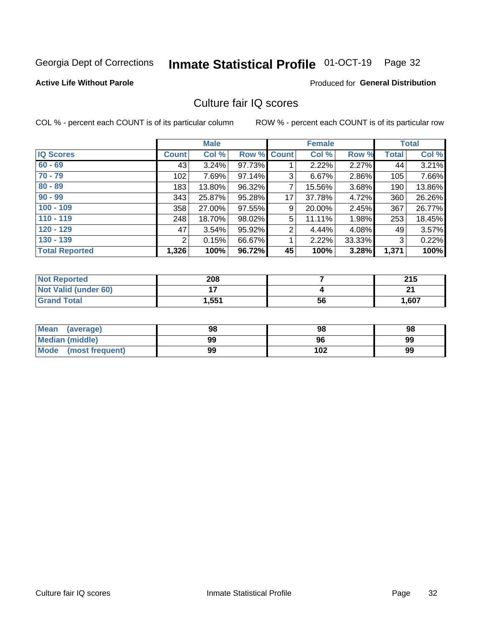#### Inmate Statistical Profile 01-OCT-19 Page 32

### **Active Life Without Parole**

### Produced for General Distribution

## Culture fair IQ scores

COL % - percent each COUNT is of its particular column

|                       |              | <b>Male</b> |                    |                | <b>Female</b> |          |              | <b>Total</b> |
|-----------------------|--------------|-------------|--------------------|----------------|---------------|----------|--------------|--------------|
| <b>IQ Scores</b>      | <b>Count</b> | Col %       | <b>Row % Count</b> |                | Col %         | Row %    | <b>Total</b> | Col %        |
| $60 - 69$             | 43           | 3.24%       | 97.73%             |                | 2.22%         | $2.27\%$ | 44           | 3.21%        |
| $70 - 79$             | 102          | 7.69%       | 97.14%             | 3              | 6.67%         | 2.86%    | 105          | 7.66%        |
| $80 - 89$             | 183          | 13.80%      | 96.32%             | 7              | 15.56%        | 3.68%    | 190          | 13.86%       |
| $90 - 99$             | 343          | 25.87%      | 95.28%             | 17             | 37.78%        | 4.72%    | 360          | 26.26%       |
| $100 - 109$           | 358          | 27.00%      | 97.55%             | 9              | 20.00%        | 2.45%    | 367          | 26.77%       |
| $110 - 119$           | 248          | 18.70%      | 98.02%             | 5              | 11.11%        | 1.98%    | 253          | 18.45%       |
| $120 - 129$           | 47           | 3.54%       | 95.92%             | $\overline{2}$ | 4.44%         | $4.08\%$ | 49           | 3.57%        |
| $130 - 139$           | 2            | 0.15%       | 66.67%             | 1              | 2.22%         | 33.33%   | 3            | 0.22%        |
| <b>Total Reported</b> | 1,326        | 100%        | 96.72%             | 45             | 100%          | 3.28%    | 1,371        | 100%         |

| <b>Not Reported</b>  | 208   |    | 24F<br>2 I J |
|----------------------|-------|----|--------------|
| Not Valid (under 60) |       |    | n.           |
| <b>Grand Total</b>   | 1,551 | 56 | 1,607        |

| <b>Mean</b><br>(average) | 98 | 98  | 98 |
|--------------------------|----|-----|----|
| Median (middle)          | 99 | 96  | 99 |
| Mode (most frequent)     | 99 | 102 | 99 |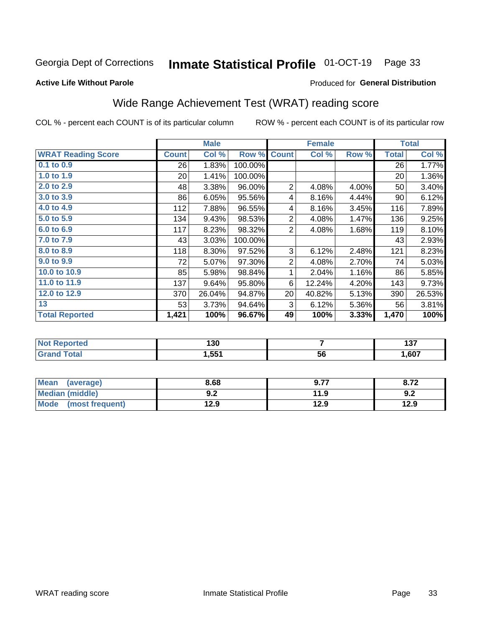#### Inmate Statistical Profile 01-OCT-19 Page 33

### **Active Life Without Parole**

### Produced for General Distribution

## Wide Range Achievement Test (WRAT) reading score

COL % - percent each COUNT is of its particular column

|                           |                 | <b>Male</b> |         |                | <b>Female</b> |       |              | <b>Total</b> |
|---------------------------|-----------------|-------------|---------|----------------|---------------|-------|--------------|--------------|
| <b>WRAT Reading Score</b> | <b>Count</b>    | Col %       | Row %   | <b>Count</b>   | Col %         | Row % | <b>Total</b> | Col %        |
| $0.1$ to $0.9$            | 26              | 1.83%       | 100.00% |                |               |       | 26           | 1.77%        |
| 1.0 to 1.9                | 20 <sup>2</sup> | 1.41%       | 100.00% |                |               |       | 20           | 1.36%        |
| 2.0 to 2.9                | 48              | 3.38%       | 96.00%  | $\overline{2}$ | 4.08%         | 4.00% | 50           | 3.40%        |
| 3.0 to 3.9                | 86              | 6.05%       | 95.56%  | 4              | 8.16%         | 4.44% | 90           | 6.12%        |
| 4.0 to 4.9                | 112             | 7.88%       | 96.55%  | 4              | 8.16%         | 3.45% | 116          | 7.89%        |
| 5.0 to 5.9                | 134             | 9.43%       | 98.53%  | $\overline{2}$ | 4.08%         | 1.47% | 136          | 9.25%        |
| 6.0 to 6.9                | 117             | 8.23%       | 98.32%  | $\overline{2}$ | 4.08%         | 1.68% | 119          | 8.10%        |
| 7.0 to 7.9                | 43              | 3.03%       | 100.00% |                |               |       | 43           | 2.93%        |
| 8.0 to 8.9                | 118             | 8.30%       | 97.52%  | 3              | 6.12%         | 2.48% | 121          | 8.23%        |
| 9.0 to 9.9                | 72              | 5.07%       | 97.30%  | $\overline{2}$ | 4.08%         | 2.70% | 74           | 5.03%        |
| 10.0 to 10.9              | 85              | 5.98%       | 98.84%  | 1              | 2.04%         | 1.16% | 86           | 5.85%        |
| 11.0 to 11.9              | 137             | 9.64%       | 95.80%  | 6              | 12.24%        | 4.20% | 143          | 9.73%        |
| 12.0 to 12.9              | 370             | 26.04%      | 94.87%  | 20             | 40.82%        | 5.13% | 390          | 26.53%       |
| 13                        | 53              | 3.73%       | 94.64%  | 3              | 6.12%         | 5.36% | 56           | 3.81%        |
| <b>Total Reported</b>     | 1,421           | 100%        | 96.67%  | 49             | 100%          | 3.33% | 1,470        | 100%         |
|                           |                 |             |         |                |               |       |              |              |

| <b>Not Reported</b>          | 130   |    | , , ,<br>וטו |
|------------------------------|-------|----|--------------|
| <b>Total</b><br><b>Grand</b> | 1,551 | 56 | 1,607        |

| <b>Mean</b><br>(average)       | 8.68       | 0.77<br>J.I. | 8.72 |
|--------------------------------|------------|--------------|------|
| Median (middle)                | י ה<br>J.Z | 11.9         | 9.2  |
| <b>Mode</b><br>(most frequent) | 12.9       | 12.9         | 12.9 |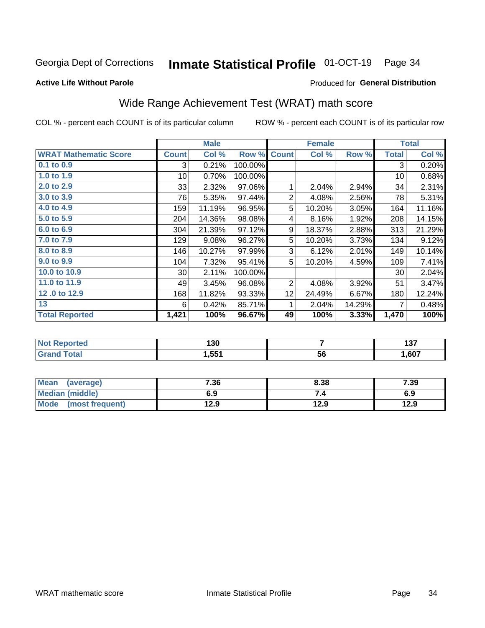#### Inmate Statistical Profile 01-OCT-19 Page 34

### **Active Life Without Parole**

## Produced for General Distribution

## Wide Range Achievement Test (WRAT) math score

COL % - percent each COUNT is of its particular column

|                              |                 | <b>Male</b> |         |                 | <b>Female</b> |        |              | <b>Total</b> |
|------------------------------|-----------------|-------------|---------|-----------------|---------------|--------|--------------|--------------|
| <b>WRAT Mathematic Score</b> | <b>Count</b>    | Col %       | Row %   | <b>Count</b>    | Col %         | Row %  | <b>Total</b> | Col %        |
| 0.1 to 0.9                   | 3               | 0.21%       | 100.00% |                 |               |        | 3            | 0.20%        |
| 1.0 to 1.9                   | 10 <sup>1</sup> | 0.70%       | 100.00% |                 |               |        | 10           | 0.68%        |
| 2.0 to 2.9                   | 33              | 2.32%       | 97.06%  | 1               | 2.04%         | 2.94%  | 34           | 2.31%        |
| 3.0 to 3.9                   | 76              | 5.35%       | 97.44%  | 2               | 4.08%         | 2.56%  | 78           | 5.31%        |
| 4.0 to 4.9                   | 159             | 11.19%      | 96.95%  | 5               | 10.20%        | 3.05%  | 164          | 11.16%       |
| 5.0 to 5.9                   | 204             | 14.36%      | 98.08%  | 4               | 8.16%         | 1.92%  | 208          | 14.15%       |
| 6.0 to 6.9                   | 304             | 21.39%      | 97.12%  | 9               | 18.37%        | 2.88%  | 313          | 21.29%       |
| 7.0 to 7.9                   | 129             | 9.08%       | 96.27%  | 5               | 10.20%        | 3.73%  | 134          | 9.12%        |
| 8.0 to 8.9                   | 146             | 10.27%      | 97.99%  | 3               | 6.12%         | 2.01%  | 149          | 10.14%       |
| 9.0 to 9.9                   | 104             | 7.32%       | 95.41%  | 5               | 10.20%        | 4.59%  | 109          | 7.41%        |
| 10.0 to 10.9                 | 30 <sup>°</sup> | 2.11%       | 100.00% |                 |               |        | 30           | 2.04%        |
| 11.0 to 11.9                 | 49              | 3.45%       | 96.08%  | 2               | 4.08%         | 3.92%  | 51           | 3.47%        |
| 12.0 to 12.9                 | 168             | 11.82%      | 93.33%  | 12 <sub>2</sub> | 24.49%        | 6.67%  | 180          | 12.24%       |
| 13                           | 6               | 0.42%       | 85.71%  | 1               | 2.04%         | 14.29% | 7            | 0.48%        |
| <b>Total Reported</b>        | 1,421           | 100%        | 96.67%  | 49              | 100%          | 3.33%  | 1,470        | 100%         |

| <b>Not Reported</b>   | 130   |    | ---<br>וטו |
|-----------------------|-------|----|------------|
| <b>Total</b><br>Grand | 551.ا | 56 | .,607      |

| Mean (average)         | 7.36 | 8.38 | 7.39 |
|------------------------|------|------|------|
| <b>Median (middle)</b> | 6.9  | 7.4  | 6.9  |
| Mode (most frequent)   | 12.9 | 12.9 | 12.9 |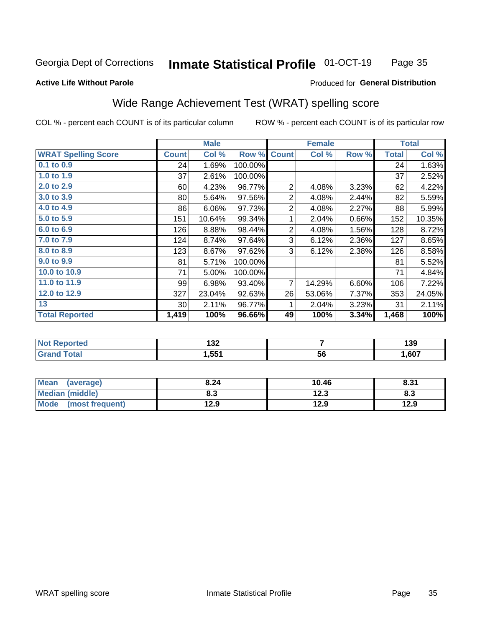#### **Inmate Statistical Profile 01-OCT-19** Page 35

### **Active Life Without Parole**

### Produced for General Distribution

## Wide Range Achievement Test (WRAT) spelling score

COL % - percent each COUNT is of its particular column

|                            |              | <b>Male</b> |         |                | <b>Female</b> |       |              | <b>Total</b> |
|----------------------------|--------------|-------------|---------|----------------|---------------|-------|--------------|--------------|
| <b>WRAT Spelling Score</b> | <b>Count</b> | Col %       | Row %   | <b>Count</b>   | Col %         | Row % | <b>Total</b> | Col %        |
| 0.1 to 0.9                 | 24           | 1.69%       | 100.00% |                |               |       | 24           | 1.63%        |
| 1.0 to 1.9                 | 37           | 2.61%       | 100.00% |                |               |       | 37           | 2.52%        |
| 2.0 to 2.9                 | 60           | 4.23%       | 96.77%  | 2              | 4.08%         | 3.23% | 62           | 4.22%        |
| 3.0 to 3.9                 | 80           | 5.64%       | 97.56%  | 2              | 4.08%         | 2.44% | 82           | 5.59%        |
| 4.0 to 4.9                 | 86           | 6.06%       | 97.73%  | $\overline{2}$ | 4.08%         | 2.27% | 88           | 5.99%        |
| 5.0 to 5.9                 | 151          | 10.64%      | 99.34%  | 1              | 2.04%         | 0.66% | 152          | 10.35%       |
| 6.0 to 6.9                 | 126          | 8.88%       | 98.44%  | 2              | 4.08%         | 1.56% | 128          | 8.72%        |
| 7.0 to 7.9                 | 124          | 8.74%       | 97.64%  | 3              | 6.12%         | 2.36% | 127          | 8.65%        |
| 8.0 to 8.9                 | 123          | 8.67%       | 97.62%  | 3              | 6.12%         | 2.38% | 126          | 8.58%        |
| 9.0 to 9.9                 | 81           | 5.71%       | 100.00% |                |               |       | 81           | 5.52%        |
| 10.0 to 10.9               | 71           | 5.00%       | 100.00% |                |               |       | 71           | 4.84%        |
| 11.0 to 11.9               | 99           | 6.98%       | 93.40%  | $\overline{7}$ | 14.29%        | 6.60% | 106          | 7.22%        |
| 12.0 to 12.9               | 327          | 23.04%      | 92.63%  | 26             | 53.06%        | 7.37% | 353          | 24.05%       |
| 13                         | 30           | 2.11%       | 96.77%  | 1              | 2.04%         | 3.23% | 31           | 2.11%        |
| <b>Total Reported</b>      | 1,419        | 100%        | 96.66%  | 49             | 100%          | 3.34% | 1,468        | 100%         |
|                            |              |             |         |                |               |       |              |              |
| <b>Not Reported</b>        |              | 132         |         | $\overline{7}$ |               |       | 139          |              |
| <b>Grand Total</b>         |              | 1,551       |         |                | 56            |       |              | 1,607        |

| <b>Mean</b><br>(average)       | 8.24 | 10.46       | 8.31 |
|--------------------------------|------|-------------|------|
| Median (middle)                | o. J | 122<br>12.J | ი.ა  |
| <b>Mode</b><br>(most frequent) | 12.9 | 12.9        | 12.9 |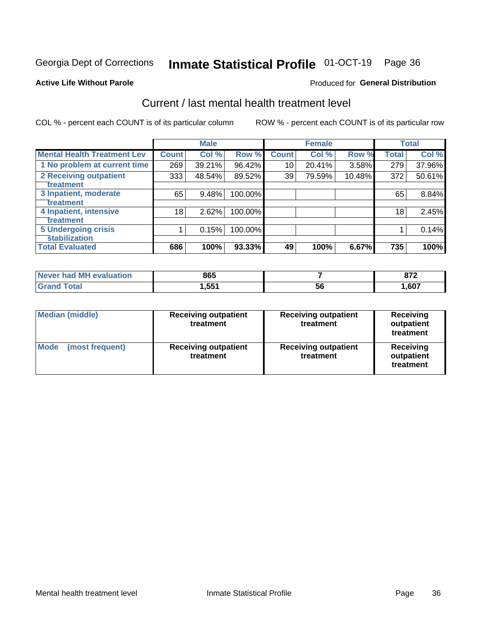# Inmate Statistical Profile 01-OCT-19 Page 36

### **Active Life Without Parole**

### Produced for General Distribution

## Current / last mental health treatment level

COL % - percent each COUNT is of its particular column

|                                    |              | <b>Male</b> |         |              | <b>Female</b> |        |              | <b>Total</b> |
|------------------------------------|--------------|-------------|---------|--------------|---------------|--------|--------------|--------------|
| <b>Mental Health Treatment Lev</b> | <b>Count</b> | Col %       | Row %   | <b>Count</b> | Col %         | Row %  | <b>Total</b> | Col %        |
| 1 No problem at current time       | 269          | 39.21%      | 96.42%  | 10           | 20.41%        | 3.58%  | 279          | 37.96%       |
| 2 Receiving outpatient             | 333          | 48.54%      | 89.52%  | 39           | 79.59%        | 10.48% | 372          | 50.61%       |
| <b>Treatment</b>                   |              |             |         |              |               |        |              |              |
| 3 Inpatient, moderate              | 65           | 9.48%       | 100.00% |              |               |        | 65           | 8.84%        |
| Treatment                          |              |             |         |              |               |        |              |              |
| 4 Inpatient, intensive             | 18           | 2.62%       | 100.00% |              |               |        | 18           | 2.45%        |
| Treatment                          |              |             |         |              |               |        |              |              |
| <b>5 Undergoing crisis</b>         |              | 0.15%       | 100.00% |              |               |        |              | 0.14%        |
| <b>stabilization</b>               |              |             |         |              |               |        |              |              |
| <b>Total Evaluated</b>             | 686          | 100%        | 93.33%  | 49           | 100%          | 6.67%  | 735          | 100%         |

| evaluation<br>Never had MI | 865              |    | 070  |
|----------------------------|------------------|----|------|
| int                        | .55 <sup>4</sup> | 5c | ,607 |

| Median (middle)                | <b>Receiving outpatient</b><br>treatment | <b>Receiving outpatient</b><br>treatment | <b>Receiving</b><br>outpatient<br>treatment |  |
|--------------------------------|------------------------------------------|------------------------------------------|---------------------------------------------|--|
| <b>Mode</b><br>(most frequent) | <b>Receiving outpatient</b><br>treatment | <b>Receiving outpatient</b><br>treatment | <b>Receiving</b><br>outpatient<br>treatment |  |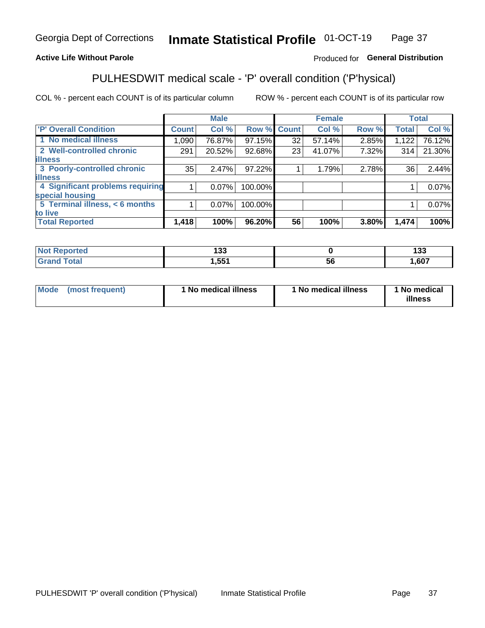#### **Inmate Statistical Profile 01-OCT-19** Page 37

## **Active Life Without Parole**

### Produced for General Distribution

## PULHESDWIT medical scale - 'P' overall condition ('P'hysical)

COL % - percent each COUNT is of its particular column

|                                  |              | <b>Male</b> |         |              | <b>Female</b> |       |       | <b>Total</b> |
|----------------------------------|--------------|-------------|---------|--------------|---------------|-------|-------|--------------|
| 'P' Overall Condition            | <b>Count</b> | Col %       | Row %   | <b>Count</b> | Col %         | Row % | Total | Col %        |
| 1 No medical illness             | 1,090        | 76.87%      | 97.15%  | 32           | 57.14%        | 2.85% | 1,122 | 76.12%       |
| 2 Well-controlled chronic        | 291          | 20.52%      | 92.68%  | 23           | 41.07%        | 7.32% | 314   | 21.30%       |
| <b>lilness</b>                   |              |             |         |              |               |       |       |              |
| 3 Poorly-controlled chronic      | 35           | 2.47%       | 97.22%  |              | 1.79%         | 2.78% | 36    | 2.44%        |
| <b>illness</b>                   |              |             |         |              |               |       |       |              |
| 4 Significant problems requiring |              | $0.07\%$    | 100.00% |              |               |       |       | 0.07%        |
| special housing                  |              |             |         |              |               |       |       |              |
| 5 Terminal illness, $<$ 6 months |              | $0.07\%$    | 100.00% |              |               |       |       | 0.07%        |
| to live                          |              |             |         |              |               |       |       |              |
| <b>Total Reported</b>            | 1,418        | 100%        | 96.20%  | 56           | 100%          | 3.80% | 1,474 | 100%         |

| rteo  | ,,,   |   | 400  |
|-------|-------|---|------|
|       | טטו   |   | טטו  |
| _____ | I,551 | უ | ,607 |

| Mode (most frequent) | 1 No medical illness | 1 No medical illness | 1 No medical<br>illness |
|----------------------|----------------------|----------------------|-------------------------|
|                      |                      |                      |                         |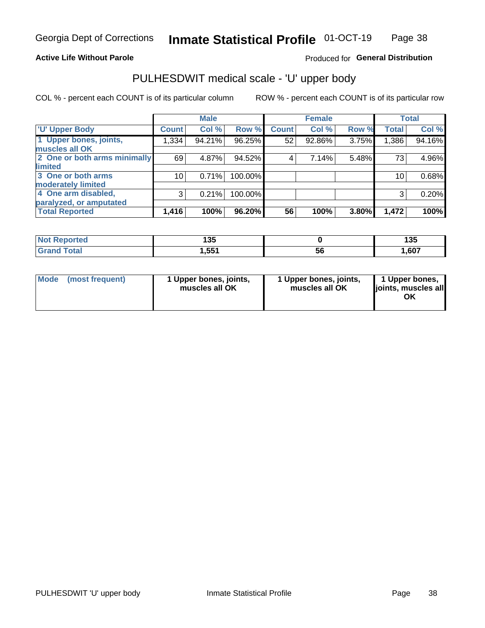### **Active Life Without Parole**

## Produced for General Distribution

## PULHESDWIT medical scale - 'U' upper body

COL % - percent each COUNT is of its particular column

|                              |              | <b>Male</b> |         |              | <b>Female</b> |       |              | <b>Total</b> |
|------------------------------|--------------|-------------|---------|--------------|---------------|-------|--------------|--------------|
| <b>'U' Upper Body</b>        | <b>Count</b> | Col %       | Row %   | <b>Count</b> | Col %         | Row % | <b>Total</b> | Col %        |
| 1 Upper bones, joints,       | 1,334        | 94.21%      | 96.25%  | 52           | 92.86%        | 3.75% | 1,386        | 94.16%       |
| muscles all OK               |              |             |         |              |               |       |              |              |
| 2 One or both arms minimally | 69           | 4.87%       | 94.52%  | 4            | 7.14%         | 5.48% | 73           | 4.96%        |
| limited                      |              |             |         |              |               |       |              |              |
| 3 One or both arms           | 10           | 0.71%       | 100.00% |              |               |       | 10           | 0.68%        |
| <b>moderately limited</b>    |              |             |         |              |               |       |              |              |
| 4 One arm disabled,          | 3            | 0.21%       | 100.00% |              |               |       | 3            | 0.20%        |
| paralyzed, or amputated      |              |             |         |              |               |       |              |              |
| <b>Total Reported</b>        | 1,416        | 100%        | 96.20%  | 56           | 100%          | 3.80% | 1,472        | 100%         |

| <b>Not Reported</b> | 125<br>יי    |    | <b>49F</b><br>טטו |
|---------------------|--------------|----|-------------------|
| <b>Grand Total</b>  | 551<br>ו טטו | ວເ | ,607              |

| <b>Mode</b> | (most frequent) | 1 Upper bones, joints,<br>muscles all OK | 1 Upper bones, joints,<br>muscles all OK | 1 Upper bones,<br>ljoints, muscles all<br>ОK |
|-------------|-----------------|------------------------------------------|------------------------------------------|----------------------------------------------|
|-------------|-----------------|------------------------------------------|------------------------------------------|----------------------------------------------|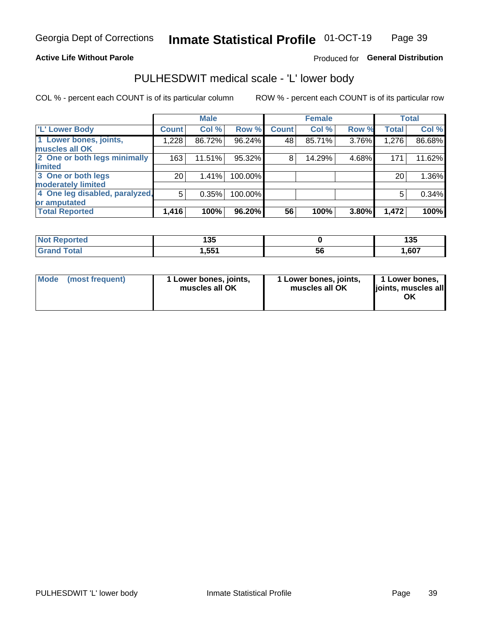### **Active Life Without Parole**

## Produced for General Distribution

## PULHESDWIT medical scale - 'L' lower body

COL % - percent each COUNT is of its particular column

|                                |              | <b>Male</b> |         |              | <b>Female</b> |       |              | <b>Total</b> |
|--------------------------------|--------------|-------------|---------|--------------|---------------|-------|--------------|--------------|
| 'L' Lower Body                 | <b>Count</b> | Col %       | Row %   | <b>Count</b> | Col %         | Row % | <b>Total</b> | Col %        |
| 1 Lower bones, joints,         | 1,228        | 86.72%      | 96.24%  | 48           | 85.71%        | 3.76% | 1,276        | 86.68%       |
| muscles all OK                 |              |             |         |              |               |       |              |              |
| 2 One or both legs minimally   | 163          | 11.51%      | 95.32%  | 8            | 14.29%        | 4.68% | 171          | 11.62%       |
| limited                        |              |             |         |              |               |       |              |              |
| 3 One or both legs             | 20           | 1.41%       | 100.00% |              |               |       | 20           | 1.36%        |
| moderately limited             |              |             |         |              |               |       |              |              |
| 4 One leg disabled, paralyzed, | 5            | 0.35%       | 100.00% |              |               |       | 5            | 0.34%        |
| or amputated                   |              |             |         |              |               |       |              |              |
| <b>Total Reported</b>          | 1,416        | 100%        | 96.20%  | 56           | 100%          | 3.80% | 1,472        | 100%         |

| <b>Not Reported</b> | 125<br>יי    |    | <b>49F</b><br>טטו |
|---------------------|--------------|----|-------------------|
| <b>Grand Total</b>  | 551<br>ו טטו | ວເ | ,607              |

| Mode | (most frequent) | 1 Lower bones, joints,<br>muscles all OK | 1 Lower bones, joints,<br>muscles all OK | 1 Lower bones,<br>ljoints, muscles all<br>ΟK |
|------|-----------------|------------------------------------------|------------------------------------------|----------------------------------------------|
|------|-----------------|------------------------------------------|------------------------------------------|----------------------------------------------|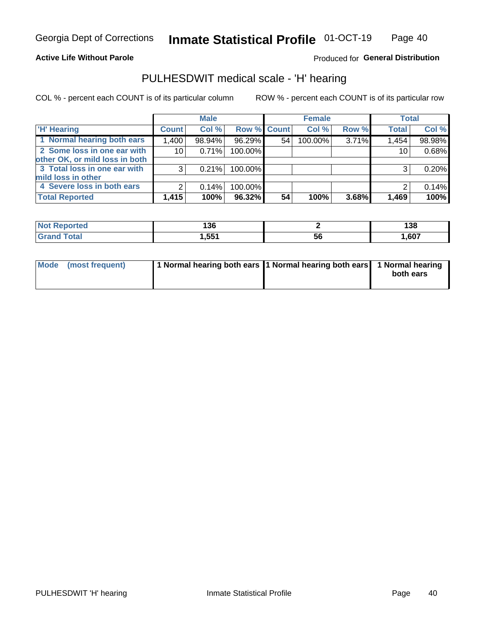## **Active Life Without Parole**

Produced for General Distribution

## PULHESDWIT medical scale - 'H' hearing

COL % - percent each COUNT is of its particular column

|                                |              | <b>Male</b> |             |    | <b>Female</b> |       | <b>Total</b> |        |
|--------------------------------|--------------|-------------|-------------|----|---------------|-------|--------------|--------|
| <b>H' Hearing</b>              | <b>Count</b> | Col %       | Row % Count |    | Col %         | Row % | <b>Total</b> | Col %  |
| 1 Normal hearing both ears     | 1,400        | 98.94%      | 96.29%      | 54 | 100.00%       | 3.71% | 1,454        | 98.98% |
| 2 Some loss in one ear with    | 10           | 0.71%       | 100.00%     |    |               |       | 10           | 0.68%  |
| other OK, or mild loss in both |              |             |             |    |               |       |              |        |
| 3 Total loss in one ear with   | 3            | 0.21%       | 100.00%     |    |               |       | 3            | 0.20%  |
| mild loss in other             |              |             |             |    |               |       |              |        |
| 4 Severe loss in both ears     | 2            | 0.14%       | 100.00%     |    |               |       |              | 0.14%  |
| <b>Total Reported</b>          | 1,415        | 100%        | 96.32%      | 54 | 100%          | 3.68% | 1,469        | 100%   |

| ported<br>NO1   | <br>l 30 |    | 138  |
|-----------------|----------|----|------|
| $n+n$<br>______ | 551      | ວບ | ,607 |

| Mode (most frequent) | 1 Normal hearing both ears 1 Normal hearing both ears 1 Normal hearing | both ears |
|----------------------|------------------------------------------------------------------------|-----------|
|                      |                                                                        |           |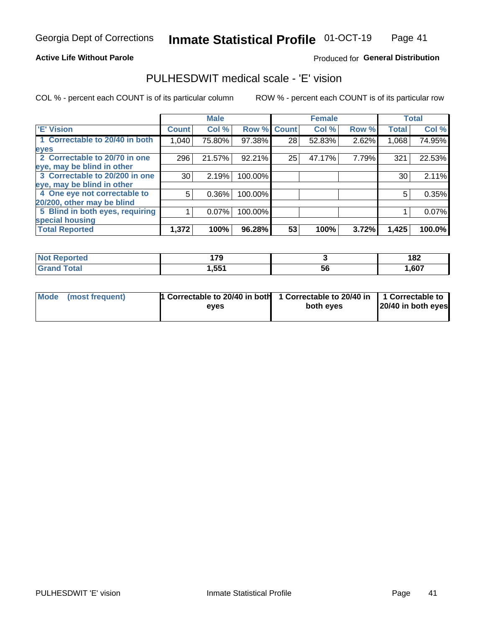### **Active Life Without Parole**

### Produced for General Distribution

## PULHESDWIT medical scale - 'E' vision

COL % - percent each COUNT is of its particular column

|                                 |              | <b>Male</b> |         |              | <b>Female</b> |       |              | <b>Total</b> |
|---------------------------------|--------------|-------------|---------|--------------|---------------|-------|--------------|--------------|
| <b>E' Vision</b>                | <b>Count</b> | Col %       | Row %   | <b>Count</b> | Col %         | Row % | <b>Total</b> | Col %        |
| 1 Correctable to 20/40 in both  | 1,040        | 75.80%      | 97.38%  | 28           | 52.83%        | 2.62% | 1,068        | 74.95%       |
| eyes                            |              |             |         |              |               |       |              |              |
| 2 Correctable to 20/70 in one   | 296          | 21.57%      | 92.21%  | 25           | 47.17%        | 7.79% | 321          | 22.53%       |
| eye, may be blind in other      |              |             |         |              |               |       |              |              |
| 3 Correctable to 20/200 in one  | 30           | 2.19%       | 100.00% |              |               |       | 30           | 2.11%        |
| eye, may be blind in other      |              |             |         |              |               |       |              |              |
| 4 One eye not correctable to    | 5            | $0.36\%$    | 100.00% |              |               |       | 5            | 0.35%        |
| 20/200, other may be blind      |              |             |         |              |               |       |              |              |
| 5 Blind in both eyes, requiring |              | 0.07%       | 100.00% |              |               |       |              | 0.07%        |
| special housing                 |              |             |         |              |               |       |              |              |
| <b>Total Reported</b>           | 1,372        | 100%        | 96.28%  | 53           | 100%          | 3.72% | 1,425        | 100.0%       |

| orted<br>NO           | 170<br>. |    | 182  |
|-----------------------|----------|----|------|
| $f \wedge f \wedge f$ | .551     | 56 | ,607 |

| Mode (most frequent) | 1 Correctable to 20/40 in both<br>eves | 1 Correctable to 20/40 in   1 Correctable to  <br>both eyes | 20/40 in both eyes |
|----------------------|----------------------------------------|-------------------------------------------------------------|--------------------|
|                      |                                        |                                                             |                    |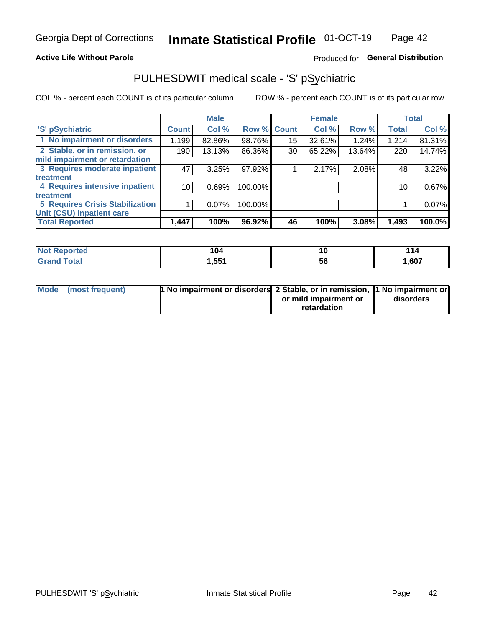### **Active Life Without Parole**

## Produced for General Distribution

## PULHESDWIT medical scale - 'S' pSychiatric

COL % - percent each COUNT is of its particular column

|                                        |              | <b>Male</b> |         |             | <b>Female</b> |        |              | <b>Total</b> |
|----------------------------------------|--------------|-------------|---------|-------------|---------------|--------|--------------|--------------|
| 'S' pSychiatric                        | <b>Count</b> | Col %       |         | Row % Count | Col %         | Row %  | <b>Total</b> | Col %        |
| 1 No impairment or disorders           | 1,199        | 82.86%      | 98.76%  | 15          | 32.61%        | 1.24%  | 1,214        | 81.31%       |
| 2 Stable, or in remission, or          | 190          | 13.13%      | 86.36%  | 30          | 65.22%        | 13.64% | 220          | 14.74%       |
| mild impairment or retardation         |              |             |         |             |               |        |              |              |
| 3 Requires moderate inpatient          | 47           | 3.25%       | 97.92%  |             | 2.17%         | 2.08%  | 48           | 3.22%        |
| <b>treatment</b>                       |              |             |         |             |               |        |              |              |
| 4 Requires intensive inpatient         | 10           | 0.69%       | 100.00% |             |               |        | 10           | 0.67%        |
| treatment                              |              |             |         |             |               |        |              |              |
| <b>5 Requires Crisis Stabilization</b> |              | $0.07\%$    | 100.00% |             |               |        |              | 0.07%        |
| Unit (CSU) inpatient care              |              |             |         |             |               |        |              |              |
| <b>Total Reported</b>                  | 1,447        | 100%        | 96.92%  | 46          | 100%          | 3.08%  | 1,493        | 100.0%       |

| <b>orted</b> | 104               | 10 | . .<br>. |
|--------------|-------------------|----|----------|
| <b>Total</b> | 1,55 <sup>4</sup> | ჂႩ | ,607     |

| Mode (most frequent) | <b>1 No impairment or disorders</b> 2 Stable, or in remission, 11 No impairment or |                       |           |
|----------------------|------------------------------------------------------------------------------------|-----------------------|-----------|
|                      |                                                                                    | or mild impairment or | disorders |
|                      |                                                                                    | retardation           |           |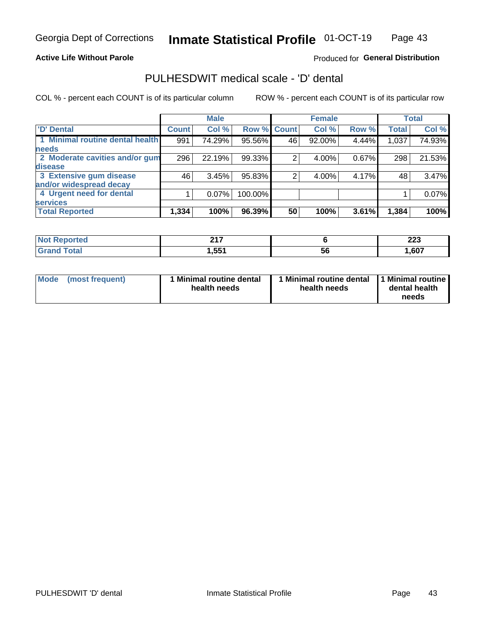### **Active Life Without Parole**

## Produced for General Distribution

## PULHESDWIT medical scale - 'D' dental

COL % - percent each COUNT is of its particular column

|                                 |              | <b>Male</b> |         |              | <b>Female</b> |       |              | <b>Total</b> |
|---------------------------------|--------------|-------------|---------|--------------|---------------|-------|--------------|--------------|
| <b>D'</b> Dental                | <b>Count</b> | Col %       | Row %   | <b>Count</b> | Col %         | Row % | <b>Total</b> | Col %        |
| 1 Minimal routine dental health | 991          | 74.29%      | 95.56%  | 46           | 92.00%        | 4.44% | 1,037        | 74.93%       |
| <b>needs</b>                    |              |             |         |              |               |       |              |              |
| 2 Moderate cavities and/or gum  | 296          | 22.19%      | 99.33%  |              | 4.00%         | 0.67% | 298          | 21.53%       |
| disease                         |              |             |         |              |               |       |              |              |
| 3 Extensive gum disease         | 46           | 3.45%       | 95.83%  | ⌒            | 4.00%         | 4.17% | 48           | 3.47%        |
| and/or widespread decay         |              |             |         |              |               |       |              |              |
| 4 Urgent need for dental        |              | $0.07\%$    | 100.00% |              |               |       |              | 0.07%        |
| <b>services</b>                 |              |             |         |              |               |       |              |              |
| <b>Total Reported</b>           | 1,334        | 100%        | 96.39%  | 50           | 100%          | 3.61% | 1,384        | 100%         |

| orted<br>NOT RADO<br>. | 247<br>4 I I |    | nne<br>ZZJ |
|------------------------|--------------|----|------------|
| Total                  | ,551         | 56 | ,607       |

| <b>Mode</b> | (most frequent) | <b>Minimal routine dental</b><br>health needs | 1 Minimal routine dental 1 Minimal routine<br>health needs | dental health<br>needs |
|-------------|-----------------|-----------------------------------------------|------------------------------------------------------------|------------------------|
|-------------|-----------------|-----------------------------------------------|------------------------------------------------------------|------------------------|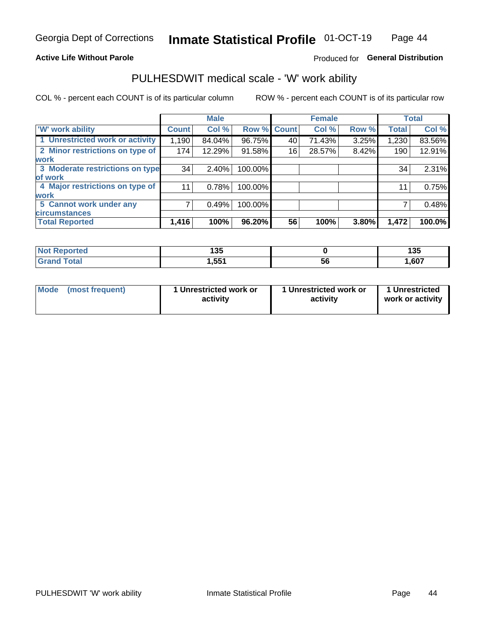### **Active Life Without Parole**

## Produced for General Distribution

## PULHESDWIT medical scale - 'W' work ability

COL % - percent each COUNT is of its particular column

|                                 |              | <b>Male</b> |         |             | <b>Female</b> |       |              | <b>Total</b> |
|---------------------------------|--------------|-------------|---------|-------------|---------------|-------|--------------|--------------|
| <b>W' work ability</b>          | <b>Count</b> | Col %       |         | Row % Count | Col %         | Row % | <b>Total</b> | Col %        |
| 1 Unrestricted work or activity | 1,190        | 84.04%      | 96.75%  | 40          | 71.43%        | 3.25% | 1,230        | 83.56%       |
| 2 Minor restrictions on type of | 174          | 12.29%      | 91.58%  | 16          | 28.57%        | 8.42% | 190          | 12.91%       |
| <b>work</b>                     |              |             |         |             |               |       |              |              |
| 3 Moderate restrictions on type | 34           | $2.40\%$    | 100.00% |             |               |       | 34           | 2.31%        |
| lof work                        |              |             |         |             |               |       |              |              |
| 4 Major restrictions on type of | 11           | 0.78%       | 100.00% |             |               |       | 11           | 0.75%        |
| <b>work</b>                     |              |             |         |             |               |       |              |              |
| 5 Cannot work under any         |              | 0.49%       | 100.00% |             |               |       |              | 0.48%        |
| <b>circumstances</b>            |              |             |         |             |               |       |              |              |
| <b>Total Reported</b>           | 1,416        | 100%        | 96.20%  | 56          | 100%          | 3.80% | 1,472        | 100.0%       |

| 'Not Reported | ィクド<br>טטו        |           | 12F<br>1 J J |
|---------------|-------------------|-----------|--------------|
| <b>Total</b>  | 1,55 <sup>4</sup> | <b>bt</b> | 1,607        |

| Mode (most frequent) | 1 Unrestricted work or | 1 Unrestricted work or | 1 Unrestricted   |
|----------------------|------------------------|------------------------|------------------|
|                      | activity               | activity               | work or activity |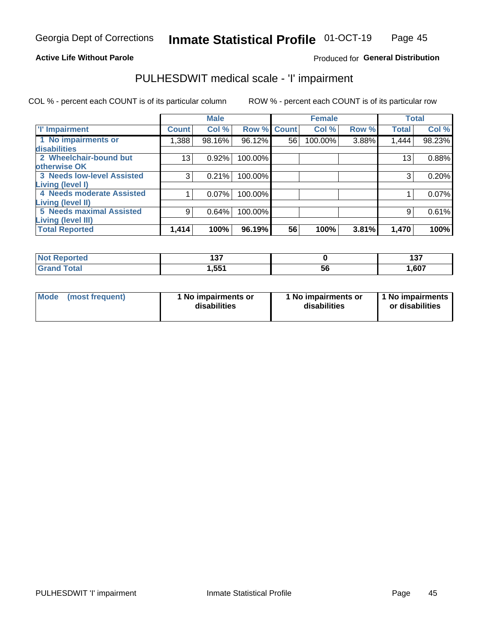## **Active Life Without Parole**

### Produced for General Distribution

## PULHESDWIT medical scale - 'I' impairment

COL % - percent each COUNT is of its particular column ROW % - percent each COUNT is of its particular row

|                                   |                 | <b>Male</b> |             |    | <b>Female</b> |       |              | <b>Total</b> |
|-----------------------------------|-----------------|-------------|-------------|----|---------------|-------|--------------|--------------|
| <b>T' Impairment</b>              | <b>Count</b>    | Col %       | Row % Count |    | Col %         | Row % | <b>Total</b> | Col %        |
| 1 No impairments or               | 1,388           | 98.16%      | 96.12%      | 56 | 100.00%       | 3.88% | 1,444        | 98.23%       |
| <b>disabilities</b>               |                 |             |             |    |               |       |              |              |
| 2 Wheelchair-bound but            | 13 <sub>1</sub> | 0.92%       | 100.00%     |    |               |       | 13           | 0.88%        |
| otherwise OK                      |                 |             |             |    |               |       |              |              |
| <b>3 Needs low-level Assisted</b> | 3               | 0.21%       | 100.00%     |    |               |       | 3            | 0.20%        |
| Living (level I)                  |                 |             |             |    |               |       |              |              |
| 4 Needs moderate Assisted         |                 | 0.07%       | 100.00%     |    |               |       |              | 0.07%        |
| Living (level II)                 |                 |             |             |    |               |       |              |              |
| <b>5 Needs maximal Assisted</b>   | 9               | 0.64%       | 100.00%     |    |               |       | 9            | 0.61%        |
| <b>Living (level III)</b>         |                 |             |             |    |               |       |              |              |
| <b>Total Reported</b>             | 1,414           | 100%        | 96.19%      | 56 | 100%          | 3.81% | 1,470        | 100%         |

| Reported     | , , ,<br>1 J I |    | 107<br>1 J I |
|--------------|----------------|----|--------------|
| <b>Total</b> | 551.ا          | ວບ | 1,607        |

| Mode | (most frequent) | 1 No impairments or<br>disabilities | 1 No impairments or<br>disabilities | 1 No impairments<br>or disabilities |
|------|-----------------|-------------------------------------|-------------------------------------|-------------------------------------|
|------|-----------------|-------------------------------------|-------------------------------------|-------------------------------------|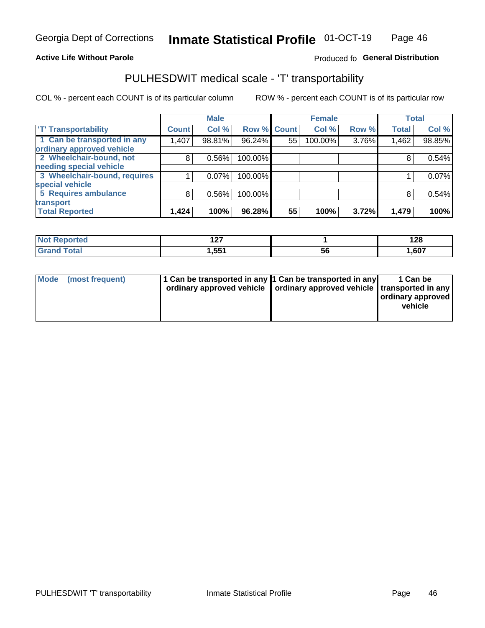### **Active Life Without Parole**

## Produced fo General Distribution

## PULHESDWIT medical scale - 'T' transportability

COL % - percent each COUNT is of its particular column

|                              |              | <b>Male</b> |         |             | <b>Female</b> |       |              | <b>Total</b> |
|------------------------------|--------------|-------------|---------|-------------|---------------|-------|--------------|--------------|
| <b>T' Transportability</b>   | <b>Count</b> | Col %       |         | Row % Count | Col %         | Row % | <b>Total</b> | Col %        |
| 1 Can be transported in any  | 1,407        | 98.81%      | 96.24%  | 55          | 100.00%       | 3.76% | 1,462        | 98.85%       |
| ordinary approved vehicle    |              |             |         |             |               |       |              |              |
| 2 Wheelchair-bound, not      | 8            | 0.56%       | 100.00% |             |               |       |              | 0.54%        |
| needing special vehicle      |              |             |         |             |               |       |              |              |
| 3 Wheelchair-bound, requires |              | 0.07%       | 100.00% |             |               |       |              | 0.07%        |
| special vehicle              |              |             |         |             |               |       |              |              |
| 5 Requires ambulance         | 8            | 0.56%       | 100.00% |             |               |       |              | 0.54%        |
| transport                    |              |             |         |             |               |       |              |              |
| <b>Total Reported</b>        | 1,424        | 100%        | 96.28%  | 55          | 100%          | 3.72% | 1,479        | 100%         |

| <b>eported</b> | - - -<br>. |    | 190<br>1 ∠O |
|----------------|------------|----|-------------|
|                | 1,551      | ჂႩ | 1,607       |

|  | Mode (most frequent) | 1 Can be transported in any 1 Can be transported in any<br>ordinary approved vehicle   ordinary approved vehicle   transported in any |  | 1 Can be<br>ordinary approved<br>vehicle |
|--|----------------------|---------------------------------------------------------------------------------------------------------------------------------------|--|------------------------------------------|
|--|----------------------|---------------------------------------------------------------------------------------------------------------------------------------|--|------------------------------------------|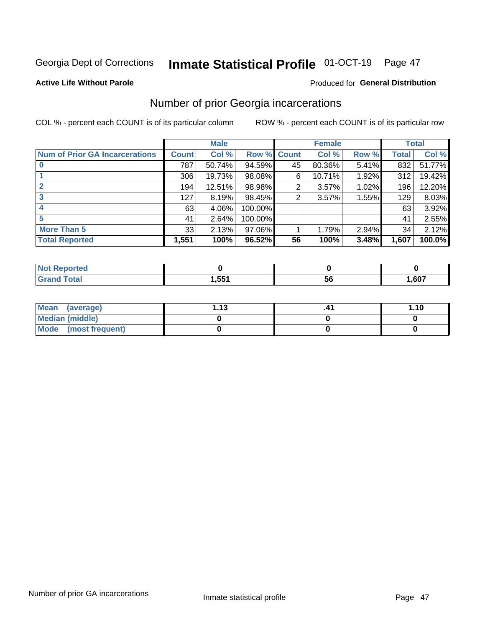## Inmate Statistical Profile 01-OCT-19 Page 47

### **Active Life Without Parole**

## Produced for General Distribution

## Number of prior Georgia incarcerations

COL % - percent each COUNT is of its particular column

|                                       |              | <b>Male</b> |           |              | <b>Female</b> |       |       | <b>Total</b> |
|---------------------------------------|--------------|-------------|-----------|--------------|---------------|-------|-------|--------------|
| <b>Num of Prior GA Incarcerations</b> | <b>Count</b> | Col %       | Row %     | <b>Count</b> | Col %         | Row % | Total | Col %        |
|                                       | 787          | 50.74%      | 94.59%    | 45           | 80.36%        | 5.41% | 832   | 51.77%       |
|                                       | 306          | 19.73%      | $98.08\%$ | 6            | 10.71%        | 1.92% | 312   | 19.42%       |
|                                       | 194          | 12.51%      | 98.98%    | 2            | 3.57%         | 1.02% | 196   | 12.20%       |
| 3                                     | 127          | 8.19%       | 98.45%    | 2            | 3.57%         | 1.55% | 129   | 8.03%        |
|                                       | 63           | 4.06%       | 100.00%   |              |               |       | 63    | 3.92%        |
|                                       | 41           | 2.64%       | 100.00%   |              |               |       | 41    | 2.55%        |
| <b>More Than 5</b>                    | 33           | 2.13%       | $97.06\%$ |              | 1.79%         | 2.94% | 34    | 2.12%        |
| <b>Total Reported</b>                 | 1,551        | 100%        | 96.52%    | 56           | 100%          | 3.48% | 1,607 | 100.0%       |

| Reported<br><b>NOT</b> |              |    |      |
|------------------------|--------------|----|------|
| <b>c</b> otal          | EEA<br>ו טטו | эt | ,607 |

| Mean (average)       | 1 1 2 | 1.10 |
|----------------------|-------|------|
| Median (middle)      |       |      |
| Mode (most frequent) |       |      |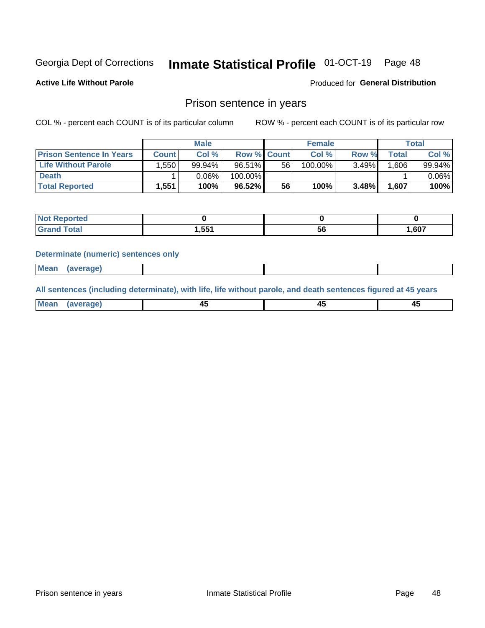#### Inmate Statistical Profile 01-OCT-19 Page 48

**Active Life Without Parole** 

Produced for General Distribution

## Prison sentence in years

COL % - percent each COUNT is of its particular column

ROW % - percent each COUNT is of its particular row

|                                 | <b>Male</b> |        |                    |    | <b>Female</b> | Total    |       |          |
|---------------------------------|-------------|--------|--------------------|----|---------------|----------|-------|----------|
| <b>Prison Sentence In Years</b> | Count l     | Col %  | <b>Row % Count</b> |    | Col %         | Row %    | Total | Col %    |
| <b>Life Without Parole</b>      | .550        | 99.94% | $96.51\%$          | 56 | 100.00%       | $3.49\%$ | .606  | 99.94%   |
| <b>Death</b>                    |             | 0.06%  | 100.00%            |    |               |          |       | $0.06\%$ |
| <b>Total Reported</b>           | 1.551       | 100%   | $96.52\%$          | 56 | 100%          | $3.48\%$ | 1,607 | 100%     |

| Reported<br>NOT |       |    |       |
|-----------------|-------|----|-------|
| <b>Total</b>    | 1,551 | ວບ | 607.ء |

### **Determinate (numeric) sentences only**

| 1112211 | <b>Mean</b> | Ane <sup>*</sup> |  |  |
|---------|-------------|------------------|--|--|

All sentences (including determinate), with life, life without parole, and death sentences figured at 45 years

| l Mea<br>חר<br> | ᠇៶<br>$\sim$ | $\sim$ | ╌ |
|-----------------|--------------|--------|---|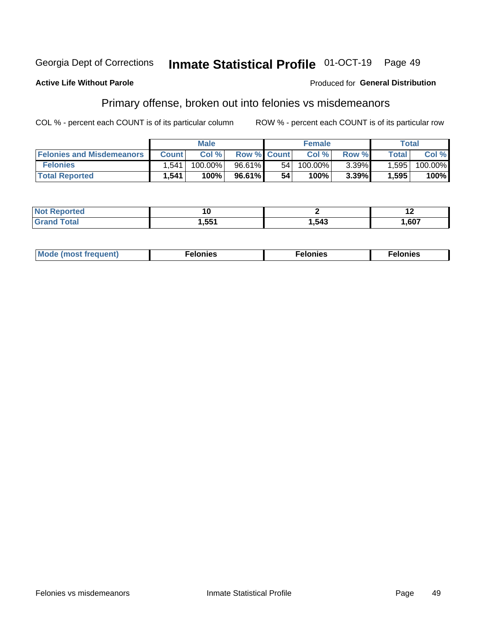#### Georgia Dept of Corrections Inmate Statistical Profile 01-OCT-19 Page 49

### **Active Life Without Parole**

### Produced for General Distribution

## Primary offense, broken out into felonies vs misdemeanors

COL % - percent each COUNT is of its particular column

|                                  | <b>Male</b>  |         |                    | <b>Female</b> |            |          | $\tau$ otal        |         |
|----------------------------------|--------------|---------|--------------------|---------------|------------|----------|--------------------|---------|
| <b>Felonies and Misdemeanors</b> | <b>Count</b> | Col%    | <b>Row % Count</b> |               | Col%       | Row %    | Total <sub>1</sub> | Col%    |
| <b>Felonies</b>                  | .541         | 100.00% | 96.61%             | 54            | $100.00\%$ | $3.39\%$ | 1,595              | 100.00% |
| <b>Total Reported</b>            | .541         | 100%    | $96.61\%$          | 54            | 100%       | 3.39%    | .595               | 100%    |

| <b>Not Reported</b>   | 1 U   |      | . .  |
|-----------------------|-------|------|------|
| `otal<br><b>Grand</b> | 1,551 | .543 | ,607 |

| <b>Mode</b><br>frequent)<br>nies<br>≧ (most tr.<br>. | onies<br>. | lonies<br>ею<br>____ |
|------------------------------------------------------|------------|----------------------|
|------------------------------------------------------|------------|----------------------|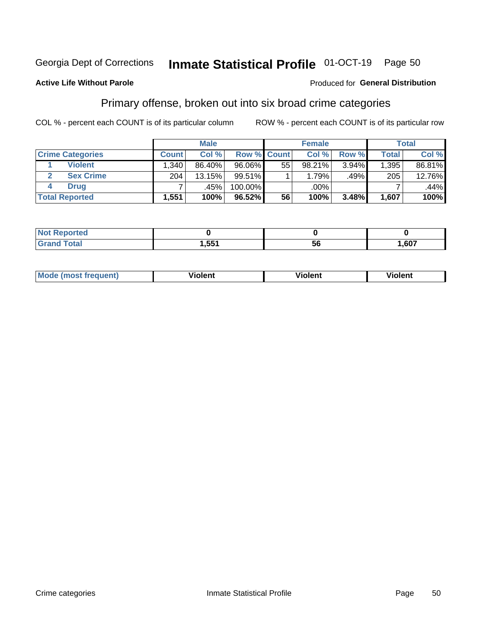#### Inmate Statistical Profile 01-OCT-19 Page 50

### **Active Life Without Parole**

### Produced for General Distribution

## Primary offense, broken out into six broad crime categories

COL % - percent each COUNT is of its particular column

|                         | <b>Male</b>  |        |             |    | <b>Female</b> |       |              | Total  |  |
|-------------------------|--------------|--------|-------------|----|---------------|-------|--------------|--------|--|
| <b>Crime Categories</b> | <b>Count</b> | Col%   | Row % Count |    | Col %         | Row % | <b>Total</b> | Col %  |  |
| <b>Violent</b>          | .340         | 86.40% | 96.06%      | 55 | 98.21%        | 3.94% | 1,395        | 86.81% |  |
| <b>Sex Crime</b>        | 204          | 13.15% | $99.51\%$   |    | 1.79%         | .49%  | 205          | 12.76% |  |
| <b>Drug</b>             |              | .45%   | 100.00%     |    | .00%          |       |              | .44%   |  |
| <b>Total Reported</b>   | 1,551        | 100%   | 96.52%      | 56 | 100%          | 3.48% | 1,607        | 100%   |  |

| _____ | <b>EE1</b><br>ື່ | --<br>-6<br>-<br>. . | ,607 |
|-------|------------------|----------------------|------|

| Mo<br>quenti | .<br>iolent<br>ΊΙ. | --<br>olent | .<br>'ent |
|--------------|--------------------|-------------|-----------|
|              |                    |             |           |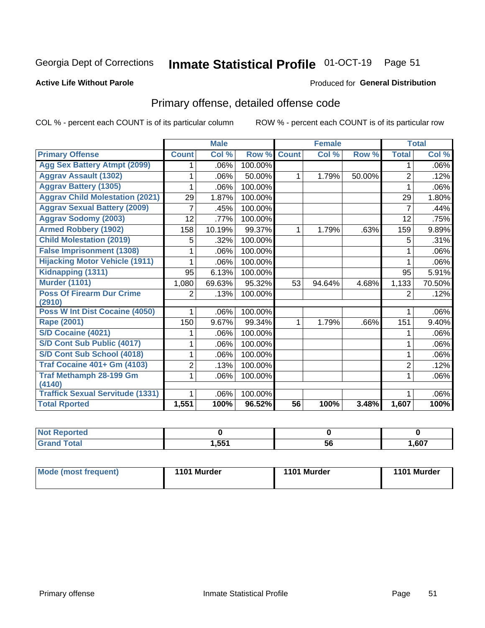## Inmate Statistical Profile 01-OCT-19 Page 51

### **Active Life Without Parole**

### Produced for General Distribution

## Primary offense, detailed offense code

COL % - percent each COUNT is of its particular column

|                                            |                | <b>Male</b>                |         |              | <b>Female</b>             |        |                | <b>Total</b> |
|--------------------------------------------|----------------|----------------------------|---------|--------------|---------------------------|--------|----------------|--------------|
| <b>Primary Offense</b>                     | <b>Count</b>   | $\overline{\text{Col }^9}$ | Row %   | <b>Count</b> | $\overline{\text{Col}}$ % | Row %  | <b>Total</b>   | Col %        |
| <b>Agg Sex Battery Atmpt (2099)</b>        |                | .06%                       | 100.00% |              |                           |        | 1              | .06%         |
| <b>Aggrav Assault (1302)</b>               |                | .06%                       | 50.00%  | 1            | 1.79%                     | 50.00% | $\overline{2}$ | .12%         |
| <b>Aggrav Battery (1305)</b>               |                | .06%                       | 100.00% |              |                           |        |                | .06%         |
| <b>Aggrav Child Molestation (2021)</b>     | 29             | 1.87%                      | 100.00% |              |                           |        | 29             | 1.80%        |
| <b>Aggrav Sexual Battery (2009)</b>        | 7              | .45%                       | 100.00% |              |                           |        | 7              | .44%         |
| <b>Aggrav Sodomy (2003)</b>                | 12             | .77%                       | 100.00% |              |                           |        | 12             | .75%         |
| <b>Armed Robbery (1902)</b>                | 158            | 10.19%                     | 99.37%  | 1            | 1.79%                     | .63%   | 159            | 9.89%        |
| <b>Child Molestation (2019)</b>            | 5              | .32%                       | 100.00% |              |                           |        | 5              | .31%         |
| <b>False Imprisonment (1308)</b>           |                | .06%                       | 100.00% |              |                           |        |                | .06%         |
| <b>Hijacking Motor Vehicle (1911)</b>      |                | .06%                       | 100.00% |              |                           |        |                | .06%         |
| Kidnapping (1311)                          | 95             | 6.13%                      | 100.00% |              |                           |        | 95             | 5.91%        |
| <b>Murder (1101)</b>                       | 1,080          | 69.63%                     | 95.32%  | 53           | 94.64%                    | 4.68%  | 1,133          | 70.50%       |
| <b>Poss Of Firearm Dur Crime</b><br>(2910) | 2              | .13%                       | 100.00% |              |                           |        | 2              | .12%         |
| Poss W Int Dist Cocaine (4050)             |                | .06%                       | 100.00% |              |                           |        |                | .06%         |
| Rape (2001)                                | 150            | 9.67%                      | 99.34%  | 1            | 1.79%                     | .66%   | 151            | 9.40%        |
| S/D Cocaine (4021)                         |                | .06%                       | 100.00% |              |                           |        |                | .06%         |
| S/D Cont Sub Public (4017)                 |                | .06%                       | 100.00% |              |                           |        | 1              | .06%         |
| S/D Cont Sub School (4018)                 |                | .06%                       | 100.00% |              |                           |        | 1              | .06%         |
| <b>Traf Cocaine 401+ Gm (4103)</b>         | $\overline{2}$ | .13%                       | 100.00% |              |                           |        | $\overline{2}$ | .12%         |
| <b>Traf Methamph 28-199 Gm</b>             | 1              | .06%                       | 100.00% |              |                           |        | 1              | .06%         |
| (4140)                                     |                |                            |         |              |                           |        |                |              |
| <b>Traffick Sexual Servitude (1331)</b>    |                | .06%                       | 100.00% |              |                           |        |                | .06%         |
| <b>Total Rported</b>                       | 1,551          | 100%                       | 96.52%  | 56           | 100%                      | 3.48%  | 1,607          | 100%         |

| <b>Not</b><br><b>rted</b> |       |    |      |
|---------------------------|-------|----|------|
| <b>Total</b>              | 1,551 | 56 | ,607 |

| Mode (most frequent) | 1101 Murder | 1101 Murder | 1101 Murder |
|----------------------|-------------|-------------|-------------|
|----------------------|-------------|-------------|-------------|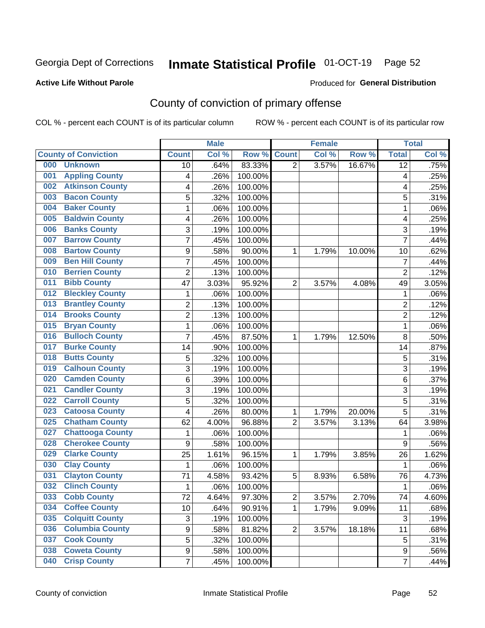# Inmate Statistical Profile 01-OCT-19 Page 52

### **Active Life Without Parole**

### Produced for General Distribution

## County of conviction of primary offense

COL % - percent each COUNT is of its particular column

|                                |                           | <b>Male</b> |         |                | <b>Female</b> |        |                | <b>Total</b> |
|--------------------------------|---------------------------|-------------|---------|----------------|---------------|--------|----------------|--------------|
| <b>County of Conviction</b>    | <b>Count</b>              | Col %       | Row %   | <b>Count</b>   | Col %         | Row %  | <b>Total</b>   | Col %        |
| 000<br><b>Unknown</b>          | 10                        | .64%        | 83.33%  | $\overline{2}$ | 3.57%         | 16.67% | 12             | .75%         |
| <b>Appling County</b><br>001   | 4                         | .26%        | 100.00% |                |               |        | 4              | .25%         |
| <b>Atkinson County</b><br>002  | 4                         | .26%        | 100.00% |                |               |        | 4              | .25%         |
| <b>Bacon County</b><br>003     | 5                         | .32%        | 100.00% |                |               |        | 5              | .31%         |
| <b>Baker County</b><br>004     | $\mathbf{1}$              | .06%        | 100.00% |                |               |        | 1              | .06%         |
| <b>Baldwin County</b><br>005   | 4                         | .26%        | 100.00% |                |               |        | 4              | .25%         |
| <b>Banks County</b><br>006     | 3                         | .19%        | 100.00% |                |               |        | 3              | .19%         |
| <b>Barrow County</b><br>007    | $\overline{7}$            | .45%        | 100.00% |                |               |        | $\overline{7}$ | .44%         |
| <b>Bartow County</b><br>008    | $\boldsymbol{9}$          | .58%        | 90.00%  | 1              | 1.79%         | 10.00% | 10             | .62%         |
| <b>Ben Hill County</b><br>009  | 7                         | .45%        | 100.00% |                |               |        | $\overline{7}$ | .44%         |
| <b>Berrien County</b><br>010   | $\overline{c}$            | .13%        | 100.00% |                |               |        | $\overline{2}$ | .12%         |
| <b>Bibb County</b><br>011      | 47                        | 3.03%       | 95.92%  | $\overline{2}$ | 3.57%         | 4.08%  | 49             | 3.05%        |
| <b>Bleckley County</b><br>012  | 1                         | .06%        | 100.00% |                |               |        | 1              | .06%         |
| <b>Brantley County</b><br>013  | $\overline{2}$            | .13%        | 100.00% |                |               |        | $\overline{2}$ | .12%         |
| <b>Brooks County</b><br>014    | $\overline{c}$            | .13%        | 100.00% |                |               |        | $\overline{2}$ | .12%         |
| <b>Bryan County</b><br>015     | $\mathbf{1}$              | .06%        | 100.00% |                |               |        | $\mathbf{1}$   | .06%         |
| <b>Bulloch County</b><br>016   | $\overline{7}$            | .45%        | 87.50%  | 1              | 1.79%         | 12.50% | 8              | .50%         |
| <b>Burke County</b><br>017     | 14                        | .90%        | 100.00% |                |               |        | 14             | .87%         |
| <b>Butts County</b><br>018     | 5                         | .32%        | 100.00% |                |               |        | 5              | .31%         |
| <b>Calhoun County</b><br>019   | $\overline{3}$            | .19%        | 100.00% |                |               |        | $\overline{3}$ | .19%         |
| <b>Camden County</b><br>020    | 6                         | .39%        | 100.00% |                |               |        | 6              | .37%         |
| <b>Candler County</b><br>021   | 3                         | .19%        | 100.00% |                |               |        | 3              | .19%         |
| <b>Carroll County</b><br>022   | 5                         | .32%        | 100.00% |                |               |        | 5              | .31%         |
| <b>Catoosa County</b><br>023   | 4                         | .26%        | 80.00%  | 1              | 1.79%         | 20.00% | 5              | .31%         |
| <b>Chatham County</b><br>025   | 62                        | 4.00%       | 96.88%  | $\overline{2}$ | 3.57%         | 3.13%  | 64             | 3.98%        |
| <b>Chattooga County</b><br>027 | 1                         | .06%        | 100.00% |                |               |        | 1              | .06%         |
| <b>Cherokee County</b><br>028  | $\boldsymbol{9}$          | .58%        | 100.00% |                |               |        | 9              | .56%         |
| <b>Clarke County</b><br>029    | 25                        | 1.61%       | 96.15%  | 1              | 1.79%         | 3.85%  | 26             | 1.62%        |
| <b>Clay County</b><br>030      | $\mathbf{1}$              | .06%        | 100.00% |                |               |        | $\mathbf{1}$   | .06%         |
| <b>Clayton County</b><br>031   | 71                        | 4.58%       | 93.42%  | 5              | 8.93%         | 6.58%  | 76             | 4.73%        |
| <b>Clinch County</b><br>032    | 1                         | .06%        | 100.00% |                |               |        | 1              | .06%         |
| <b>Cobb County</b><br>033      | 72                        | 4.64%       | 97.30%  | 2              | 3.57%         | 2.70%  | 74             | 4.60%        |
| <b>Coffee County</b><br>034    | 10                        | .64%        | 90.91%  | 1              | 1.79%         | 9.09%  | 11             | .68%         |
| 035<br><b>Colquitt County</b>  | $\ensuremath{\mathsf{3}}$ | .19%        | 100.00% |                |               |        | $\sqrt{3}$     | .19%         |
| <b>Columbia County</b><br>036  | 9                         | .58%        | 81.82%  | $\overline{2}$ | 3.57%         | 18.18% | 11             | .68%         |
| <b>Cook County</b><br>037      | 5                         | .32%        | 100.00% |                |               |        | 5              | .31%         |
| <b>Coweta County</b><br>038    | $\boldsymbol{9}$          | .58%        | 100.00% |                |               |        | 9              | .56%         |
| <b>Crisp County</b><br>040     | $\overline{7}$            | .45%        | 100.00% |                |               |        | $\overline{7}$ | .44%         |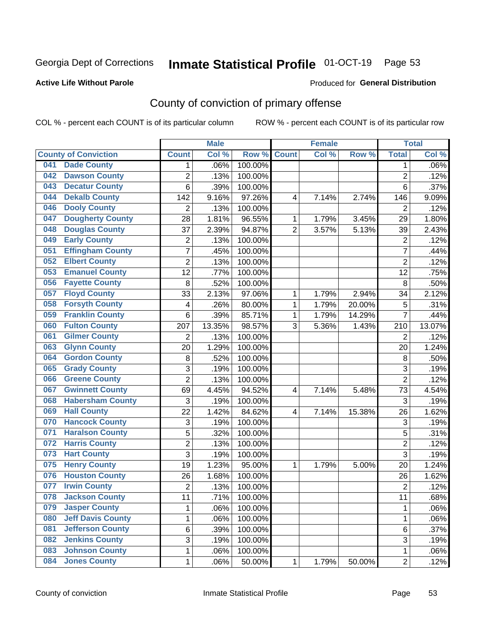## Inmate Statistical Profile 01-OCT-19 Page 53

### **Active Life Without Parole**

### Produced for General Distribution

## County of conviction of primary offense

COL % - percent each COUNT is of its particular column

|                             |                          |                         | <b>Male</b> |         |                | <b>Female</b> |        |                 | <b>Total</b> |
|-----------------------------|--------------------------|-------------------------|-------------|---------|----------------|---------------|--------|-----------------|--------------|
| <b>County of Conviction</b> |                          | <b>Count</b>            | Col %       | Row %   | <b>Count</b>   | Col %         | Row %  | <b>Total</b>    | Col %        |
| 041                         | <b>Dade County</b>       | 1                       | .06%        | 100.00% |                |               |        | 1               | .06%         |
| 042                         | <b>Dawson County</b>     | $\overline{2}$          | .13%        | 100.00% |                |               |        | $\overline{2}$  | .12%         |
| 043                         | <b>Decatur County</b>    | 6                       | .39%        | 100.00% |                |               |        | 6               | .37%         |
| 044                         | <b>Dekalb County</b>     | 142                     | 9.16%       | 97.26%  | 4              | 7.14%         | 2.74%  | 146             | 9.09%        |
| 046                         | <b>Dooly County</b>      | $\overline{2}$          | .13%        | 100.00% |                |               |        | $\overline{2}$  | .12%         |
| 047                         | <b>Dougherty County</b>  | 28                      | 1.81%       | 96.55%  | 1              | 1.79%         | 3.45%  | 29              | 1.80%        |
| 048                         | <b>Douglas County</b>    | 37                      | 2.39%       | 94.87%  | $\overline{2}$ | 3.57%         | 5.13%  | 39              | 2.43%        |
| 049                         | <b>Early County</b>      | $\mathbf 2$             | .13%        | 100.00% |                |               |        | $\overline{2}$  | .12%         |
| 051                         | <b>Effingham County</b>  | 7                       | .45%        | 100.00% |                |               |        | $\overline{7}$  | .44%         |
| 052                         | <b>Elbert County</b>     | $\overline{2}$          | .13%        | 100.00% |                |               |        | $\overline{2}$  | .12%         |
| 053                         | <b>Emanuel County</b>    | $\overline{12}$         | .77%        | 100.00% |                |               |        | $\overline{12}$ | .75%         |
| 056                         | <b>Fayette County</b>    | 8                       | .52%        | 100.00% |                |               |        | 8               | .50%         |
| 057                         | <b>Floyd County</b>      | 33                      | 2.13%       | 97.06%  | 1              | 1.79%         | 2.94%  | 34              | 2.12%        |
| 058                         | <b>Forsyth County</b>    | $\overline{\mathbf{4}}$ | .26%        | 80.00%  | 1              | 1.79%         | 20.00% | 5               | .31%         |
| 059                         | <b>Franklin County</b>   | 6                       | .39%        | 85.71%  | 1              | 1.79%         | 14.29% | $\overline{7}$  | .44%         |
| 060                         | <b>Fulton County</b>     | 207                     | 13.35%      | 98.57%  | 3              | 5.36%         | 1.43%  | 210             | 13.07%       |
| 061                         | <b>Gilmer County</b>     | $\overline{2}$          | .13%        | 100.00% |                |               |        | $\overline{2}$  | .12%         |
| 063                         | <b>Glynn County</b>      | 20                      | 1.29%       | 100.00% |                |               |        | 20              | 1.24%        |
| 064                         | <b>Gordon County</b>     | 8                       | .52%        | 100.00% |                |               |        | 8               | .50%         |
| 065                         | <b>Grady County</b>      | 3                       | .19%        | 100.00% |                |               |        | 3               | .19%         |
| 066                         | <b>Greene County</b>     | $\overline{2}$          | .13%        | 100.00% |                |               |        | $\overline{2}$  | .12%         |
| 067                         | <b>Gwinnett County</b>   | 69                      | 4.45%       | 94.52%  | 4              | 7.14%         | 5.48%  | 73              | 4.54%        |
| 068                         | <b>Habersham County</b>  | 3                       | .19%        | 100.00% |                |               |        | 3               | .19%         |
| <b>Hall County</b><br>069   |                          | 22                      | 1.42%       | 84.62%  | $\overline{4}$ | 7.14%         | 15.38% | 26              | 1.62%        |
| 070                         | <b>Hancock County</b>    | $\sqrt{3}$              | .19%        | 100.00% |                |               |        | 3               | .19%         |
| 071                         | <b>Haralson County</b>   | 5                       | .32%        | 100.00% |                |               |        | 5               | .31%         |
| 072                         | <b>Harris County</b>     | $\overline{2}$          | .13%        | 100.00% |                |               |        | $\overline{2}$  | .12%         |
| <b>Hart County</b><br>073   |                          | $\overline{3}$          | .19%        | 100.00% |                |               |        | $\overline{3}$  | .19%         |
| 075                         | <b>Henry County</b>      | 19                      | 1.23%       | 95.00%  | 1              | 1.79%         | 5.00%  | 20              | 1.24%        |
| 076                         | <b>Houston County</b>    | 26                      | 1.68%       | 100.00% |                |               |        | 26              | 1.62%        |
| 077                         | <b>Irwin County</b>      | $\overline{2}$          | .13%        | 100.00% |                |               |        | $\overline{2}$  | .12%         |
| 078                         | <b>Jackson County</b>    | 11                      | .71%        | 100.00% |                |               |        | 11              | .68%         |
| 079                         | <b>Jasper County</b>     | 1                       | .06%        | 100.00% |                |               |        | 1               | .06%         |
| 080                         | <b>Jeff Davis County</b> | 1                       | .06%        | 100.00% |                |               |        | 1               | .06%         |
| 081                         | <b>Jefferson County</b>  | 6                       | .39%        | 100.00% |                |               |        | 6               | .37%         |
| 082                         | <b>Jenkins County</b>    | 3                       | .19%        | 100.00% |                |               |        | 3               | .19%         |
| 083                         | <b>Johnson County</b>    | 1                       | .06%        | 100.00% |                |               |        | 1               | .06%         |
| 084                         | <b>Jones County</b>      | 1                       | .06%        | 50.00%  | 1              | 1.79%         | 50.00% | $\overline{2}$  | .12%         |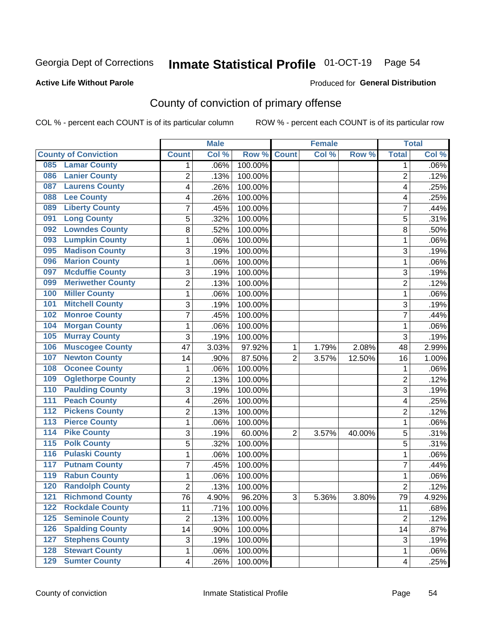# Inmate Statistical Profile 01-OCT-19 Page 54

### **Active Life Without Parole**

### Produced for General Distribution

## County of conviction of primary offense

COL % - percent each COUNT is of its particular column

|                  |                             |                 | <b>Male</b> |         |                | <b>Female</b> |          |                 | <b>Total</b> |
|------------------|-----------------------------|-----------------|-------------|---------|----------------|---------------|----------|-----------------|--------------|
|                  | <b>County of Conviction</b> | <b>Count</b>    | Col %       | Row %   | <b>Count</b>   | Col %         | Row %    | <b>Total</b>    | Col %        |
| 085              | <b>Lamar County</b>         | 1               | .06%        | 100.00% |                |               |          | 1               | $.06\%$      |
| 086              | <b>Lanier County</b>        | $\overline{2}$  | .13%        | 100.00% |                |               |          | $\overline{2}$  | .12%         |
| 087              | <b>Laurens County</b>       | 4               | .26%        | 100.00% |                |               |          | 4               | .25%         |
| 088              | <b>Lee County</b>           | 4               | .26%        | 100.00% |                |               |          | 4               | .25%         |
| 089              | <b>Liberty County</b>       | 7               | .45%        | 100.00% |                |               |          | 7               | .44%         |
| 091              | <b>Long County</b>          | 5               | .32%        | 100.00% |                |               |          | 5               | .31%         |
| 092              | <b>Lowndes County</b>       | 8               | .52%        | 100.00% |                |               |          | 8               | .50%         |
| 093              | <b>Lumpkin County</b>       | 1               | .06%        | 100.00% |                |               |          | 1               | .06%         |
| 095              | <b>Madison County</b>       | 3               | .19%        | 100.00% |                |               |          | 3               | .19%         |
| 096              | <b>Marion County</b>        | 1               | .06%        | 100.00% |                |               |          | 1               | .06%         |
| 097              | <b>Mcduffie County</b>      | 3               | .19%        | 100.00% |                |               |          | 3               | .19%         |
| 099              | <b>Meriwether County</b>    | $\overline{2}$  | .13%        | 100.00% |                |               |          | $\overline{2}$  | .12%         |
| 100              | <b>Miller County</b>        | 1               | .06%        | 100.00% |                |               |          | 1               | .06%         |
| 101              | <b>Mitchell County</b>      | 3               | .19%        | 100.00% |                |               |          | 3               | .19%         |
| 102              | <b>Monroe County</b>        | 7               | .45%        | 100.00% |                |               |          | $\overline{7}$  | .44%         |
| 104              | <b>Morgan County</b>        | 1               | .06%        | 100.00% |                |               |          | 1               | .06%         |
| 105              | <b>Murray County</b>        | 3               | .19%        | 100.00% |                |               |          | 3               | .19%         |
| 106              | <b>Muscogee County</b>      | 47              | 3.03%       | 97.92%  | 1              | 1.79%         | 2.08%    | 48              | 2.99%        |
| 107              | <b>Newton County</b>        | 14              | .90%        | 87.50%  | $\overline{2}$ | 3.57%         | 12.50%   | 16              | 1.00%        |
| 108              | <b>Oconee County</b>        | 1               | .06%        | 100.00% |                |               |          | 1               | .06%         |
| 109              | <b>Oglethorpe County</b>    | 2               | .13%        | 100.00% |                |               |          | $\overline{2}$  | .12%         |
| 110              | <b>Paulding County</b>      | 3               | .19%        | 100.00% |                |               |          | 3               | .19%         |
| 111              | <b>Peach County</b>         | 4               | .26%        | 100.00% |                |               |          | 4               | .25%         |
| 112              | <b>Pickens County</b>       | $\overline{2}$  | .13%        | 100.00% |                |               |          | $\overline{2}$  | .12%         |
| 113              | <b>Pierce County</b>        | 1               | .06%        | 100.00% |                |               |          | 1               | .06%         |
| $\overline{114}$ | <b>Pike County</b>          | 3               | .19%        | 60.00%  | $\overline{2}$ | 3.57%         | 40.00%   | 5               | .31%         |
| $\overline{115}$ | <b>Polk County</b>          | 5               | .32%        | 100.00% |                |               |          | 5               | .31%         |
| 116              | <b>Pulaski County</b>       | 1               | .06%        | 100.00% |                |               |          | $\mathbf{1}$    | .06%         |
| 117              | <b>Putnam County</b>        | 7               | .45%        | 100.00% |                |               |          | 7               | .44%         |
| 119              | <b>Rabun County</b>         | 1               | .06%        | 100.00% |                |               |          | 1               | .06%         |
| 120              | <b>Randolph County</b>      | 2               | .13%        | 100.00% |                |               |          | $\overline{2}$  | .12%         |
|                  | <b>121 Richmond County</b>  | $\overline{76}$ | 4.90%       | 96.20%  | З              | 5.36%         | $3.80\%$ | $\overline{79}$ | 4.92%        |
| 122              | <b>Rockdale County</b>      | 11              | .71%        | 100.00% |                |               |          | 11              | .68%         |
| $125$            | <b>Seminole County</b>      | $\overline{2}$  | .13%        | 100.00% |                |               |          | $\overline{2}$  | .12%         |
| 126              | <b>Spalding County</b>      | 14              | .90%        | 100.00% |                |               |          | 14              | .87%         |
| 127              | <b>Stephens County</b>      | 3               | .19%        | 100.00% |                |               |          | 3               | .19%         |
| 128              | <b>Stewart County</b>       | 1               | .06%        | 100.00% |                |               |          | 1               | .06%         |
| 129              | <b>Sumter County</b>        | 4               | .26%        | 100.00% |                |               |          | 4               | .25%         |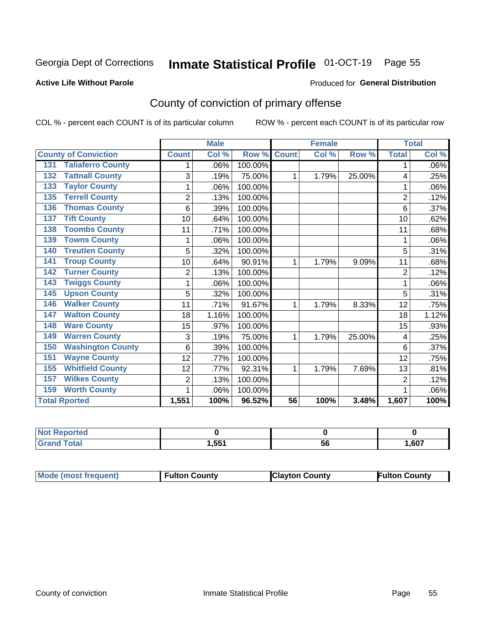## Inmate Statistical Profile 01-OCT-19 Page 55

### **Active Life Without Parole**

### Produced for General Distribution

## County of conviction of primary offense

COL % - percent each COUNT is of its particular column

|                                 |                | <b>Male</b> |         |                 | <b>Female</b> |        |                | <b>Total</b> |
|---------------------------------|----------------|-------------|---------|-----------------|---------------|--------|----------------|--------------|
| <b>County of Conviction</b>     | <b>Count</b>   | Col %       | Row %   | <b>Count</b>    | CoI%          | Row %  | <b>Total</b>   | Col %        |
| <b>Taliaferro County</b><br>131 | 1              | .06%        | 100.00% |                 |               |        | 1              | .06%         |
| <b>Tattnall County</b><br>132   | 3              | .19%        | 75.00%  | 1               | 1.79%         | 25.00% | 4              | .25%         |
| <b>Taylor County</b><br>133     |                | .06%        | 100.00% |                 |               |        | 1              | .06%         |
| <b>Terrell County</b><br>135    | $\overline{2}$ | .13%        | 100.00% |                 |               |        | $\overline{2}$ | .12%         |
| <b>Thomas County</b><br>136     | 6              | .39%        | 100.00% |                 |               |        | 6              | .37%         |
| <b>Tift County</b><br>137       | 10             | .64%        | 100.00% |                 |               |        | 10             | .62%         |
| <b>Toombs County</b><br>138     | 11             | .71%        | 100.00% |                 |               |        | 11             | .68%         |
| <b>Towns County</b><br>139      |                | .06%        | 100.00% |                 |               |        | 1              | .06%         |
| <b>Treutlen County</b><br>140   | 5              | .32%        | 100.00% |                 |               |        | 5              | .31%         |
| <b>Troup County</b><br>141      | 10             | .64%        | 90.91%  | 1               | 1.79%         | 9.09%  | 11             | .68%         |
| <b>Turner County</b><br>142     | $\overline{2}$ | .13%        | 100.00% |                 |               |        | $\overline{2}$ | .12%         |
| <b>Twiggs County</b><br>143     | 1              | .06%        | 100.00% |                 |               |        | 1              | .06%         |
| <b>Upson County</b><br>145      | 5              | .32%        | 100.00% |                 |               |        | 5              | .31%         |
| <b>Walker County</b><br>146     | 11             | .71%        | 91.67%  | 1               | 1.79%         | 8.33%  | 12             | .75%         |
| <b>Walton County</b><br>147     | 18             | 1.16%       | 100.00% |                 |               |        | 18             | 1.12%        |
| <b>Ware County</b><br>148       | 15             | .97%        | 100.00% |                 |               |        | 15             | .93%         |
| <b>Warren County</b><br>149     | 3              | .19%        | 75.00%  | 1               | 1.79%         | 25.00% | 4              | .25%         |
| <b>Washington County</b><br>150 | 6              | .39%        | 100.00% |                 |               |        | 6              | .37%         |
| <b>Wayne County</b><br>151      | 12             | .77%        | 100.00% |                 |               |        | 12             | .75%         |
| <b>Whitfield County</b><br>155  | 12             | .77%        | 92.31%  | 1               | 1.79%         | 7.69%  | 13             | .81%         |
| <b>Wilkes County</b><br>157     | $\overline{2}$ | .13%        | 100.00% |                 |               |        | $\overline{2}$ | .12%         |
| <b>Worth County</b><br>159      |                | .06%        | 100.00% |                 |               |        |                | .06%         |
| <b>Total Rported</b>            | 1,551          | 100%        | 96.52%  | $\overline{56}$ | 100%          | 3.48%  | 1,607          | 100%         |

| <b>Not Reported</b> |      |     |      |
|---------------------|------|-----|------|
| $\tau$ otal         | .551 | JL. | ,607 |

| <b>Mode (most frequent)</b> | <b>Fulton County</b> | <b>IClayton County</b> | Fulton Countv |
|-----------------------------|----------------------|------------------------|---------------|
|-----------------------------|----------------------|------------------------|---------------|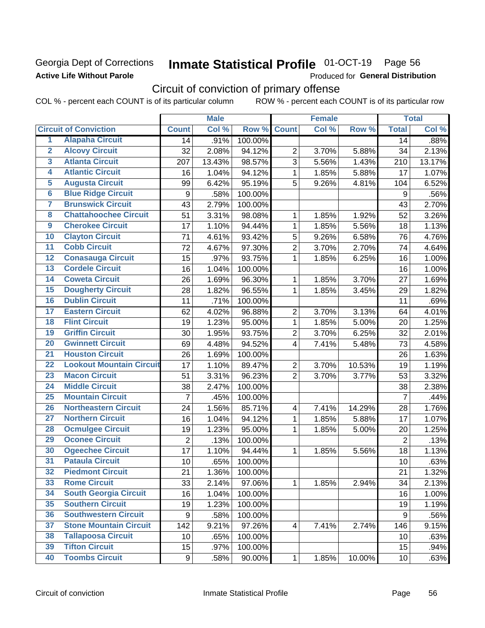## Georgia Dept of Corrections **Active Life Without Parole**

# Inmate Statistical Profile 01-OCT-19 Page 56

Produced for General Distribution

## Circuit of conviction of primary offense

COL % - percent each COUNT is of its particular column ROW % - percent each COUNT is of its particular row

|                         |                                 |                | <b>Male</b> |         |                         | <b>Female</b> |        |                 | <b>Total</b> |
|-------------------------|---------------------------------|----------------|-------------|---------|-------------------------|---------------|--------|-----------------|--------------|
|                         | <b>Circuit of Conviction</b>    | <b>Count</b>   | Col %       | Row %   | <b>Count</b>            | Col %         | Row %  | <b>Total</b>    | Col %        |
| 1                       | <b>Alapaha Circuit</b>          | 14             | .91%        | 100.00% |                         |               |        | 14              | .88%         |
| $\overline{2}$          | <b>Alcovy Circuit</b>           | 32             | 2.08%       | 94.12%  | $\overline{2}$          | 3.70%         | 5.88%  | 34              | 2.13%        |
| $\overline{3}$          | <b>Atlanta Circuit</b>          | 207            | 13.43%      | 98.57%  | 3                       | 5.56%         | 1.43%  | 210             | 13.17%       |
| 4                       | <b>Atlantic Circuit</b>         | 16             | 1.04%       | 94.12%  | 1                       | 1.85%         | 5.88%  | 17              | 1.07%        |
| $\overline{5}$          | <b>Augusta Circuit</b>          | 99             | 6.42%       | 95.19%  | 5                       | 9.26%         | 4.81%  | 104             | 6.52%        |
| $\overline{\bf{6}}$     | <b>Blue Ridge Circuit</b>       | 9              | .58%        | 100.00% |                         |               |        | 9               | .56%         |
| 7                       | <b>Brunswick Circuit</b>        | 43             | 2.79%       | 100.00% |                         |               |        | 43              | 2.70%        |
| $\overline{\mathbf{8}}$ | <b>Chattahoochee Circuit</b>    | 51             | 3.31%       | 98.08%  | 1                       | 1.85%         | 1.92%  | 52              | 3.26%        |
| $\overline{9}$          | <b>Cherokee Circuit</b>         | 17             | 1.10%       | 94.44%  | 1                       | 1.85%         | 5.56%  | 18              | 1.13%        |
| 10                      | <b>Clayton Circuit</b>          | 71             | 4.61%       | 93.42%  | 5                       | 9.26%         | 6.58%  | 76              | 4.76%        |
| $\overline{11}$         | <b>Cobb Circuit</b>             | 72             | 4.67%       | 97.30%  | $\overline{2}$          | 3.70%         | 2.70%  | 74              | 4.64%        |
| $\overline{12}$         | <b>Conasauga Circuit</b>        | 15             | .97%        | 93.75%  | 1                       | 1.85%         | 6.25%  | 16              | 1.00%        |
| 13                      | <b>Cordele Circuit</b>          | 16             | 1.04%       | 100.00% |                         |               |        | 16              | 1.00%        |
| 14                      | <b>Coweta Circuit</b>           | 26             | 1.69%       | 96.30%  | 1                       | 1.85%         | 3.70%  | 27              | 1.69%        |
| $\overline{15}$         | <b>Dougherty Circuit</b>        | 28             | 1.82%       | 96.55%  | 1                       | 1.85%         | 3.45%  | 29              | 1.82%        |
| 16                      | <b>Dublin Circuit</b>           | 11             | .71%        | 100.00% |                         |               |        | 11              | .69%         |
| 17                      | <b>Eastern Circuit</b>          | 62             | 4.02%       | 96.88%  | $\overline{2}$          | 3.70%         | 3.13%  | 64              | 4.01%        |
| $\overline{18}$         | <b>Flint Circuit</b>            | 19             | 1.23%       | 95.00%  | 1                       | 1.85%         | 5.00%  | 20              | 1.25%        |
| 19                      | <b>Griffin Circuit</b>          | 30             | 1.95%       | 93.75%  | $\mathbf 2$             | 3.70%         | 6.25%  | 32              | 2.01%        |
| $\overline{20}$         | <b>Gwinnett Circuit</b>         | 69             | 4.48%       | 94.52%  | 4                       | 7.41%         | 5.48%  | 73              | 4.58%        |
| $\overline{21}$         | <b>Houston Circuit</b>          | 26             | 1.69%       | 100.00% |                         |               |        | 26              | 1.63%        |
| $\overline{22}$         | <b>Lookout Mountain Circuit</b> | 17             | 1.10%       | 89.47%  | $\overline{2}$          | 3.70%         | 10.53% | 19              | 1.19%        |
| 23                      | <b>Macon Circuit</b>            | 51             | 3.31%       | 96.23%  | $\overline{2}$          | 3.70%         | 3.77%  | 53              | 3.32%        |
| $\overline{24}$         | <b>Middle Circuit</b>           | 38             | 2.47%       | 100.00% |                         |               |        | 38              | 2.38%        |
| $\overline{25}$         | <b>Mountain Circuit</b>         | $\overline{7}$ | .45%        | 100.00% |                         |               |        | $\overline{7}$  | .44%         |
| 26                      | <b>Northeastern Circuit</b>     | 24             | 1.56%       | 85.71%  | $\overline{4}$          | 7.41%         | 14.29% | 28              | 1.76%        |
| $\overline{27}$         | <b>Northern Circuit</b>         | 16             | 1.04%       | 94.12%  | 1                       | 1.85%         | 5.88%  | 17              | 1.07%        |
| 28                      | <b>Ocmulgee Circuit</b>         | 19             | 1.23%       | 95.00%  | 1                       | 1.85%         | 5.00%  | 20              | 1.25%        |
| 29                      | <b>Oconee Circuit</b>           | $\overline{2}$ | .13%        | 100.00% |                         |               |        | $\overline{2}$  | .13%         |
| 30                      | <b>Ogeechee Circuit</b>         | 17             | 1.10%       | 94.44%  | 1                       | 1.85%         | 5.56%  | 18              | 1.13%        |
| $\overline{31}$         | <b>Pataula Circuit</b>          | 10             | .65%        | 100.00% |                         |               |        | 10              | .63%         |
| 32                      | <b>Piedmont Circuit</b>         | 21             | 1.36%       | 100.00% |                         |               |        | 21              | 1.32%        |
| 33                      | <b>Rome Circuit</b>             | 33             | 2.14%       | 97.06%  | $\mathbf{1}$            | 1.85%         | 2.94%  | 34              | 2.13%        |
| 34                      | <b>South Georgia Circuit</b>    | 16             | 1.04%       | 100.00% |                         |               |        | 16              | 1.00%        |
| 35                      | <b>Southern Circuit</b>         | 19             | 1.23%       | 100.00% |                         |               |        | 19              | 1.19%        |
| 36                      | <b>Southwestern Circuit</b>     | 9              | .58%        | 100.00% |                         |               |        | 9               | .56%         |
| 37                      | <b>Stone Mountain Circuit</b>   | 142            | 9.21%       | 97.26%  | $\overline{\mathbf{4}}$ | 7.41%         | 2.74%  | 146             | 9.15%        |
| 38                      | <b>Tallapoosa Circuit</b>       | 10             | .65%        | 100.00% |                         |               |        | 10              | .63%         |
| 39                      | <b>Tifton Circuit</b>           | 15             | .97%        | 100.00% |                         |               |        | 15              | .94%         |
| 40                      | <b>Toombs Circuit</b>           | 9              | .58%        | 90.00%  | 1                       | 1.85%         | 10.00% | 10 <sub>1</sub> | .63%         |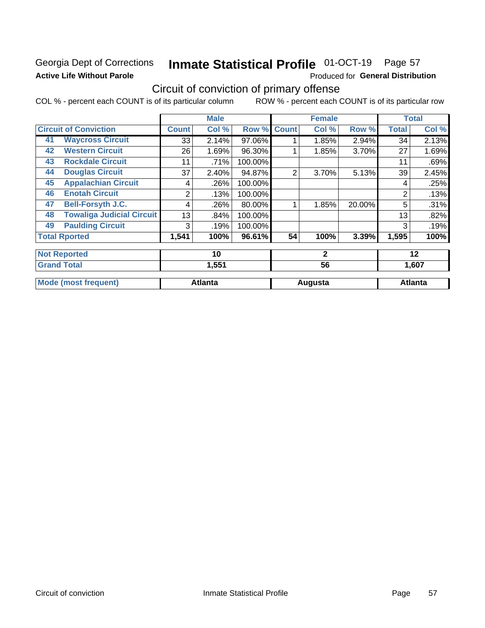## Georgia Dept of Corrections **Active Life Without Parole**

# Inmate Statistical Profile 01-OCT-19 Page 57

Produced for General Distribution

## Circuit of conviction of primary offense

COL % - percent each COUNT is of its particular column ROW % - percent each COUNT is of its particular row

|    |                                  |                | <b>Male</b>    |         |              | <b>Female</b> |        |              | <b>Total</b>   |
|----|----------------------------------|----------------|----------------|---------|--------------|---------------|--------|--------------|----------------|
|    | <b>Circuit of Conviction</b>     | <b>Count</b>   | Col %          | Row %   | <b>Count</b> | Col %         | Row %  | <b>Total</b> | Col %          |
| 41 | <b>Waycross Circuit</b>          | 33             | 2.14%          | 97.06%  |              | 1.85%         | 2.94%  | 34           | 2.13%          |
| 42 | <b>Western Circuit</b>           | 26             | 1.69%          | 96.30%  |              | 1.85%         | 3.70%  | 27           | 1.69%          |
| 43 | <b>Rockdale Circuit</b>          | 11             | .71%           | 100.00% |              |               |        | 11           | .69%           |
| 44 | <b>Douglas Circuit</b>           | 37             | 2.40%          | 94.87%  | 2            | 3.70%         | 5.13%  | 39           | 2.45%          |
| 45 | <b>Appalachian Circuit</b>       | 4              | .26%           | 100.00% |              |               |        | 4            | .25%           |
| 46 | <b>Enotah Circuit</b>            | $\overline{2}$ | .13%           | 100.00% |              |               |        | 2            | .13%           |
| 47 | <b>Bell-Forsyth J.C.</b>         | 4              | .26%           | 80.00%  |              | 1.85%         | 20.00% | 5            | .31%           |
| 48 | <b>Towaliga Judicial Circuit</b> | 13             | .84%           | 100.00% |              |               |        | 13           | .82%           |
| 49 | <b>Paulding Circuit</b>          | 3              | .19%           | 100.00% |              |               |        | 3            | .19%           |
|    | <b>Total Rported</b>             | 1,541          | 100%           | 96.61%  | 54           | 100%          | 3.39%  | 1,595        | 100%           |
|    | <b>Not Reported</b>              |                | 10             |         |              | $\mathbf{2}$  |        |              | 12             |
|    | <b>Grand Total</b>               |                | 1,551          |         |              | 56            |        |              | 1,607          |
|    | <b>Mode (most frequent)</b>      |                | <b>Atlanta</b> |         |              | Augusta       |        |              | <b>Atlanta</b> |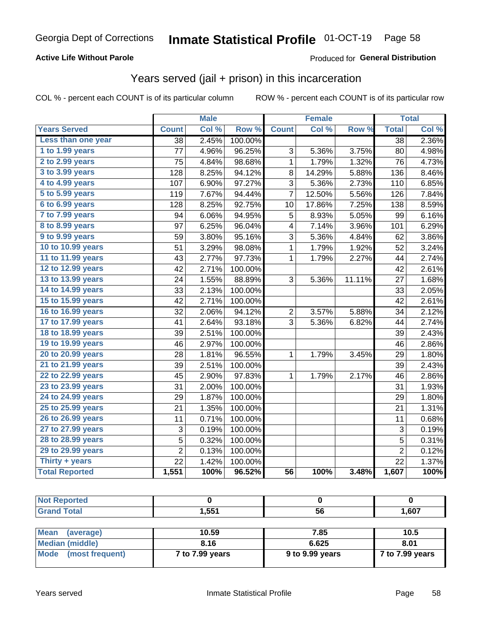## **Active Life Without Parole**

## Produced for General Distribution

## Years served (jail + prison) in this incarceration

COL % - percent each COUNT is of its particular column

|                        |                 | <b>Male</b> |         |                 | <b>Female</b> |        |                 | <b>Total</b> |
|------------------------|-----------------|-------------|---------|-----------------|---------------|--------|-----------------|--------------|
| <b>Years Served</b>    | <b>Count</b>    | Col %       | Row %   | <b>Count</b>    | Col %         | Row %  | <b>Total</b>    | Col %        |
| Less than one year     | $\overline{38}$ | 2.45%       | 100.00% |                 |               |        | $\overline{38}$ | 2.36%        |
| 1 to 1.99 years        | 77              | 4.96%       | 96.25%  | 3               | 5.36%         | 3.75%  | 80              | 4.98%        |
| 2 to 2.99 years        | 75              | 4.84%       | 98.68%  | 1               | 1.79%         | 1.32%  | 76              | 4.73%        |
| 3 to 3.99 years        | 128             | 8.25%       | 94.12%  | 8               | 14.29%        | 5.88%  | 136             | 8.46%        |
| 4 to 4.99 years        | 107             | 6.90%       | 97.27%  | 3               | 5.36%         | 2.73%  | 110             | 6.85%        |
| 5 to 5.99 years        | 119             | 7.67%       | 94.44%  | 7               | 12.50%        | 5.56%  | 126             | 7.84%        |
| 6 to 6.99 years        | 128             | 8.25%       | 92.75%  | 10              | 17.86%        | 7.25%  | 138             | 8.59%        |
| 7 to 7.99 years        | 94              | 6.06%       | 94.95%  | 5               | 8.93%         | 5.05%  | 99              | 6.16%        |
| <b>8 to 8.99 years</b> | 97              | 6.25%       | 96.04%  | 4               | 7.14%         | 3.96%  | 101             | 6.29%        |
| 9 to 9.99 years        | 59              | 3.80%       | 95.16%  | 3               | 5.36%         | 4.84%  | 62              | 3.86%        |
| 10 to 10.99 years      | 51              | 3.29%       | 98.08%  | $\mathbf 1$     | 1.79%         | 1.92%  | 52              | 3.24%        |
| 11 to 11.99 years      | 43              | 2.77%       | 97.73%  | $\mathbf 1$     | 1.79%         | 2.27%  | 44              | 2.74%        |
| 12 to 12.99 years      | 42              | 2.71%       | 100.00% |                 |               |        | 42              | 2.61%        |
| 13 to 13.99 years      | 24              | 1.55%       | 88.89%  | 3               | 5.36%         | 11.11% | 27              | 1.68%        |
| 14 to 14.99 years      | 33              | 2.13%       | 100.00% |                 |               |        | 33              | 2.05%        |
| 15 to 15.99 years      | 42              | 2.71%       | 100.00% |                 |               |        | 42              | 2.61%        |
| 16 to 16.99 years      | 32              | 2.06%       | 94.12%  | $\overline{2}$  | 3.57%         | 5.88%  | 34              | 2.12%        |
| 17 to 17.99 years      | 41              | 2.64%       | 93.18%  | 3               | 5.36%         | 6.82%  | 44              | 2.74%        |
| 18 to 18.99 years      | 39              | 2.51%       | 100.00% |                 |               |        | 39              | 2.43%        |
| 19 to 19.99 years      | 46              | 2.97%       | 100.00% |                 |               |        | 46              | 2.86%        |
| 20 to 20.99 years      | 28              | 1.81%       | 96.55%  | $\mathbf 1$     | 1.79%         | 3.45%  | 29              | 1.80%        |
| 21 to 21.99 years      | 39              | 2.51%       | 100.00% |                 |               |        | 39              | 2.43%        |
| 22 to 22.99 years      | 45              | 2.90%       | 97.83%  | $\mathbf 1$     | 1.79%         | 2.17%  | 46              | 2.86%        |
| 23 to 23.99 years      | 31              | 2.00%       | 100.00% |                 |               |        | 31              | 1.93%        |
| 24 to 24.99 years      | 29              | 1.87%       | 100.00% |                 |               |        | 29              | 1.80%        |
| 25 to 25.99 years      | 21              | 1.35%       | 100.00% |                 |               |        | 21              | 1.31%        |
| 26 to 26.99 years      | 11              | 0.71%       | 100.00% |                 |               |        | 11              | 0.68%        |
| 27 to 27.99 years      | 3               | 0.19%       | 100.00% |                 |               |        | 3               | 0.19%        |
| 28 to 28.99 years      | 5               | 0.32%       | 100.00% |                 |               |        | 5               | 0.31%        |
| 29 to 29.99 years      | $\overline{2}$  | 0.13%       | 100.00% |                 |               |        | $\overline{2}$  | 0.12%        |
| Thirty + years         | $\overline{22}$ | 1.42%       | 100.00% |                 |               |        | 22              | 1.37%        |
| <b>Total Reported</b>  | 1,551           | 100%        | 96.52%  | $\overline{56}$ | 100%          | 3.48%  | 1,607           | 100%         |

| 551<br>. | - -<br><b>JQ</b> | 1,607 |
|----------|------------------|-------|

| <b>Mean</b><br>(average) | 10.59           | 7.85            | 10.5            |
|--------------------------|-----------------|-----------------|-----------------|
| Median (middle)          | 8.16            | 6.625           | 8.01            |
| Mode (most frequent)     | 7 to 7.99 years | 9 to 9.99 years | 7 to 7.99 years |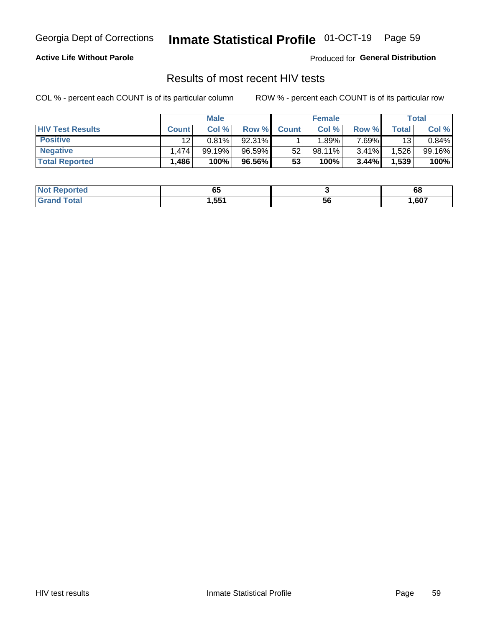## Inmate Statistical Profile 01-OCT-19 Page 59

## **Active Life Without Parole**

Produced for General Distribution

## Results of most recent HIV tests

COL % - percent each COUNT is of its particular column

|                         | <b>Male</b>  |        |        | <b>Female</b> |           |          | Total |        |
|-------------------------|--------------|--------|--------|---------------|-----------|----------|-------|--------|
| <b>HIV Test Results</b> | <b>Count</b> | Col %  | Row %I | <b>Count</b>  | Col %     | Row %    | Total | Col %  |
| <b>Positive</b>         | 12           | 0.81%  | 92.31% |               | .89%      | $7.69\%$ | 13    | 0.84%  |
| <b>Negative</b>         | .474         | 99.19% | 96.59% | 52            | $98.11\%$ | $3.41\%$ | .526  | 99.16% |
| <b>Total Reported</b>   | ,486         | 100%   | 96.56% | 53            | 100%      | 3.44%    | 1,539 | 100%   |

| <b>Not Reported</b> | uu     |    | oo   |
|---------------------|--------|----|------|
| Total               | 551. ا | ວບ | ,607 |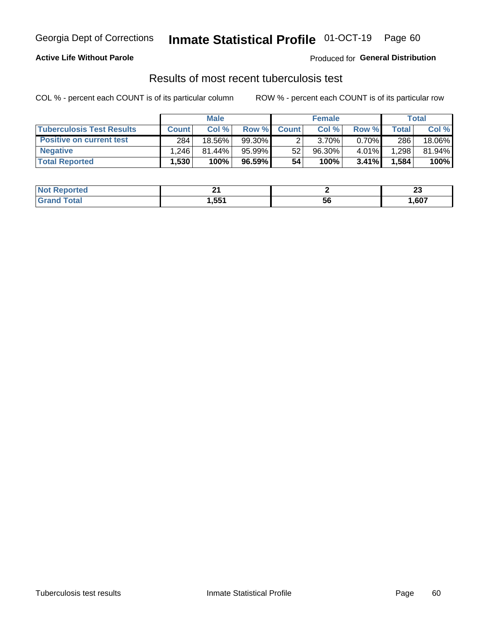## Georgia Dept of Corrections **Inmate Statistical Profile** 01-OCT-19 Page 60

## **Active Life Without Parole**

Produced for **General Distribution**

## Results of most recent tuberculosis test

COL % - percent each COUNT is of its particular column ROW % - percent each COUNT is of its particular row

|                                  | <b>Male</b>       |           |        | <b>Female</b> |        |          | Total        |        |
|----------------------------------|-------------------|-----------|--------|---------------|--------|----------|--------------|--------|
| <b>Tuberculosis Test Results</b> | <b>Count</b>      | Col %     | Row %I | <b>Count</b>  | Col %  | Row %    | <b>Total</b> | Col %  |
| <b>Positive on current test</b>  | 284               | 18.56%    | 99.30% |               | 3.70%  | $0.70\%$ | 286          | 18.06% |
| <b>Negative</b>                  | .246              | $81.44\%$ | 95.99% | 52            | 96.30% | 4.01%    | .298         | 81.94% |
| <b>Total Reported</b>            | .530 <sup>1</sup> | 100%      | 96.59% | 54            | 100%   | 3.41%    | .584         | 100%   |

| <b>Not Reported</b> | ົ<br>- - |    | e.<br>~ |
|---------------------|----------|----|---------|
| <b>cotal</b>        | 1,551    | วง | ,607    |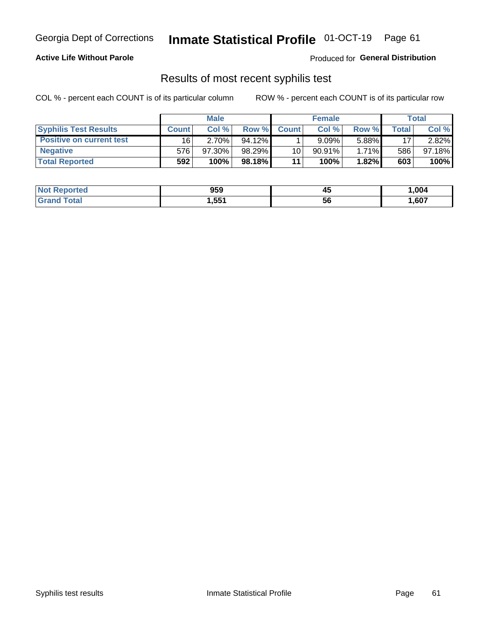## Georgia Dept of Corrections **Inmate Statistical Profile** 01-OCT-19 Page 61

## **Active Life Without Parole**

Produced for **General Distribution**

## Results of most recent syphilis test

COL % - percent each COUNT is of its particular column ROW % - percent each COUNT is of its particular row

|                                 | <b>Male</b>  |           |           | <b>Female</b> |           |          | Total |        |
|---------------------------------|--------------|-----------|-----------|---------------|-----------|----------|-------|--------|
| <b>Syphilis Test Results</b>    | <b>Count</b> | Col%      | Row %     | <b>Count</b>  | Col %     | Row %I   | Total | Col %  |
| <b>Positive on current test</b> | 16           | $2.70\%$  | $94.12\%$ |               | 9.09%     | 5.88%    | 17    | 2.82%  |
| <b>Negative</b>                 | 576          | $97.30\%$ | 98.29%    | 10            | $90.91\%$ | $1.71\%$ | 586   | 97.18% |
| <b>Total Reported</b>           | 592          | 100%      | 98.18% I  | 11            | 100%      | 1.82%    | 603   | 100%   |

| <b>Not Reported</b> | 959   | 45 | 004. ا |
|---------------------|-------|----|--------|
| <b>Grand Total</b>  | 551,ا | 56 | ,607   |